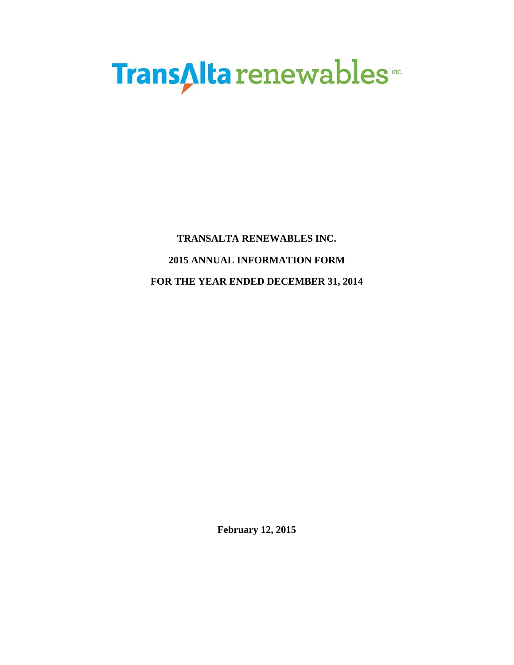# **TransAlta** renewables

# **TRANSALTA RENEWABLES INC. 2015 ANNUAL INFORMATION FORM FOR THE YEAR ENDED DECEMBER 31, 2014**

**February 12, 2015**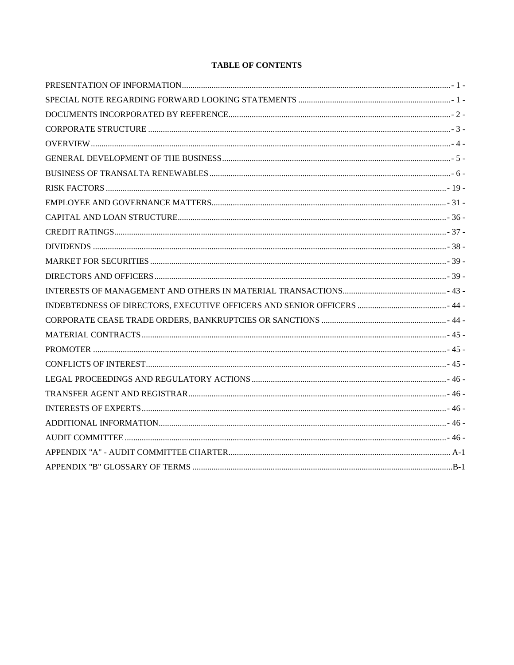# **TABLE OF CONTENTS**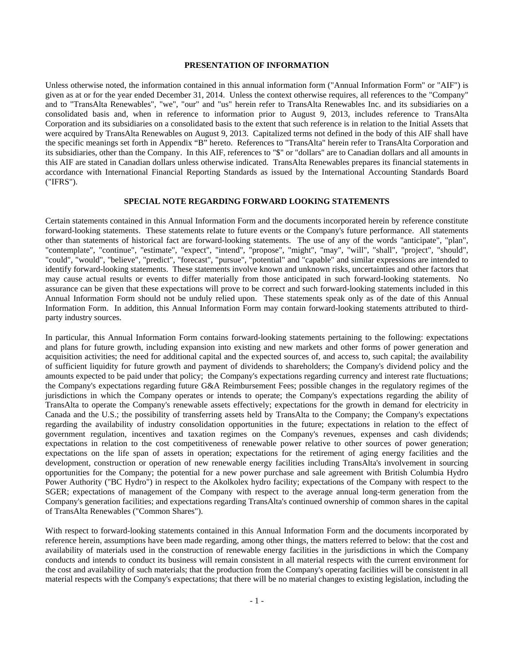# **PRESENTATION OF INFORMATION**

Unless otherwise noted, the information contained in this annual information form ("Annual Information Form" or "AIF") is given as at or for the year ended December 31, 2014. Unless the context otherwise requires, all references to the "Company" and to "TransAlta Renewables", "we", "our" and "us" herein refer to TransAlta Renewables Inc. and its subsidiaries on a consolidated basis and, when in reference to information prior to August 9, 2013, includes reference to TransAlta Corporation and its subsidiaries on a consolidated basis to the extent that such reference is in relation to the Initial Assets that were acquired by TransAlta Renewables on August 9, 2013. Capitalized terms not defined in the body of this AIF shall have the specific meanings set forth in Appendix "B" hereto. References to "TransAlta" herein refer to TransAlta Corporation and its subsidiaries, other than the Company. In this AIF, references to "\$" or "dollars" are to Canadian dollars and all amounts in this AIF are stated in Canadian dollars unless otherwise indicated. TransAlta Renewables prepares its financial statements in accordance with International Financial Reporting Standards as issued by the International Accounting Standards Board ("IFRS").

#### **SPECIAL NOTE REGARDING FORWARD LOOKING STATEMENTS**

Certain statements contained in this Annual Information Form and the documents incorporated herein by reference constitute forward-looking statements. These statements relate to future events or the Company's future performance. All statements other than statements of historical fact are forward-looking statements. The use of any of the words "anticipate", "plan", "contemplate", "continue", "estimate", "expect", "intend", "propose", "might", "may", "will", "shall", "project", "should", "could", "would", "believe", "predict", "forecast", "pursue", "potential" and "capable" and similar expressions are intended to identify forward-looking statements. These statements involve known and unknown risks, uncertainties and other factors that may cause actual results or events to differ materially from those anticipated in such forward-looking statements. No assurance can be given that these expectations will prove to be correct and such forward-looking statements included in this Annual Information Form should not be unduly relied upon. These statements speak only as of the date of this Annual Information Form. In addition, this Annual Information Form may contain forward-looking statements attributed to thirdparty industry sources.

In particular, this Annual Information Form contains forward-looking statements pertaining to the following: expectations and plans for future growth, including expansion into existing and new markets and other forms of power generation and acquisition activities; the need for additional capital and the expected sources of, and access to, such capital; the availability of sufficient liquidity for future growth and payment of dividends to shareholders; the Company's dividend policy and the amounts expected to be paid under that policy; the Company's expectations regarding currency and interest rate fluctuations; the Company's expectations regarding future G&A Reimbursement Fees; possible changes in the regulatory regimes of the jurisdictions in which the Company operates or intends to operate; the Company's expectations regarding the ability of TransAlta to operate the Company's renewable assets effectively; expectations for the growth in demand for electricity in Canada and the U.S.; the possibility of transferring assets held by TransAlta to the Company; the Company's expectations regarding the availability of industry consolidation opportunities in the future; expectations in relation to the effect of government regulation, incentives and taxation regimes on the Company's revenues, expenses and cash dividends; expectations in relation to the cost competitiveness of renewable power relative to other sources of power generation; expectations on the life span of assets in operation; expectations for the retirement of aging energy facilities and the development, construction or operation of new renewable energy facilities including TransAlta's involvement in sourcing opportunities for the Company; the potential for a new power purchase and sale agreement with British Columbia Hydro Power Authority ("BC Hydro") in respect to the Akolkolex hydro facility; expectations of the Company with respect to the SGER; expectations of management of the Company with respect to the average annual long-term generation from the Company's generation facilities; and expectations regarding TransAlta's continued ownership of common shares in the capital of TransAlta Renewables ("Common Shares").

With respect to forward-looking statements contained in this Annual Information Form and the documents incorporated by reference herein, assumptions have been made regarding, among other things, the matters referred to below: that the cost and availability of materials used in the construction of renewable energy facilities in the jurisdictions in which the Company conducts and intends to conduct its business will remain consistent in all material respects with the current environment for the cost and availability of such materials; that the production from the Company's operating facilities will be consistent in all material respects with the Company's expectations; that there will be no material changes to existing legislation, including the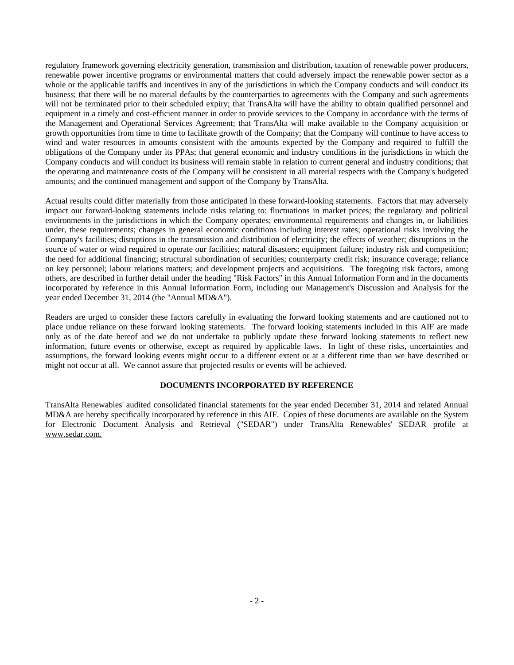regulatory framework governing electricity generation, transmission and distribution, taxation of renewable power producers, renewable power incentive programs or environmental matters that could adversely impact the renewable power sector as a whole or the applicable tariffs and incentives in any of the jurisdictions in which the Company conducts and will conduct its business; that there will be no material defaults by the counterparties to agreements with the Company and such agreements will not be terminated prior to their scheduled expiry; that TransAlta will have the ability to obtain qualified personnel and equipment in a timely and cost-efficient manner in order to provide services to the Company in accordance with the terms of the Management and Operational Services Agreement; that TransAlta will make available to the Company acquisition or growth opportunities from time to time to facilitate growth of the Company; that the Company will continue to have access to wind and water resources in amounts consistent with the amounts expected by the Company and required to fulfill the obligations of the Company under its PPAs; that general economic and industry conditions in the jurisdictions in which the Company conducts and will conduct its business will remain stable in relation to current general and industry conditions; that the operating and maintenance costs of the Company will be consistent in all material respects with the Company's budgeted amounts; and the continued management and support of the Company by TransAlta.

Actual results could differ materially from those anticipated in these forward-looking statements. Factors that may adversely impact our forward-looking statements include risks relating to: fluctuations in market prices; the regulatory and political environments in the jurisdictions in which the Company operates; environmental requirements and changes in, or liabilities under, these requirements; changes in general economic conditions including interest rates; operational risks involving the Company's facilities; disruptions in the transmission and distribution of electricity; the effects of weather; disruptions in the source of water or wind required to operate our facilities; natural disasters; equipment failure; industry risk and competition; the need for additional financing; structural subordination of securities; counterparty credit risk; insurance coverage; reliance on key personnel; labour relations matters; and development projects and acquisitions. The foregoing risk factors, among others, are described in further detail under the heading "Risk Factors" in this Annual Information Form and in the documents incorporated by reference in this Annual Information Form, including our Management's Discussion and Analysis for the year ended December 31, 2014 (the "Annual MD&A").

Readers are urged to consider these factors carefully in evaluating the forward looking statements and are cautioned not to place undue reliance on these forward looking statements. The forward looking statements included in this AIF are made only as of the date hereof and we do not undertake to publicly update these forward looking statements to reflect new information, future events or otherwise, except as required by applicable laws. In light of these risks, uncertainties and assumptions, the forward looking events might occur to a different extent or at a different time than we have described or might not occur at all. We cannot assure that projected results or events will be achieved.

#### **DOCUMENTS INCORPORATED BY REFERENCE**

TransAlta Renewables' audited consolidated financial statements for the year ended December 31, 2014 and related Annual MD&A are hereby specifically incorporated by reference in this AIF. Copies of these documents are available on the System for Electronic Document Analysis and Retrieval ("SEDAR") under TransAlta Renewables' SEDAR profile at www.sedar.com.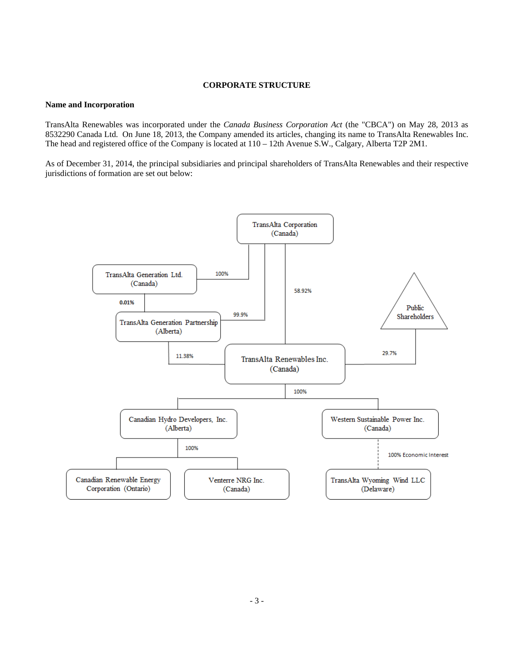# **CORPORATE STRUCTURE**

#### **Name and Incorporation**

TransAlta Renewables was incorporated under the *Canada Business Corporation Act* (the "CBCA") on May 28, 2013 as 8532290 Canada Ltd. On June 18, 2013, the Company amended its articles, changing its name to TransAlta Renewables Inc. The head and registered office of the Company is located at 110 – 12th Avenue S.W., Calgary, Alberta T2P 2M1.

As of December 31, 2014, the principal subsidiaries and principal shareholders of TransAlta Renewables and their respective jurisdictions of formation are set out below:

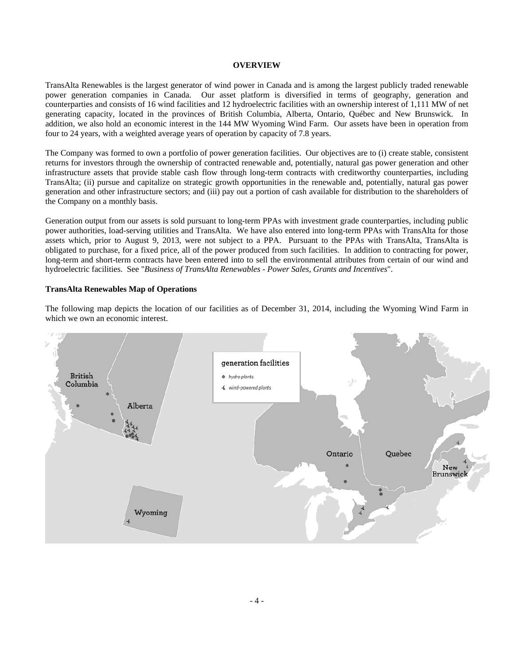#### **OVERVIEW**

TransAlta Renewables is the largest generator of wind power in Canada and is among the largest publicly traded renewable power generation companies in Canada. Our asset platform is diversified in terms of geography, generation and counterparties and consists of 16 wind facilities and 12 hydroelectric facilities with an ownership interest of 1,111 MW of net generating capacity, located in the provinces of British Columbia, Alberta, Ontario, Québec and New Brunswick. In addition, we also hold an economic interest in the 144 MW Wyoming Wind Farm. Our assets have been in operation from four to 24 years, with a weighted average years of operation by capacity of 7.8 years.

The Company was formed to own a portfolio of power generation facilities. Our objectives are to (i) create stable, consistent returns for investors through the ownership of contracted renewable and, potentially, natural gas power generation and other infrastructure assets that provide stable cash flow through long-term contracts with creditworthy counterparties, including TransAlta; (ii) pursue and capitalize on strategic growth opportunities in the renewable and, potentially, natural gas power generation and other infrastructure sectors; and (iii) pay out a portion of cash available for distribution to the shareholders of the Company on a monthly basis.

Generation output from our assets is sold pursuant to long-term PPAs with investment grade counterparties, including public power authorities, load-serving utilities and TransAlta. We have also entered into long-term PPAs with TransAlta for those assets which, prior to August 9, 2013, were not subject to a PPA. Pursuant to the PPAs with TransAlta, TransAlta is obligated to purchase, for a fixed price, all of the power produced from such facilities. In addition to contracting for power, long-term and short-term contracts have been entered into to sell the environmental attributes from certain of our wind and hydroelectric facilities. See "*Business of TransAlta Renewables - Power Sales, Grants and Incentives*".

#### **TransAlta Renewables Map of Operations**

The following map depicts the location of our facilities as of December 31, 2014, including the Wyoming Wind Farm in which we own an economic interest.

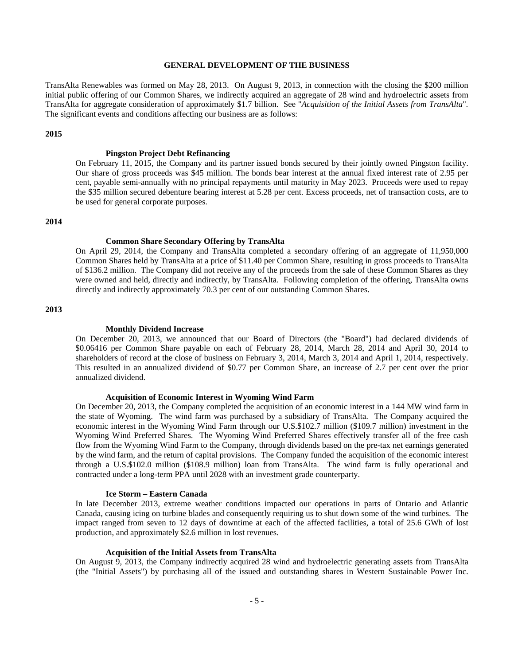#### **GENERAL DEVELOPMENT OF THE BUSINESS**

TransAlta Renewables was formed on May 28, 2013. On August 9, 2013, in connection with the closing the \$200 million initial public offering of our Common Shares, we indirectly acquired an aggregate of 28 wind and hydroelectric assets from TransAlta for aggregate consideration of approximately \$1.7 billion. See "*Acquisition of the Initial Assets from TransAlta*"*.* The significant events and conditions affecting our business are as follows:

#### **2015**

#### **Pingston Project Debt Refinancing**

On February 11, 2015, the Company and its partner issued bonds secured by their jointly owned Pingston facility. Our share of gross proceeds was \$45 million. The bonds bear interest at the annual fixed interest rate of 2.95 per cent, payable semi-annually with no principal repayments until maturity in May 2023. Proceeds were used to repay the \$35 million secured debenture bearing interest at 5.28 per cent. Excess proceeds, net of transaction costs, are to be used for general corporate purposes.

# **2014**

#### **Common Share Secondary Offering by TransAlta**

On April 29, 2014, the Company and TransAlta completed a secondary offering of an aggregate of 11,950,000 Common Shares held by TransAlta at a price of \$11.40 per Common Share, resulting in gross proceeds to TransAlta of \$136.2 million. The Company did not receive any of the proceeds from the sale of these Common Shares as they were owned and held, directly and indirectly, by TransAlta. Following completion of the offering, TransAlta owns directly and indirectly approximately 70.3 per cent of our outstanding Common Shares.

#### **2013**

#### **Monthly Dividend Increase**

On December 20, 2013, we announced that our Board of Directors (the "Board") had declared dividends of \$0.06416 per Common Share payable on each of February 28, 2014, March 28, 2014 and April 30, 2014 to shareholders of record at the close of business on February 3, 2014, March 3, 2014 and April 1, 2014, respectively. This resulted in an annualized dividend of \$0.77 per Common Share, an increase of 2.7 per cent over the prior annualized dividend.

#### **Acquisition of Economic Interest in Wyoming Wind Farm**

On December 20, 2013, the Company completed the acquisition of an economic interest in a 144 MW wind farm in the state of Wyoming. The wind farm was purchased by a subsidiary of TransAlta. The Company acquired the economic interest in the Wyoming Wind Farm through our U.S.\$102.7 million (\$109.7 million) investment in the Wyoming Wind Preferred Shares. The Wyoming Wind Preferred Shares effectively transfer all of the free cash flow from the Wyoming Wind Farm to the Company, through dividends based on the pre-tax net earnings generated by the wind farm, and the return of capital provisions. The Company funded the acquisition of the economic interest through a U.S.\$102.0 million (\$108.9 million) loan from TransAlta. The wind farm is fully operational and contracted under a long-term PPA until 2028 with an investment grade counterparty.

#### **Ice Storm – Eastern Canada**

In late December 2013, extreme weather conditions impacted our operations in parts of Ontario and Atlantic Canada, causing icing on turbine blades and consequently requiring us to shut down some of the wind turbines. The impact ranged from seven to 12 days of downtime at each of the affected facilities, a total of 25.6 GWh of lost production, and approximately \$2.6 million in lost revenues.

#### **Acquisition of the Initial Assets from TransAlta**

On August 9, 2013, the Company indirectly acquired 28 wind and hydroelectric generating assets from TransAlta (the "Initial Assets") by purchasing all of the issued and outstanding shares in Western Sustainable Power Inc.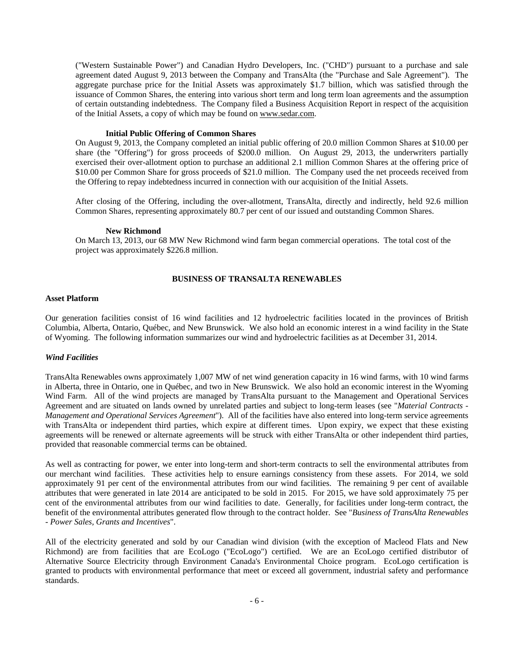("Western Sustainable Power") and Canadian Hydro Developers, Inc. ("CHD") pursuant to a purchase and sale agreement dated August 9, 2013 between the Company and TransAlta (the "Purchase and Sale Agreement"). The aggregate purchase price for the Initial Assets was approximately \$1.7 billion, which was satisfied through the issuance of Common Shares, the entering into various short term and long term loan agreements and the assumption of certain outstanding indebtedness. The Company filed a Business Acquisition Report in respect of the acquisition of the Initial Assets, a copy of which may be found on www.sedar.com.

#### **Initial Public Offering of Common Shares**

On August 9, 2013, the Company completed an initial public offering of 20.0 million Common Shares at \$10.00 per share (the "Offering") for gross proceeds of \$200.0 million. On August 29, 2013, the underwriters partially exercised their over-allotment option to purchase an additional 2.1 million Common Shares at the offering price of \$10.00 per Common Share for gross proceeds of \$21.0 million. The Company used the net proceeds received from the Offering to repay indebtedness incurred in connection with our acquisition of the Initial Assets.

After closing of the Offering, including the over-allotment, TransAlta, directly and indirectly, held 92.6 million Common Shares, representing approximately 80.7 per cent of our issued and outstanding Common Shares.

#### **New Richmond**

On March 13, 2013, our 68 MW New Richmond wind farm began commercial operations. The total cost of the project was approximately \$226.8 million.

#### **BUSINESS OF TRANSALTA RENEWABLES**

#### **Asset Platform**

Our generation facilities consist of 16 wind facilities and 12 hydroelectric facilities located in the provinces of British Columbia, Alberta, Ontario, Québec, and New Brunswick. We also hold an economic interest in a wind facility in the State of Wyoming. The following information summarizes our wind and hydroelectric facilities as at December 31, 2014.

#### *Wind Facilities*

TransAlta Renewables owns approximately 1,007 MW of net wind generation capacity in 16 wind farms, with 10 wind farms in Alberta, three in Ontario, one in Québec, and two in New Brunswick. We also hold an economic interest in the Wyoming Wind Farm. All of the wind projects are managed by TransAlta pursuant to the Management and Operational Services Agreement and are situated on lands owned by unrelated parties and subject to long-term leases (see "*Material Contracts - Management and Operational Services Agreement*"). All of the facilities have also entered into long-term service agreements with TransAlta or independent third parties, which expire at different times. Upon expiry, we expect that these existing agreements will be renewed or alternate agreements will be struck with either TransAlta or other independent third parties, provided that reasonable commercial terms can be obtained.

As well as contracting for power, we enter into long-term and short-term contracts to sell the environmental attributes from our merchant wind facilities. These activities help to ensure earnings consistency from these assets. For 2014, we sold approximately 91 per cent of the environmental attributes from our wind facilities. The remaining 9 per cent of available attributes that were generated in late 2014 are anticipated to be sold in 2015. For 2015, we have sold approximately 75 per cent of the environmental attributes from our wind facilities to date. Generally, for facilities under long-term contract, the benefit of the environmental attributes generated flow through to the contract holder. See "*Business of TransAlta Renewables - Power Sales, Grants and Incentives*".

All of the electricity generated and sold by our Canadian wind division (with the exception of Macleod Flats and New Richmond) are from facilities that are EcoLogo ("EcoLogo") certified. We are an EcoLogo certified distributor of Alternative Source Electricity through Environment Canada's Environmental Choice program. EcoLogo certification is granted to products with environmental performance that meet or exceed all government, industrial safety and performance standards.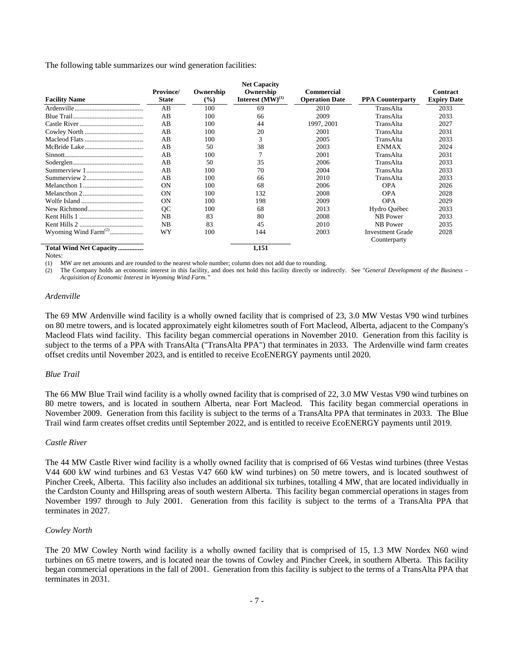The following table summarizes our wind generation facilities:

| <b>Facility Name</b>             | <b>Province</b> /<br><b>State</b> | Ownership<br>$\frac{9}{6}$ | <b>Net Capacity</b><br>Ownership<br>Interest $(MW)^{(1)}$ | Commercial<br><b>Operation Date</b> | <b>PPA Counterparty</b> | <b>Contract</b><br><b>Expiry Date</b> |
|----------------------------------|-----------------------------------|----------------------------|-----------------------------------------------------------|-------------------------------------|-------------------------|---------------------------------------|
|                                  | AB                                | 100                        | 69                                                        | 2010                                | TransAlta               | 2033                                  |
|                                  | AB                                | 100                        | 66                                                        | 2009                                | TransAlta               | 2033                                  |
|                                  | AB                                | 100                        | 44                                                        | 1997, 2001                          | TransAlta               | 2027                                  |
|                                  | AB                                | 100                        | 20                                                        | 2001                                | TransAlta               | 2031                                  |
|                                  | AB                                | 100                        | 3                                                         | 2005                                | TransAlta               | 2033                                  |
|                                  | AB                                | 50                         | 38                                                        | 2003                                | <b>ENMAX</b>            | 2024                                  |
|                                  | AB                                | 100                        |                                                           | 2001                                | TransAlta               | 2031                                  |
|                                  | AB                                | 50                         | 35                                                        | 2006                                | TransAlta               | 2033                                  |
|                                  | AB                                | 100                        | 70                                                        | 2004                                | TransAlta               | 2033                                  |
|                                  | AB                                | 100                        | 66                                                        | 2010                                | TransAlta               | 2033                                  |
|                                  | <b>ON</b>                         | 100                        | 68                                                        | 2006                                | <b>OPA</b>              | 2026                                  |
|                                  | <b>ON</b>                         | 100                        | 132                                                       | 2008                                | <b>OPA</b>              | 2028                                  |
|                                  | ON                                | 100                        | 198                                                       | 2009                                | <b>OPA</b>              | 2029                                  |
|                                  | OC                                | 100                        | 68                                                        | 2013                                | Hydro Québec            | 2033                                  |
|                                  | NB                                | 83                         | 80                                                        | 2008                                | NB Power                | 2033                                  |
|                                  | NB                                | 83                         | 45                                                        | 2010                                | NB Power                | 2035                                  |
| Wyoming Wind Farm <sup>(2)</sup> | WY                                | 100                        | 144                                                       | 2003                                | <b>Investment Grade</b> | 2028                                  |
|                                  |                                   |                            |                                                           |                                     | Counterparty            |                                       |
| Total Wind Net Capacity          |                                   |                            | 1,151                                                     |                                     |                         |                                       |

Notes:

(1) MW are net amounts and are rounded to the nearest whole number; column does not add due to rounding.

(2) The Company holds an economic interest in this facility, and does not hold this facility directly or indirectly. See "*General Development of the Business – Acquisition of Economic Interest in Wyoming Wind Farm."*

#### *Ardenville*

The 69 MW Ardenville wind facility is a wholly owned facility that is comprised of 23, 3.0 MW Vestas V90 wind turbines on 80 metre towers, and is located approximately eight kilometres south of Fort Macleod, Alberta, adjacent to the Company's Macleod Flats wind facility. This facility began commercial operations in November 2010. Generation from this facility is subject to the terms of a PPA with TransAlta ("TransAlta PPA") that terminates in 2033. The Ardenville wind farm creates offset credits until November 2023, and is entitled to receive EcoENERGY payments until 2020.

#### *Blue Trail*

The 66 MW Blue Trail wind facility is a wholly owned facility that is comprised of 22, 3.0 MW Vestas V90 wind turbines on 80 metre towers, and is located in southern Alberta, near Fort Macleod. This facility began commercial operations in November 2009. Generation from this facility is subject to the terms of a TransAlta PPA that terminates in 2033. The Blue Trail wind farm creates offset credits until September 2022, and is entitled to receive EcoENERGY payments until 2019.

#### *Castle River*

The 44 MW Castle River wind facility is a wholly owned facility that is comprised of 66 Vestas wind turbines (three Vestas V44 600 kW wind turbines and 63 Vestas V47 660 kW wind turbines) on 50 metre towers, and is located southwest of Pincher Creek, Alberta. This facility also includes an additional six turbines, totalling 4 MW, that are located individually in the Cardston County and Hillspring areas of south western Alberta. This facility began commercial operations in stages from November 1997 through to July 2001. Generation from this facility is subject to the terms of a TransAlta PPA that terminates in 2027.

#### *Cowley North*

The 20 MW Cowley North wind facility is a wholly owned facility that is comprised of 15, 1.3 MW Nordex N60 wind turbines on 65 metre towers, and is located near the towns of Cowley and Pincher Creek, in southern Alberta. This facility began commercial operations in the fall of 2001. Generation from this facility is subject to the terms of a TransAlta PPA that terminates in 2031.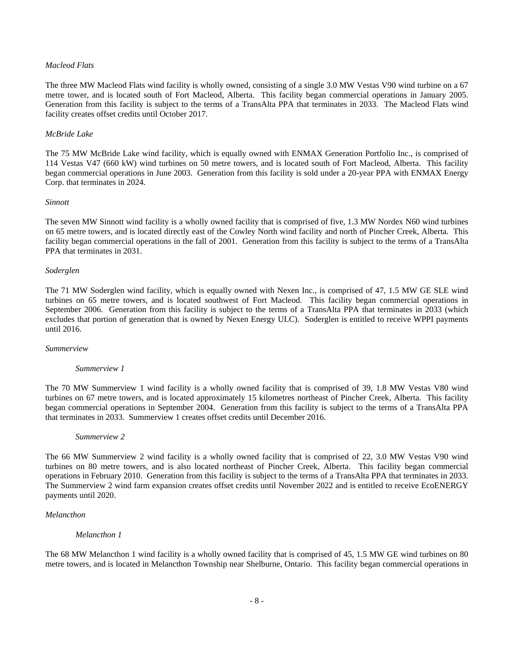# *Macleod Flats*

The three MW Macleod Flats wind facility is wholly owned, consisting of a single 3.0 MW Vestas V90 wind turbine on a 67 metre tower, and is located south of Fort Macleod, Alberta. This facility began commercial operations in January 2005. Generation from this facility is subject to the terms of a TransAlta PPA that terminates in 2033. The Macleod Flats wind facility creates offset credits until October 2017.

#### *McBride Lake*

The 75 MW McBride Lake wind facility, which is equally owned with ENMAX Generation Portfolio Inc., is comprised of 114 Vestas V47 (660 kW) wind turbines on 50 metre towers, and is located south of Fort Macleod, Alberta. This facility began commercial operations in June 2003. Generation from this facility is sold under a 20-year PPA with ENMAX Energy Corp. that terminates in 2024.

#### *Sinnott*

The seven MW Sinnott wind facility is a wholly owned facility that is comprised of five, 1.3 MW Nordex N60 wind turbines on 65 metre towers, and is located directly east of the Cowley North wind facility and north of Pincher Creek, Alberta. This facility began commercial operations in the fall of 2001. Generation from this facility is subject to the terms of a TransAlta PPA that terminates in 2031.

#### *Soderglen*

The 71 MW Soderglen wind facility, which is equally owned with Nexen Inc., is comprised of 47, 1.5 MW GE SLE wind turbines on 65 metre towers, and is located southwest of Fort Macleod. This facility began commercial operations in September 2006. Generation from this facility is subject to the terms of a TransAlta PPA that terminates in 2033 (which excludes that portion of generation that is owned by Nexen Energy ULC). Soderglen is entitled to receive WPPI payments until 2016.

*Summerview* 

#### *Summerview 1*

The 70 MW Summerview 1 wind facility is a wholly owned facility that is comprised of 39, 1.8 MW Vestas V80 wind turbines on 67 metre towers, and is located approximately 15 kilometres northeast of Pincher Creek, Alberta. This facility began commercial operations in September 2004. Generation from this facility is subject to the terms of a TransAlta PPA that terminates in 2033. Summerview 1 creates offset credits until December 2016.

#### *Summerview 2*

The 66 MW Summerview 2 wind facility is a wholly owned facility that is comprised of 22, 3.0 MW Vestas V90 wind turbines on 80 metre towers, and is also located northeast of Pincher Creek, Alberta. This facility began commercial operations in February 2010. Generation from this facility is subject to the terms of a TransAlta PPA that terminates in 2033. The Summerview 2 wind farm expansion creates offset credits until November 2022 and is entitled to receive EcoENERGY payments until 2020.

#### *Melancthon*

#### *Melancthon 1*

The 68 MW Melancthon 1 wind facility is a wholly owned facility that is comprised of 45, 1.5 MW GE wind turbines on 80 metre towers, and is located in Melancthon Township near Shelburne, Ontario. This facility began commercial operations in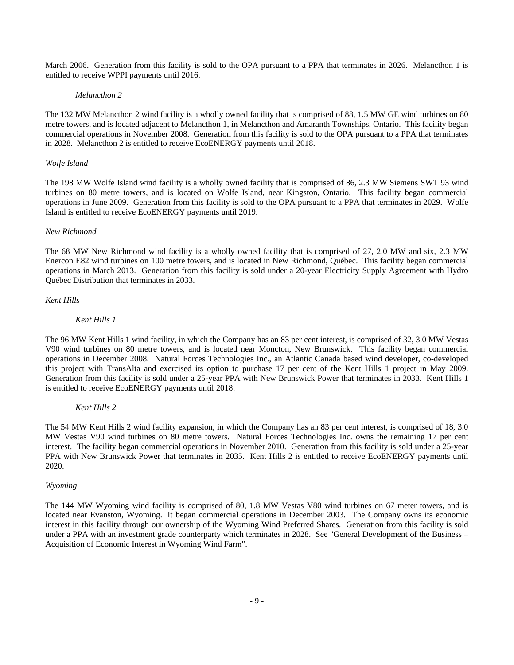March 2006. Generation from this facility is sold to the OPA pursuant to a PPA that terminates in 2026. Melancthon 1 is entitled to receive WPPI payments until 2016.

#### *Melancthon 2*

The 132 MW Melancthon 2 wind facility is a wholly owned facility that is comprised of 88, 1.5 MW GE wind turbines on 80 metre towers, and is located adjacent to Melancthon 1, in Melancthon and Amaranth Townships, Ontario. This facility began commercial operations in November 2008. Generation from this facility is sold to the OPA pursuant to a PPA that terminates in 2028. Melancthon 2 is entitled to receive EcoENERGY payments until 2018.

#### *Wolfe Island*

The 198 MW Wolfe Island wind facility is a wholly owned facility that is comprised of 86, 2.3 MW Siemens SWT 93 wind turbines on 80 metre towers, and is located on Wolfe Island, near Kingston, Ontario. This facility began commercial operations in June 2009. Generation from this facility is sold to the OPA pursuant to a PPA that terminates in 2029. Wolfe Island is entitled to receive EcoENERGY payments until 2019.

# *New Richmond*

The 68 MW New Richmond wind facility is a wholly owned facility that is comprised of 27, 2.0 MW and six, 2.3 MW Enercon E82 wind turbines on 100 metre towers, and is located in New Richmond, Québec. This facility began commercial operations in March 2013. Generation from this facility is sold under a 20-year Electricity Supply Agreement with Hydro Québec Distribution that terminates in 2033.

#### *Kent Hills*

# *Kent Hills 1*

The 96 MW Kent Hills 1 wind facility, in which the Company has an 83 per cent interest, is comprised of 32, 3.0 MW Vestas V90 wind turbines on 80 metre towers, and is located near Moncton, New Brunswick. This facility began commercial operations in December 2008. Natural Forces Technologies Inc., an Atlantic Canada based wind developer, co-developed this project with TransAlta and exercised its option to purchase 17 per cent of the Kent Hills 1 project in May 2009. Generation from this facility is sold under a 25-year PPA with New Brunswick Power that terminates in 2033. Kent Hills 1 is entitled to receive EcoENERGY payments until 2018.

#### *Kent Hills 2*

The 54 MW Kent Hills 2 wind facility expansion, in which the Company has an 83 per cent interest, is comprised of 18, 3.0 MW Vestas V90 wind turbines on 80 metre towers. Natural Forces Technologies Inc. owns the remaining 17 per cent interest. The facility began commercial operations in November 2010. Generation from this facility is sold under a 25-year PPA with New Brunswick Power that terminates in 2035. Kent Hills 2 is entitled to receive EcoENERGY payments until 2020.

#### *Wyoming*

The 144 MW Wyoming wind facility is comprised of 80, 1.8 MW Vestas V80 wind turbines on 67 meter towers, and is located near Evanston, Wyoming. It began commercial operations in December 2003. The Company owns its economic interest in this facility through our ownership of the Wyoming Wind Preferred Shares. Generation from this facility is sold under a PPA with an investment grade counterparty which terminates in 2028. See "General Development of the Business – Acquisition of Economic Interest in Wyoming Wind Farm".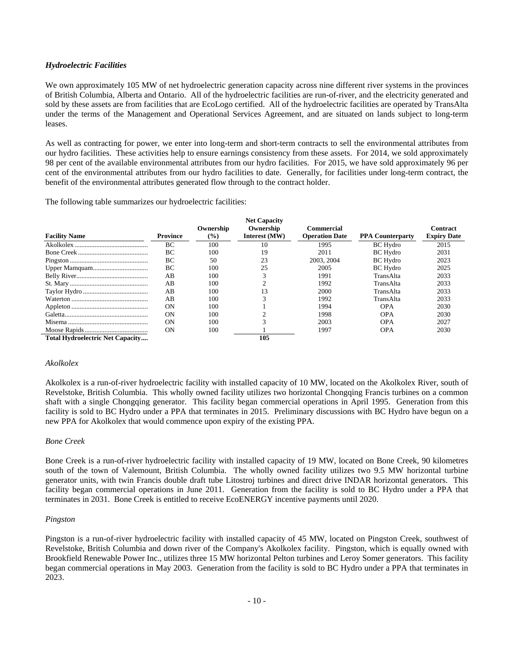# *Hydroelectric Facilities*

We own approximately 105 MW of net hydroelectric generation capacity across nine different river systems in the provinces of British Columbia, Alberta and Ontario. All of the hydroelectric facilities are run-of-river, and the electricity generated and sold by these assets are from facilities that are EcoLogo certified. All of the hydroelectric facilities are operated by TransAlta under the terms of the Management and Operational Services Agreement, and are situated on lands subject to long-term leases.

As well as contracting for power, we enter into long-term and short-term contracts to sell the environmental attributes from our hydro facilities. These activities help to ensure earnings consistency from these assets. For 2014, we sold approximately 98 per cent of the available environmental attributes from our hydro facilities. For 2015, we have sold approximately 96 per cent of the environmental attributes from our hydro facilities to date.Generally, for facilities under long-term contract, the benefit of the environmental attributes generated flow through to the contract holder.

The following table summarizes our hydroelectric facilities:

|                                         |                 | Ownership     | <b>Net Capacity</b><br>Ownership | <b>Commercial</b>     |                         | Contract           |
|-----------------------------------------|-----------------|---------------|----------------------------------|-----------------------|-------------------------|--------------------|
| <b>Facility Name</b>                    | <b>Province</b> | $\frac{9}{6}$ | Interest (MW)                    | <b>Operation Date</b> | <b>PPA Counterparty</b> | <b>Expiry Date</b> |
|                                         | ВC              | 100           | 10                               | 1995                  | <b>BC</b> Hydro         | 2015               |
|                                         | BC              | 100           | 19                               | 2011                  | <b>BC</b> Hydro         | 2031               |
|                                         | BC              | 50            | 23                               | 2003, 2004            | <b>BC</b> Hydro         | 2023               |
|                                         | BC              | 100           | 25                               | 2005                  | <b>BC</b> Hydro         | 2025               |
|                                         | AB              | 100           |                                  | 1991                  | TransAlta               | 2033               |
|                                         | AB              | 100           |                                  | 1992                  | TransAlta               | 2033               |
|                                         | AB              | 100           | 13                               | 2000                  | TransAlta               | 2033               |
|                                         | AВ              | 100           |                                  | 1992                  | TransAlta               | 2033               |
|                                         | <b>ON</b>       | 100           |                                  | 1994                  | <b>OPA</b>              | 2030               |
|                                         | ON              | 100           |                                  | 1998                  | <b>OPA</b>              | 2030               |
|                                         | <b>ON</b>       | 100           |                                  | 2003                  | <b>OPA</b>              | 2027               |
|                                         | <b>ON</b>       | 100           |                                  | 1997                  | <b>OPA</b>              | 2030               |
| <b>Total Hydroelectric Net Capacity</b> |                 |               | 105                              |                       |                         |                    |

#### *Akolkolex*

Akolkolex is a run-of-river hydroelectric facility with installed capacity of 10 MW, located on the Akolkolex River, south of Revelstoke, British Columbia. This wholly owned facility utilizes two horizontal Chongqing Francis turbines on a common shaft with a single Chongqing generator. This facility began commercial operations in April 1995. Generation from this facility is sold to BC Hydro under a PPA that terminates in 2015. Preliminary discussions with BC Hydro have begun on a new PPA for Akolkolex that would commence upon expiry of the existing PPA.

#### *Bone Creek*

Bone Creek is a run-of-river hydroelectric facility with installed capacity of 19 MW, located on Bone Creek, 90 kilometres south of the town of Valemount, British Columbia. The wholly owned facility utilizes two 9.5 MW horizontal turbine generator units, with twin Francis double draft tube Litostroj turbines and direct drive INDAR horizontal generators. This facility began commercial operations in June 2011. Generation from the facility is sold to BC Hydro under a PPA that terminates in 2031. Bone Creek is entitled to receive EcoENERGY incentive payments until 2020.

#### *Pingston*

Pingston is a run-of-river hydroelectric facility with installed capacity of 45 MW, located on Pingston Creek, southwest of Revelstoke, British Columbia and down river of the Company's Akolkolex facility. Pingston, which is equally owned with Brookfield Renewable Power Inc., utilizes three 15 MW horizontal Pelton turbines and Leroy Somer generators. This facility began commercial operations in May 2003. Generation from the facility is sold to BC Hydro under a PPA that terminates in 2023.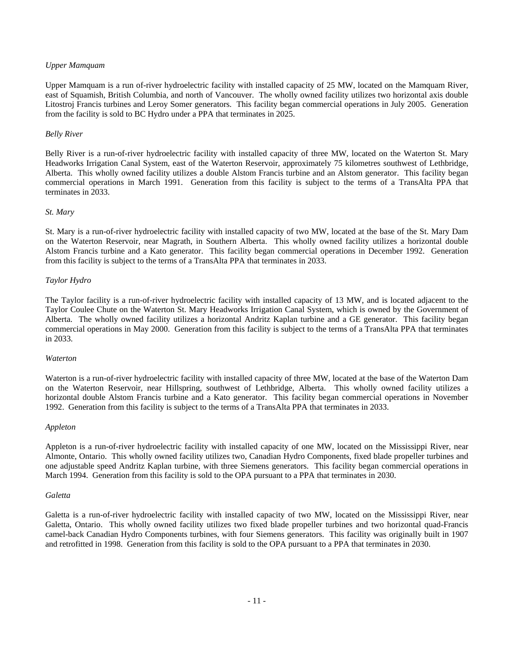#### *Upper Mamquam*

Upper Mamquam is a run of-river hydroelectric facility with installed capacity of 25 MW, located on the Mamquam River, east of Squamish, British Columbia, and north of Vancouver. The wholly owned facility utilizes two horizontal axis double Litostroj Francis turbines and Leroy Somer generators. This facility began commercial operations in July 2005. Generation from the facility is sold to BC Hydro under a PPA that terminates in 2025.

#### *Belly River*

Belly River is a run-of-river hydroelectric facility with installed capacity of three MW, located on the Waterton St. Mary Headworks Irrigation Canal System, east of the Waterton Reservoir, approximately 75 kilometres southwest of Lethbridge, Alberta. This wholly owned facility utilizes a double Alstom Francis turbine and an Alstom generator. This facility began commercial operations in March 1991. Generation from this facility is subject to the terms of a TransAlta PPA that terminates in 2033.

#### *St. Mary*

St. Mary is a run-of-river hydroelectric facility with installed capacity of two MW, located at the base of the St. Mary Dam on the Waterton Reservoir, near Magrath, in Southern Alberta. This wholly owned facility utilizes a horizontal double Alstom Francis turbine and a Kato generator. This facility began commercial operations in December 1992. Generation from this facility is subject to the terms of a TransAlta PPA that terminates in 2033.

#### *Taylor Hydro*

The Taylor facility is a run-of-river hydroelectric facility with installed capacity of 13 MW, and is located adjacent to the Taylor Coulee Chute on the Waterton St. Mary Headworks Irrigation Canal System, which is owned by the Government of Alberta. The wholly owned facility utilizes a horizontal Andritz Kaplan turbine and a GE generator. This facility began commercial operations in May 2000. Generation from this facility is subject to the terms of a TransAlta PPA that terminates in 2033.

#### *Waterton*

Waterton is a run-of-river hydroelectric facility with installed capacity of three MW, located at the base of the Waterton Dam on the Waterton Reservoir, near Hillspring, southwest of Lethbridge, Alberta. This wholly owned facility utilizes a horizontal double Alstom Francis turbine and a Kato generator. This facility began commercial operations in November 1992. Generation from this facility is subject to the terms of a TransAlta PPA that terminates in 2033.

#### *Appleton*

Appleton is a run-of-river hydroelectric facility with installed capacity of one MW, located on the Mississippi River, near Almonte, Ontario. This wholly owned facility utilizes two, Canadian Hydro Components, fixed blade propeller turbines and one adjustable speed Andritz Kaplan turbine, with three Siemens generators. This facility began commercial operations in March 1994. Generation from this facility is sold to the OPA pursuant to a PPA that terminates in 2030.

#### *Galetta*

Galetta is a run-of-river hydroelectric facility with installed capacity of two MW, located on the Mississippi River, near Galetta, Ontario. This wholly owned facility utilizes two fixed blade propeller turbines and two horizontal quad-Francis camel-back Canadian Hydro Components turbines, with four Siemens generators. This facility was originally built in 1907 and retrofitted in 1998. Generation from this facility is sold to the OPA pursuant to a PPA that terminates in 2030.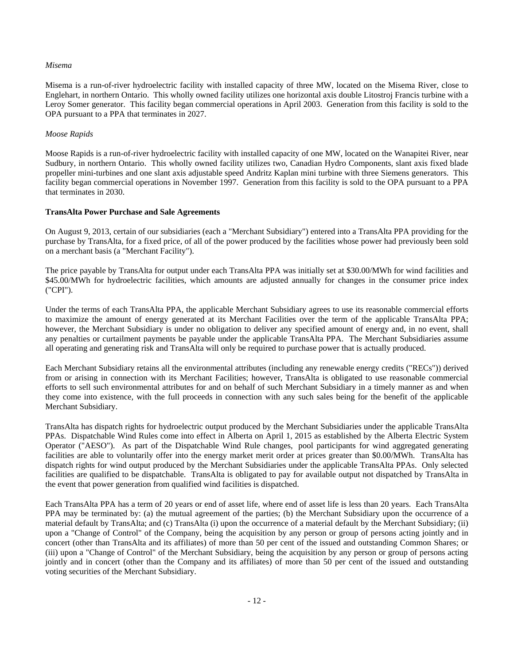# *Misema*

Misema is a run-of-river hydroelectric facility with installed capacity of three MW, located on the Misema River, close to Englehart, in northern Ontario. This wholly owned facility utilizes one horizontal axis double Litostroj Francis turbine with a Leroy Somer generator. This facility began commercial operations in April 2003. Generation from this facility is sold to the OPA pursuant to a PPA that terminates in 2027.

# *Moose Rapids*

Moose Rapids is a run-of-river hydroelectric facility with installed capacity of one MW, located on the Wanapitei River, near Sudbury, in northern Ontario. This wholly owned facility utilizes two, Canadian Hydro Components, slant axis fixed blade propeller mini-turbines and one slant axis adjustable speed Andritz Kaplan mini turbine with three Siemens generators. This facility began commercial operations in November 1997. Generation from this facility is sold to the OPA pursuant to a PPA that terminates in 2030.

# **TransAlta Power Purchase and Sale Agreements**

On August 9, 2013, certain of our subsidiaries (each a "Merchant Subsidiary") entered into a TransAlta PPA providing for the purchase by TransAlta, for a fixed price, of all of the power produced by the facilities whose power had previously been sold on a merchant basis (a "Merchant Facility").

The price payable by TransAlta for output under each TransAlta PPA was initially set at \$30.00/MWh for wind facilities and \$45.00/MWh for hydroelectric facilities, which amounts are adjusted annually for changes in the consumer price index ("CPI").

Under the terms of each TransAlta PPA, the applicable Merchant Subsidiary agrees to use its reasonable commercial efforts to maximize the amount of energy generated at its Merchant Facilities over the term of the applicable TransAlta PPA; however, the Merchant Subsidiary is under no obligation to deliver any specified amount of energy and, in no event, shall any penalties or curtailment payments be payable under the applicable TransAlta PPA. The Merchant Subsidiaries assume all operating and generating risk and TransAlta will only be required to purchase power that is actually produced.

Each Merchant Subsidiary retains all the environmental attributes (including any renewable energy credits ("RECs")) derived from or arising in connection with its Merchant Facilities; however, TransAlta is obligated to use reasonable commercial efforts to sell such environmental attributes for and on behalf of such Merchant Subsidiary in a timely manner as and when they come into existence, with the full proceeds in connection with any such sales being for the benefit of the applicable Merchant Subsidiary.

TransAlta has dispatch rights for hydroelectric output produced by the Merchant Subsidiaries under the applicable TransAlta PPAs. Dispatchable Wind Rules come into effect in Alberta on April 1, 2015 as established by the Alberta Electric System Operator ("AESO"). As part of the Dispatchable Wind Rule changes, pool participants for wind aggregated generating facilities are able to voluntarily offer into the energy market merit order at prices greater than \$0.00/MWh. TransAlta has dispatch rights for wind output produced by the Merchant Subsidiaries under the applicable TransAlta PPAs. Only selected facilities are qualified to be dispatchable. TransAlta is obligated to pay for available output not dispatched by TransAlta in the event that power generation from qualified wind facilities is dispatched.

Each TransAlta PPA has a term of 20 years or end of asset life, where end of asset life is less than 20 years. Each TransAlta PPA may be terminated by: (a) the mutual agreement of the parties; (b) the Merchant Subsidiary upon the occurrence of a material default by TransAlta; and (c) TransAlta (i) upon the occurrence of a material default by the Merchant Subsidiary; (ii) upon a "Change of Control" of the Company, being the acquisition by any person or group of persons acting jointly and in concert (other than TransAlta and its affiliates) of more than 50 per cent of the issued and outstanding Common Shares; or (iii) upon a "Change of Control" of the Merchant Subsidiary, being the acquisition by any person or group of persons acting jointly and in concert (other than the Company and its affiliates) of more than 50 per cent of the issued and outstanding voting securities of the Merchant Subsidiary.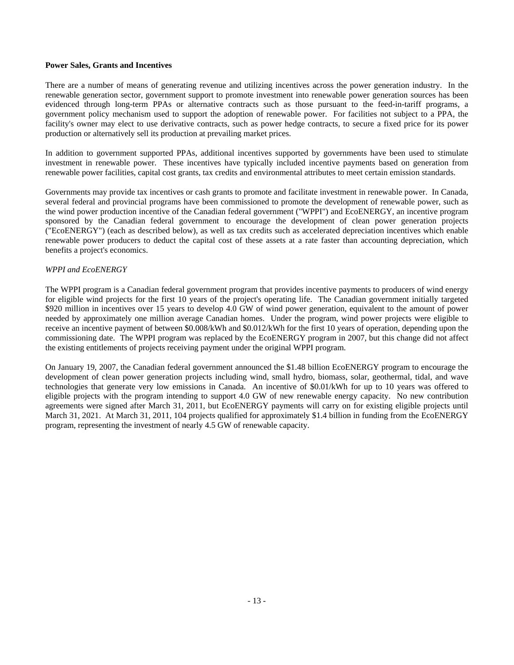#### **Power Sales, Grants and Incentives**

There are a number of means of generating revenue and utilizing incentives across the power generation industry. In the renewable generation sector, government support to promote investment into renewable power generation sources has been evidenced through long-term PPAs or alternative contracts such as those pursuant to the feed-in-tariff programs, a government policy mechanism used to support the adoption of renewable power. For facilities not subject to a PPA, the facility's owner may elect to use derivative contracts, such as power hedge contracts, to secure a fixed price for its power production or alternatively sell its production at prevailing market prices.

In addition to government supported PPAs, additional incentives supported by governments have been used to stimulate investment in renewable power. These incentives have typically included incentive payments based on generation from renewable power facilities, capital cost grants, tax credits and environmental attributes to meet certain emission standards.

Governments may provide tax incentives or cash grants to promote and facilitate investment in renewable power. In Canada, several federal and provincial programs have been commissioned to promote the development of renewable power, such as the wind power production incentive of the Canadian federal government ("WPPI") and EcoENERGY, an incentive program sponsored by the Canadian federal government to encourage the development of clean power generation projects ("EcoENERGY") (each as described below), as well as tax credits such as accelerated depreciation incentives which enable renewable power producers to deduct the capital cost of these assets at a rate faster than accounting depreciation, which benefits a project's economics.

#### *WPPI and EcoENERGY*

The WPPI program is a Canadian federal government program that provides incentive payments to producers of wind energy for eligible wind projects for the first 10 years of the project's operating life. The Canadian government initially targeted \$920 million in incentives over 15 years to develop 4.0 GW of wind power generation, equivalent to the amount of power needed by approximately one million average Canadian homes. Under the program, wind power projects were eligible to receive an incentive payment of between \$0.008/kWh and \$0.012/kWh for the first 10 years of operation, depending upon the commissioning date. The WPPI program was replaced by the EcoENERGY program in 2007, but this change did not affect the existing entitlements of projects receiving payment under the original WPPI program.

On January 19, 2007, the Canadian federal government announced the \$1.48 billion EcoENERGY program to encourage the development of clean power generation projects including wind, small hydro, biomass, solar, geothermal, tidal, and wave technologies that generate very low emissions in Canada. An incentive of \$0.01/kWh for up to 10 years was offered to eligible projects with the program intending to support 4.0 GW of new renewable energy capacity. No new contribution agreements were signed after March 31, 2011, but EcoENERGY payments will carry on for existing eligible projects until March 31, 2021. At March 31, 2011, 104 projects qualified for approximately \$1.4 billion in funding from the EcoENERGY program, representing the investment of nearly 4.5 GW of renewable capacity.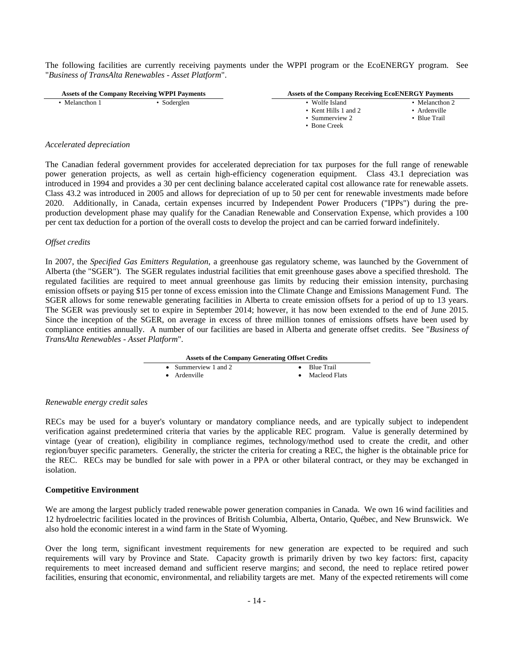The following facilities are currently receiving payments under the WPPI program or the EcoENERGY program. See "*Business of TransAlta Renewables - Asset Platform*".

| <b>Assets of the Company Receiving WPPI Payments</b> |             | <b>Assets of the Company Receiving EcoENERGY Payments</b> |                |
|------------------------------------------------------|-------------|-----------------------------------------------------------|----------------|
| Melancthon 1                                         | • Soderglen | • Wolfe Island                                            | • Melancthon 2 |
|                                                      |             | • Kent Hills 1 and 2                                      | Ardenville     |
|                                                      |             | • Summerview $2$                                          | Blue Trail     |
|                                                      |             | • Bone Creek                                              |                |

#### *Accelerated depreciation*

The Canadian federal government provides for accelerated depreciation for tax purposes for the full range of renewable power generation projects, as well as certain high-efficiency cogeneration equipment. Class 43.1 depreciation was introduced in 1994 and provides a 30 per cent declining balance accelerated capital cost allowance rate for renewable assets. Class 43.2 was introduced in 2005 and allows for depreciation of up to 50 per cent for renewable investments made before 2020. Additionally, in Canada, certain expenses incurred by Independent Power Producers ("IPPs") during the preproduction development phase may qualify for the Canadian Renewable and Conservation Expense, which provides a 100 per cent tax deduction for a portion of the overall costs to develop the project and can be carried forward indefinitely.

#### *Offset credits*

In 2007, the *Specified Gas Emitters Regulation*, a greenhouse gas regulatory scheme, was launched by the Government of Alberta (the "SGER"). The SGER regulates industrial facilities that emit greenhouse gases above a specified threshold. The regulated facilities are required to meet annual greenhouse gas limits by reducing their emission intensity, purchasing emission offsets or paying \$15 per tonne of excess emission into the Climate Change and Emissions Management Fund. The SGER allows for some renewable generating facilities in Alberta to create emission offsets for a period of up to 13 years. The SGER was previously set to expire in September 2014; however, it has now been extended to the end of June 2015. Since the inception of the SGER, on average in excess of three million tonnes of emissions offsets have been used by compliance entities annually. A number of our facilities are based in Alberta and generate offset credits. See "*Business of TransAlta Renewables - Asset Platform*".

| <b>Assets of the Company Generating Offset Credits</b> |                         |  |  |
|--------------------------------------------------------|-------------------------|--|--|
| • Summerview 1 and 2                                   | $\bullet$ Blue Trail    |  |  |
| $\bullet$ Ardenville                                   | $\bullet$ Macleod Flats |  |  |

#### *Renewable energy credit sales*

RECs may be used for a buyer's voluntary or mandatory compliance needs, and are typically subject to independent verification against predetermined criteria that varies by the applicable REC program. Value is generally determined by vintage (year of creation), eligibility in compliance regimes, technology/method used to create the credit, and other region/buyer specific parameters. Generally, the stricter the criteria for creating a REC, the higher is the obtainable price for the REC. RECs may be bundled for sale with power in a PPA or other bilateral contract, or they may be exchanged in isolation.

#### **Competitive Environment**

We are among the largest publicly traded renewable power generation companies in Canada. We own 16 wind facilities and 12 hydroelectric facilities located in the provinces of British Columbia, Alberta, Ontario, Québec, and New Brunswick. We also hold the economic interest in a wind farm in the State of Wyoming.

Over the long term, significant investment requirements for new generation are expected to be required and such requirements will vary by Province and State. Capacity growth is primarily driven by two key factors: first, capacity requirements to meet increased demand and sufficient reserve margins; and second, the need to replace retired power facilities, ensuring that economic, environmental, and reliability targets are met. Many of the expected retirements will come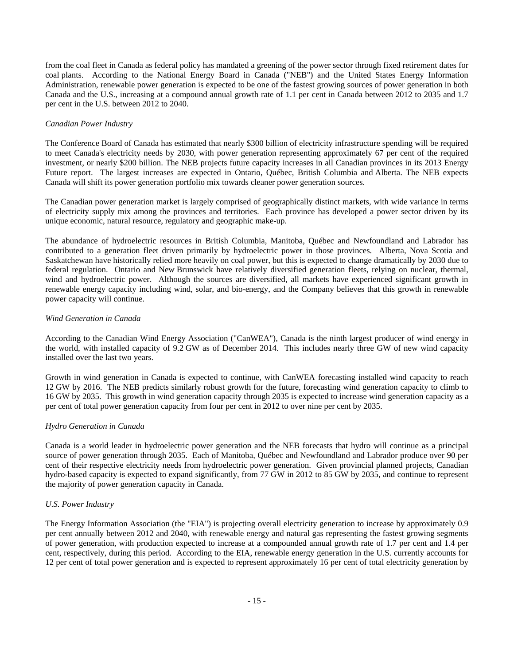from the coal fleet in Canada as federal policy has mandated a greening of the power sector through fixed retirement dates for coal plants. According to the National Energy Board in Canada ("NEB") and the United States Energy Information Administration, renewable power generation is expected to be one of the fastest growing sources of power generation in both Canada and the U.S., increasing at a compound annual growth rate of 1.1 per cent in Canada between 2012 to 2035 and 1.7 per cent in the U.S. between 2012 to 2040.

# *Canadian Power Industry*

The Conference Board of Canada has estimated that nearly \$300 billion of electricity infrastructure spending will be required to meet Canada's electricity needs by 2030, with power generation representing approximately 67 per cent of the required investment, or nearly \$200 billion. The NEB projects future capacity increases in all Canadian provinces in its 2013 Energy Future report. The largest increases are expected in Ontario, Québec, British Columbia and Alberta. The NEB expects Canada will shift its power generation portfolio mix towards cleaner power generation sources.

The Canadian power generation market is largely comprised of geographically distinct markets, with wide variance in terms of electricity supply mix among the provinces and territories. Each province has developed a power sector driven by its unique economic, natural resource, regulatory and geographic make-up.

The abundance of hydroelectric resources in British Columbia, Manitoba, Québec and Newfoundland and Labrador has contributed to a generation fleet driven primarily by hydroelectric power in those provinces. Alberta, Nova Scotia and Saskatchewan have historically relied more heavily on coal power, but this is expected to change dramatically by 2030 due to federal regulation. Ontario and New Brunswick have relatively diversified generation fleets, relying on nuclear, thermal, wind and hydroelectric power. Although the sources are diversified, all markets have experienced significant growth in renewable energy capacity including wind, solar, and bio-energy, and the Company believes that this growth in renewable power capacity will continue.

# *Wind Generation in Canada*

According to the Canadian Wind Energy Association ("CanWEA"), Canada is the ninth largest producer of wind energy in the world, with installed capacity of 9.2 GW as of December 2014. This includes nearly three GW of new wind capacity installed over the last two years.

Growth in wind generation in Canada is expected to continue, with CanWEA forecasting installed wind capacity to reach 12 GW by 2016. The NEB predicts similarly robust growth for the future, forecasting wind generation capacity to climb to 16 GW by 2035. This growth in wind generation capacity through 2035 is expected to increase wind generation capacity as a per cent of total power generation capacity from four per cent in 2012 to over nine per cent by 2035.

# *Hydro Generation in Canada*

Canada is a world leader in hydroelectric power generation and the NEB forecasts that hydro will continue as a principal source of power generation through 2035. Each of Manitoba, Québec and Newfoundland and Labrador produce over 90 per cent of their respective electricity needs from hydroelectric power generation. Given provincial planned projects, Canadian hydro-based capacity is expected to expand significantly, from 77 GW in 2012 to 85 GW by 2035, and continue to represent the majority of power generation capacity in Canada.

#### *U.S. Power Industry*

The Energy Information Association (the "EIA") is projecting overall electricity generation to increase by approximately 0.9 per cent annually between 2012 and 2040, with renewable energy and natural gas representing the fastest growing segments of power generation, with production expected to increase at a compounded annual growth rate of 1.7 per cent and 1.4 per cent, respectively, during this period. According to the EIA, renewable energy generation in the U.S. currently accounts for 12 per cent of total power generation and is expected to represent approximately 16 per cent of total electricity generation by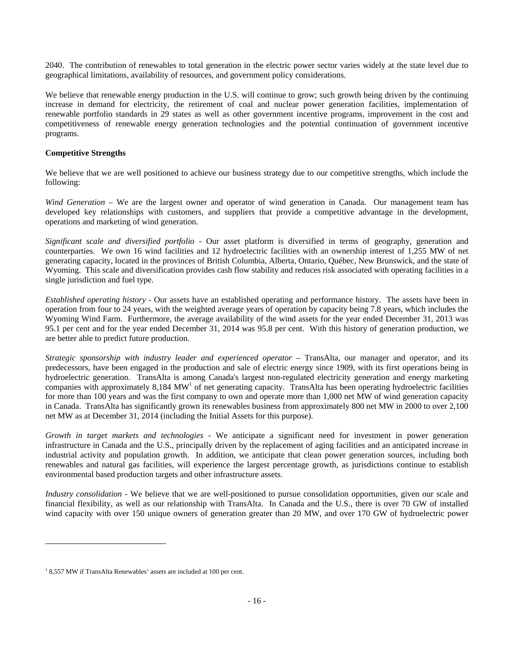2040. The contribution of renewables to total generation in the electric power sector varies widely at the state level due to geographical limitations, availability of resources, and government policy considerations.

We believe that renewable energy production in the U.S. will continue to grow; such growth being driven by the continuing increase in demand for electricity, the retirement of coal and nuclear power generation facilities, implementation of renewable portfolio standards in 29 states as well as other government incentive programs, improvement in the cost and competitiveness of renewable energy generation technologies and the potential continuation of government incentive programs.

# **Competitive Strengths**

We believe that we are well positioned to achieve our business strategy due to our competitive strengths, which include the following:

*Wind Generation* – We are the largest owner and operator of wind generation in Canada. Our management team has developed key relationships with customers, and suppliers that provide a competitive advantage in the development, operations and marketing of wind generation.

*Significant scale and diversified portfolio* - Our asset platform is diversified in terms of geography, generation and counterparties. We own 16 wind facilities and 12 hydroelectric facilities with an ownership interest of 1,255 MW of net generating capacity, located in the provinces of British Columbia, Alberta, Ontario, Québec, New Brunswick, and the state of Wyoming. This scale and diversification provides cash flow stability and reduces risk associated with operating facilities in a single jurisdiction and fuel type.

*Established operating history* - Our assets have an established operating and performance history. The assets have been in operation from four to 24 years, with the weighted average years of operation by capacity being 7.8 years, which includes the Wyoming Wind Farm. Furthermore, the average availability of the wind assets for the year ended December 31, 2013 was 95.1 per cent and for the year ended December 31, 2014 was 95.8 per cent. With this history of generation production, we are better able to predict future production.

*Strategic sponsorship with industry leader and experienced operator* – TransAlta, our manager and operator, and its predecessors, have been engaged in the production and sale of electric energy since 1909, with its first operations being in hydroelectric generation. TransAlta is among Canada's largest non-regulated electricity generation and energy marketing companies with approximately  $8,184$  MW<sup>1</sup> of net generating capacity. TransAlta has been operating hydroelectric facilities for more than 100 years and was the first company to own and operate more than 1,000 net MW of wind generation capacity in Canada. TransAlta has significantly grown its renewables business from approximately 800 net MW in 2000 to over 2,100 net MW as at December 31, 2014 (including the Initial Assets for this purpose).

*Growth in target markets and technologies* - We anticipate a significant need for investment in power generation infrastructure in Canada and the U.S., principally driven by the replacement of aging facilities and an anticipated increase in industrial activity and population growth. In addition, we anticipate that clean power generation sources, including both renewables and natural gas facilities, will experience the largest percentage growth, as jurisdictions continue to establish environmental based production targets and other infrastructure assets.

*Industry consolidation* - We believe that we are well-positioned to pursue consolidation opportunities, given our scale and financial flexibility, as well as our relationship with TransAlta. In Canada and the U.S., there is over 70 GW of installed wind capacity with over 150 unique owners of generation greater than 20 MW, and over 170 GW of hydroelectric power

l

<sup>&</sup>lt;sup>1</sup> 8,557 MW if TransAlta Renewables' assets are included at 100 per cent.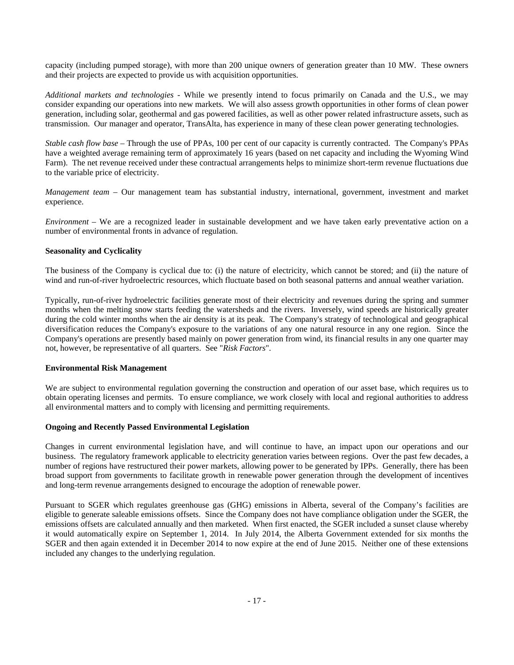capacity (including pumped storage), with more than 200 unique owners of generation greater than 10 MW.These owners and their projects are expected to provide us with acquisition opportunities.

*Additional markets and technologies* - While we presently intend to focus primarily on Canada and the U.S., we may consider expanding our operations into new markets. We will also assess growth opportunities in other forms of clean power generation, including solar, geothermal and gas powered facilities, as well as other power related infrastructure assets, such as transmission. Our manager and operator, TransAlta, has experience in many of these clean power generating technologies.

*Stable cash flow base* – Through the use of PPAs, 100 per cent of our capacity is currently contracted. The Company's PPAs have a weighted average remaining term of approximately 16 years (based on net capacity and including the Wyoming Wind Farm). The net revenue received under these contractual arrangements helps to minimize short-term revenue fluctuations due to the variable price of electricity.

*Management team* – Our management team has substantial industry, international, government, investment and market experience.

*Environment* – We are a recognized leader in sustainable development and we have taken early preventative action on a number of environmental fronts in advance of regulation.

# **Seasonality and Cyclicality**

The business of the Company is cyclical due to: (i) the nature of electricity, which cannot be stored; and (ii) the nature of wind and run-of-river hydroelectric resources, which fluctuate based on both seasonal patterns and annual weather variation.

Typically, run-of-river hydroelectric facilities generate most of their electricity and revenues during the spring and summer months when the melting snow starts feeding the watersheds and the rivers. Inversely, wind speeds are historically greater during the cold winter months when the air density is at its peak. The Company's strategy of technological and geographical diversification reduces the Company's exposure to the variations of any one natural resource in any one region. Since the Company's operations are presently based mainly on power generation from wind, its financial results in any one quarter may not, however, be representative of all quarters. See "*Risk Factors*".

#### **Environmental Risk Management**

We are subject to environmental regulation governing the construction and operation of our asset base, which requires us to obtain operating licenses and permits. To ensure compliance, we work closely with local and regional authorities to address all environmental matters and to comply with licensing and permitting requirements.

# **Ongoing and Recently Passed Environmental Legislation**

Changes in current environmental legislation have, and will continue to have, an impact upon our operations and our business. The regulatory framework applicable to electricity generation varies between regions. Over the past few decades, a number of regions have restructured their power markets, allowing power to be generated by IPPs. Generally, there has been broad support from governments to facilitate growth in renewable power generation through the development of incentives and long-term revenue arrangements designed to encourage the adoption of renewable power.

Pursuant to SGER which regulates greenhouse gas (GHG) emissions in Alberta, several of the Company's facilities are eligible to generate saleable emissions offsets. Since the Company does not have compliance obligation under the SGER, the emissions offsets are calculated annually and then marketed. When first enacted, the SGER included a sunset clause whereby it would automatically expire on September 1, 2014. In July 2014, the Alberta Government extended for six months the SGER and then again extended it in December 2014 to now expire at the end of June 2015. Neither one of these extensions included any changes to the underlying regulation.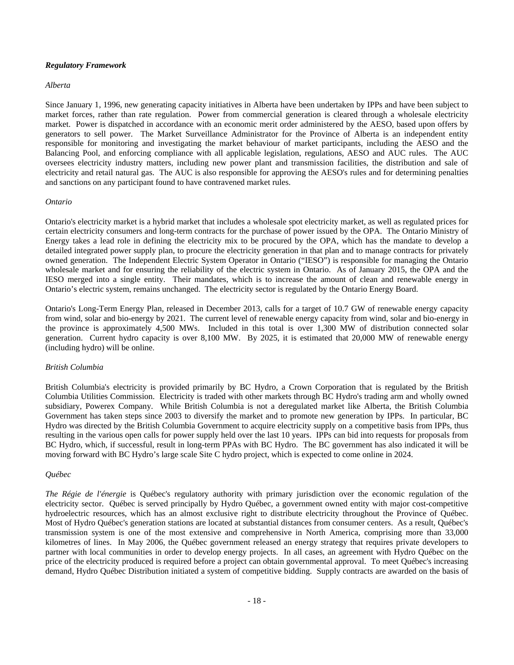#### *Regulatory Framework*

#### *Alberta*

Since January 1, 1996, new generating capacity initiatives in Alberta have been undertaken by IPPs and have been subject to market forces, rather than rate regulation. Power from commercial generation is cleared through a wholesale electricity market. Power is dispatched in accordance with an economic merit order administered by the AESO, based upon offers by generators to sell power. The Market Surveillance Administrator for the Province of Alberta is an independent entity responsible for monitoring and investigating the market behaviour of market participants, including the AESO and the Balancing Pool, and enforcing compliance with all applicable legislation, regulations, AESO and AUC rules. The AUC oversees electricity industry matters, including new power plant and transmission facilities, the distribution and sale of electricity and retail natural gas. The AUC is also responsible for approving the AESO's rules and for determining penalties and sanctions on any participant found to have contravened market rules.

#### *Ontario*

Ontario's electricity market is a hybrid market that includes a wholesale spot electricity market, as well as regulated prices for certain electricity consumers and long-term contracts for the purchase of power issued by the OPA. The Ontario Ministry of Energy takes a lead role in defining the electricity mix to be procured by the OPA, which has the mandate to develop a detailed integrated power supply plan, to procure the electricity generation in that plan and to manage contracts for privately owned generation. The Independent Electric System Operator in Ontario ("IESO") is responsible for managing the Ontario wholesale market and for ensuring the reliability of the electric system in Ontario. As of January 2015, the OPA and the IESO merged into a single entity. Their mandates, which is to increase the amount of clean and renewable energy in Ontario's electric system, remains unchanged. The electricity sector is regulated by the Ontario Energy Board.

Ontario's Long-Term Energy Plan, released in December 2013, calls for a target of 10.7 GW of renewable energy capacity from wind, solar and bio-energy by 2021. The current level of renewable energy capacity from wind, solar and bio-energy in the province is approximately 4,500 MWs. Included in this total is over 1,300 MW of distribution connected solar generation. Current hydro capacity is over 8,100 MW. By 2025, it is estimated that 20,000 MW of renewable energy (including hydro) will be online.

#### *British Columbia*

British Columbia's electricity is provided primarily by BC Hydro, a Crown Corporation that is regulated by the British Columbia Utilities Commission. Electricity is traded with other markets through BC Hydro's trading arm and wholly owned subsidiary, Powerex Company. While British Columbia is not a deregulated market like Alberta, the British Columbia Government has taken steps since 2003 to diversify the market and to promote new generation by IPPs. In particular, BC Hydro was directed by the British Columbia Government to acquire electricity supply on a competitive basis from IPPs, thus resulting in the various open calls for power supply held over the last 10 years. IPPs can bid into requests for proposals from BC Hydro, which, if successful, result in long-term PPAs with BC Hydro. The BC government has also indicated it will be moving forward with BC Hydro's large scale Site C hydro project, which is expected to come online in 2024.

#### *Québec*

*The Régie de l'énergie* is Québec's regulatory authority with primary jurisdiction over the economic regulation of the electricity sector. Québec is served principally by Hydro Québec, a government owned entity with major cost-competitive hydroelectric resources, which has an almost exclusive right to distribute electricity throughout the Province of Québec. Most of Hydro Québec's generation stations are located at substantial distances from consumer centers. As a result, Québec's transmission system is one of the most extensive and comprehensive in North America, comprising more than 33,000 kilometres of lines. In May 2006, the Québec government released an energy strategy that requires private developers to partner with local communities in order to develop energy projects. In all cases, an agreement with Hydro Québec on the price of the electricity produced is required before a project can obtain governmental approval. To meet Québec's increasing demand, Hydro Québec Distribution initiated a system of competitive bidding. Supply contracts are awarded on the basis of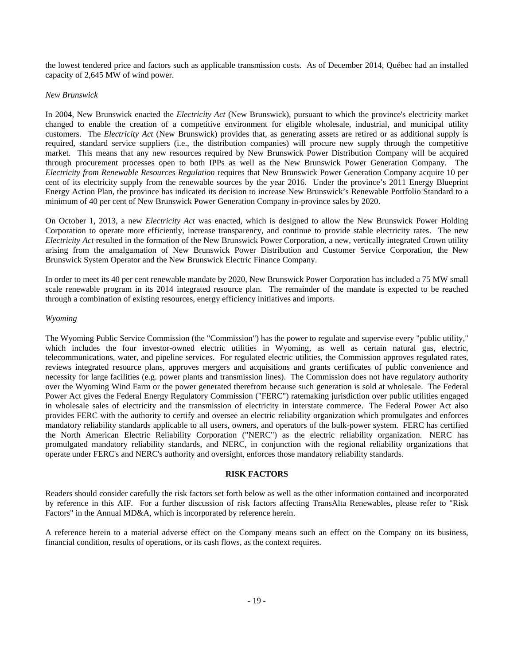the lowest tendered price and factors such as applicable transmission costs. As of December 2014, Québec had an installed capacity of 2,645 MW of wind power.

# *New Brunswick*

In 2004, New Brunswick enacted the *Electricity Act* (New Brunswick), pursuant to which the province's electricity market changed to enable the creation of a competitive environment for eligible wholesale, industrial, and municipal utility customers. The *Electricity Act* (New Brunswick) provides that, as generating assets are retired or as additional supply is required, standard service suppliers (i.e., the distribution companies) will procure new supply through the competitive market. This means that any new resources required by New Brunswick Power Distribution Company will be acquired through procurement processes open to both IPPs as well as the New Brunswick Power Generation Company. The *Electricity from Renewable Resources Regulation* requires that New Brunswick Power Generation Company acquire 10 per cent of its electricity supply from the renewable sources by the year 2016. Under the province's 2011 Energy Blueprint Energy Action Plan, the province has indicated its decision to increase New Brunswick's Renewable Portfolio Standard to a minimum of 40 per cent of New Brunswick Power Generation Company in-province sales by 2020.

On October 1, 2013, a new *Electricity Act* was enacted, which is designed to allow the New Brunswick Power Holding Corporation to operate more efficiently, increase transparency, and continue to provide stable electricity rates. The new *Electricity Act* resulted in the formation of the New Brunswick Power Corporation, a new, vertically integrated Crown utility arising from the amalgamation of New Brunswick Power Distribution and Customer Service Corporation, the New Brunswick System Operator and the New Brunswick Electric Finance Company.

In order to meet its 40 per cent renewable mandate by 2020, New Brunswick Power Corporation has included a 75 MW small scale renewable program in its 2014 integrated resource plan. The remainder of the mandate is expected to be reached through a combination of existing resources, energy efficiency initiatives and imports.

#### *Wyoming*

The Wyoming Public Service Commission (the "Commission") has the power to regulate and supervise every "public utility," which includes the four investor-owned electric utilities in Wyoming, as well as certain natural gas, electric, telecommunications, water, and pipeline services. For regulated electric utilities, the Commission approves regulated rates, reviews integrated resource plans, approves mergers and acquisitions and grants certificates of public convenience and necessity for large facilities (e.g. power plants and transmission lines). The Commission does not have regulatory authority over the Wyoming Wind Farm or the power generated therefrom because such generation is sold at wholesale. The Federal Power Act gives the Federal Energy Regulatory Commission ("FERC") ratemaking jurisdiction over public utilities engaged in wholesale sales of electricity and the transmission of electricity in interstate commerce. The Federal Power Act also provides FERC with the authority to certify and oversee an electric reliability organization which promulgates and enforces mandatory reliability standards applicable to all users, owners, and operators of the bulk-power system. FERC has certified the North American Electric Reliability Corporation ("NERC") as the electric reliability organization. NERC has promulgated mandatory reliability standards, and NERC, in conjunction with the regional reliability organizations that operate under FERC's and NERC's authority and oversight, enforces those mandatory reliability standards.

#### **RISK FACTORS**

Readers should consider carefully the risk factors set forth below as well as the other information contained and incorporated by reference in this AIF. For a further discussion of risk factors affecting TransAlta Renewables, please refer to "Risk Factors" in the Annual MD&A, which is incorporated by reference herein.

A reference herein to a material adverse effect on the Company means such an effect on the Company on its business, financial condition, results of operations, or its cash flows, as the context requires.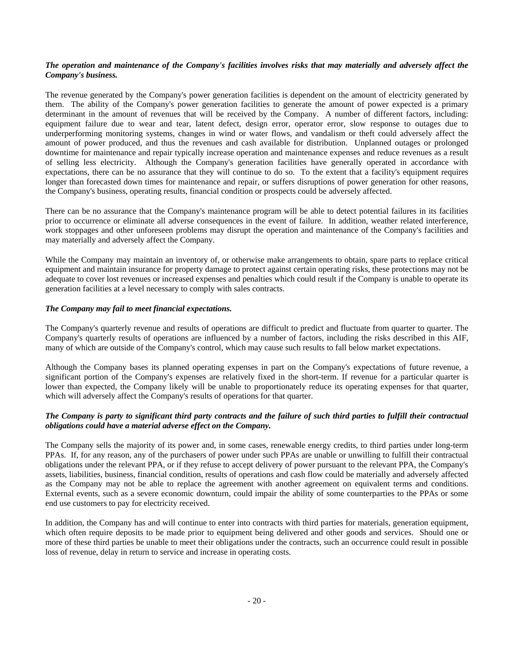# *The operation and maintenance of the Company's facilities involves risks that may materially and adversely affect the Company's business.*

The revenue generated by the Company's power generation facilities is dependent on the amount of electricity generated by them. The ability of the Company's power generation facilities to generate the amount of power expected is a primary determinant in the amount of revenues that will be received by the Company. A number of different factors, including: equipment failure due to wear and tear, latent defect, design error, operator error, slow response to outages due to underperforming monitoring systems, changes in wind or water flows, and vandalism or theft could adversely affect the amount of power produced, and thus the revenues and cash available for distribution. Unplanned outages or prolonged downtime for maintenance and repair typically increase operation and maintenance expenses and reduce revenues as a result of selling less electricity. Although the Company's generation facilities have generally operated in accordance with expectations, there can be no assurance that they will continue to do so. To the extent that a facility's equipment requires longer than forecasted down times for maintenance and repair, or suffers disruptions of power generation for other reasons, the Company's business, operating results, financial condition or prospects could be adversely affected.

There can be no assurance that the Company's maintenance program will be able to detect potential failures in its facilities prior to occurrence or eliminate all adverse consequences in the event of failure. In addition, weather related interference, work stoppages and other unforeseen problems may disrupt the operation and maintenance of the Company's facilities and may materially and adversely affect the Company.

While the Company may maintain an inventory of, or otherwise make arrangements to obtain, spare parts to replace critical equipment and maintain insurance for property damage to protect against certain operating risks, these protections may not be adequate to cover lost revenues or increased expenses and penalties which could result if the Company is unable to operate its generation facilities at a level necessary to comply with sales contracts.

# *The Company may fail to meet financial expectations.*

The Company's quarterly revenue and results of operations are difficult to predict and fluctuate from quarter to quarter. The Company's quarterly results of operations are influenced by a number of factors, including the risks described in this AIF, many of which are outside of the Company's control, which may cause such results to fall below market expectations.

Although the Company bases its planned operating expenses in part on the Company's expectations of future revenue, a significant portion of the Company's expenses are relatively fixed in the short-term. If revenue for a particular quarter is lower than expected, the Company likely will be unable to proportionately reduce its operating expenses for that quarter, which will adversely affect the Company's results of operations for that quarter.

# *The Company is party to significant third party contracts and the failure of such third parties to fulfill their contractual obligations could have a material adverse effect on the Company.*

The Company sells the majority of its power and, in some cases, renewable energy credits, to third parties under long-term PPAs. If, for any reason, any of the purchasers of power under such PPAs are unable or unwilling to fulfill their contractual obligations under the relevant PPA, or if they refuse to accept delivery of power pursuant to the relevant PPA, the Company's assets, liabilities, business, financial condition, results of operations and cash flow could be materially and adversely affected as the Company may not be able to replace the agreement with another agreement on equivalent terms and conditions. External events, such as a severe economic downturn, could impair the ability of some counterparties to the PPAs or some end use customers to pay for electricity received.

In addition, the Company has and will continue to enter into contracts with third parties for materials, generation equipment, which often require deposits to be made prior to equipment being delivered and other goods and services. Should one or more of these third parties be unable to meet their obligations under the contracts, such an occurrence could result in possible loss of revenue, delay in return to service and increase in operating costs.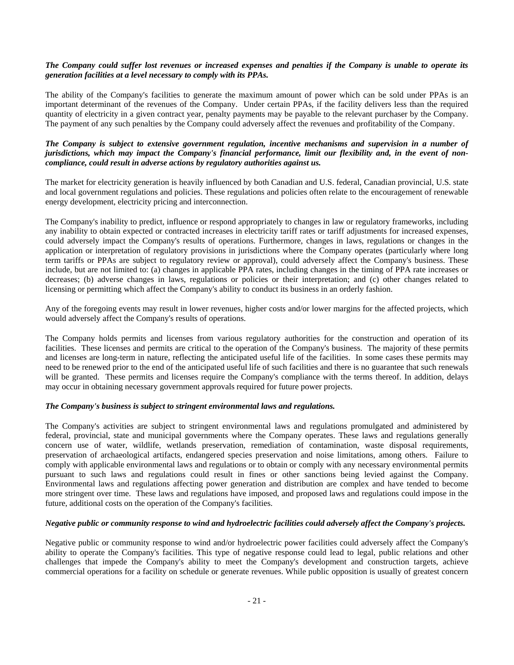# *The Company could suffer lost revenues or increased expenses and penalties if the Company is unable to operate its generation facilities at a level necessary to comply with its PPAs.*

The ability of the Company's facilities to generate the maximum amount of power which can be sold under PPAs is an important determinant of the revenues of the Company. Under certain PPAs, if the facility delivers less than the required quantity of electricity in a given contract year, penalty payments may be payable to the relevant purchaser by the Company. The payment of any such penalties by the Company could adversely affect the revenues and profitability of the Company.

# *The Company is subject to extensive government regulation, incentive mechanisms and supervision in a number of jurisdictions, which may impact the Company's financial performance, limit our flexibility and, in the event of noncompliance, could result in adverse actions by regulatory authorities against us.*

The market for electricity generation is heavily influenced by both Canadian and U.S. federal, Canadian provincial, U.S. state and local government regulations and policies. These regulations and policies often relate to the encouragement of renewable energy development, electricity pricing and interconnection.

The Company's inability to predict, influence or respond appropriately to changes in law or regulatory frameworks, including any inability to obtain expected or contracted increases in electricity tariff rates or tariff adjustments for increased expenses, could adversely impact the Company's results of operations. Furthermore, changes in laws, regulations or changes in the application or interpretation of regulatory provisions in jurisdictions where the Company operates (particularly where long term tariffs or PPAs are subject to regulatory review or approval), could adversely affect the Company's business. These include, but are not limited to: (a) changes in applicable PPA rates, including changes in the timing of PPA rate increases or decreases; (b) adverse changes in laws, regulations or policies or their interpretation; and (c) other changes related to licensing or permitting which affect the Company's ability to conduct its business in an orderly fashion.

Any of the foregoing events may result in lower revenues, higher costs and/or lower margins for the affected projects, which would adversely affect the Company's results of operations.

The Company holds permits and licenses from various regulatory authorities for the construction and operation of its facilities. These licenses and permits are critical to the operation of the Company's business. The majority of these permits and licenses are long-term in nature, reflecting the anticipated useful life of the facilities. In some cases these permits may need to be renewed prior to the end of the anticipated useful life of such facilities and there is no guarantee that such renewals will be granted. These permits and licenses require the Company's compliance with the terms thereof. In addition, delays may occur in obtaining necessary government approvals required for future power projects.

# *The Company's business is subject to stringent environmental laws and regulations.*

The Company's activities are subject to stringent environmental laws and regulations promulgated and administered by federal, provincial, state and municipal governments where the Company operates. These laws and regulations generally concern use of water, wildlife, wetlands preservation, remediation of contamination, waste disposal requirements, preservation of archaeological artifacts, endangered species preservation and noise limitations, among others. Failure to comply with applicable environmental laws and regulations or to obtain or comply with any necessary environmental permits pursuant to such laws and regulations could result in fines or other sanctions being levied against the Company. Environmental laws and regulations affecting power generation and distribution are complex and have tended to become more stringent over time. These laws and regulations have imposed, and proposed laws and regulations could impose in the future, additional costs on the operation of the Company's facilities.

# *Negative public or community response to wind and hydroelectric facilities could adversely affect the Company's projects.*

Negative public or community response to wind and/or hydroelectric power facilities could adversely affect the Company's ability to operate the Company's facilities. This type of negative response could lead to legal, public relations and other challenges that impede the Company's ability to meet the Company's development and construction targets, achieve commercial operations for a facility on schedule or generate revenues. While public opposition is usually of greatest concern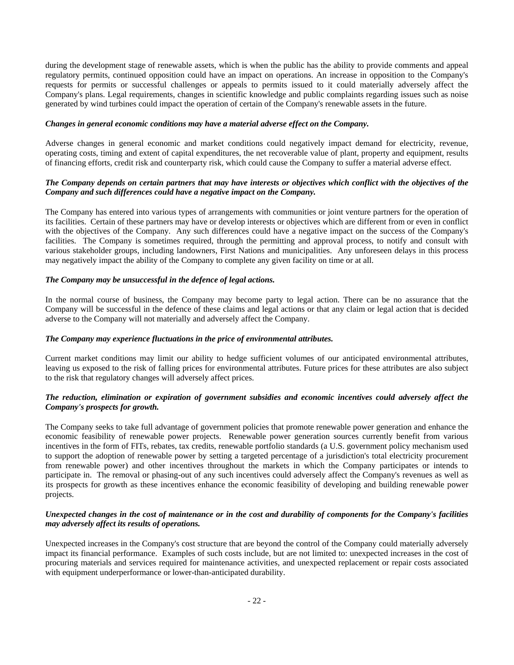during the development stage of renewable assets, which is when the public has the ability to provide comments and appeal regulatory permits, continued opposition could have an impact on operations. An increase in opposition to the Company's requests for permits or successful challenges or appeals to permits issued to it could materially adversely affect the Company's plans. Legal requirements, changes in scientific knowledge and public complaints regarding issues such as noise generated by wind turbines could impact the operation of certain of the Company's renewable assets in the future.

#### *Changes in general economic conditions may have a material adverse effect on the Company.*

Adverse changes in general economic and market conditions could negatively impact demand for electricity, revenue, operating costs, timing and extent of capital expenditures, the net recoverable value of plant, property and equipment, results of financing efforts, credit risk and counterparty risk, which could cause the Company to suffer a material adverse effect.

# *The Company depends on certain partners that may have interests or objectives which conflict with the objectives of the Company and such differences could have a negative impact on the Company.*

The Company has entered into various types of arrangements with communities or joint venture partners for the operation of its facilities. Certain of these partners may have or develop interests or objectives which are different from or even in conflict with the objectives of the Company. Any such differences could have a negative impact on the success of the Company's facilities. The Company is sometimes required, through the permitting and approval process, to notify and consult with various stakeholder groups, including landowners, First Nations and municipalities. Any unforeseen delays in this process may negatively impact the ability of the Company to complete any given facility on time or at all.

# *The Company may be unsuccessful in the defence of legal actions.*

In the normal course of business, the Company may become party to legal action. There can be no assurance that the Company will be successful in the defence of these claims and legal actions or that any claim or legal action that is decided adverse to the Company will not materially and adversely affect the Company.

# *The Company may experience fluctuations in the price of environmental attributes.*

Current market conditions may limit our ability to hedge sufficient volumes of our anticipated environmental attributes, leaving us exposed to the risk of falling prices for environmental attributes. Future prices for these attributes are also subject to the risk that regulatory changes will adversely affect prices.

# *The reduction, elimination or expiration of government subsidies and economic incentives could adversely affect the Company's prospects for growth.*

The Company seeks to take full advantage of government policies that promote renewable power generation and enhance the economic feasibility of renewable power projects. Renewable power generation sources currently benefit from various incentives in the form of FITs, rebates, tax credits, renewable portfolio standards (a U.S. government policy mechanism used to support the adoption of renewable power by setting a targeted percentage of a jurisdiction's total electricity procurement from renewable power) and other incentives throughout the markets in which the Company participates or intends to participate in. The removal or phasing-out of any such incentives could adversely affect the Company's revenues as well as its prospects for growth as these incentives enhance the economic feasibility of developing and building renewable power projects.

# *Unexpected changes in the cost of maintenance or in the cost and durability of components for the Company's facilities may adversely affect its results of operations.*

Unexpected increases in the Company's cost structure that are beyond the control of the Company could materially adversely impact its financial performance. Examples of such costs include, but are not limited to: unexpected increases in the cost of procuring materials and services required for maintenance activities, and unexpected replacement or repair costs associated with equipment underperformance or lower-than-anticipated durability.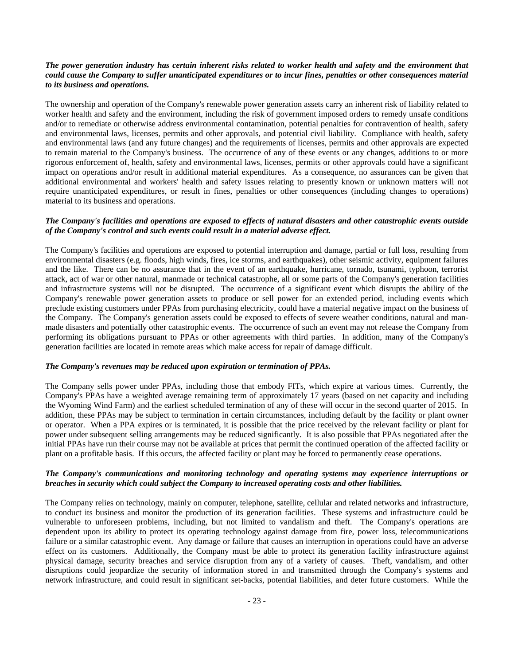# *The power generation industry has certain inherent risks related to worker health and safety and the environment that could cause the Company to suffer unanticipated expenditures or to incur fines, penalties or other consequences material to its business and operations.*

The ownership and operation of the Company's renewable power generation assets carry an inherent risk of liability related to worker health and safety and the environment, including the risk of government imposed orders to remedy unsafe conditions and/or to remediate or otherwise address environmental contamination, potential penalties for contravention of health, safety and environmental laws, licenses, permits and other approvals, and potential civil liability. Compliance with health, safety and environmental laws (and any future changes) and the requirements of licenses, permits and other approvals are expected to remain material to the Company's business. The occurrence of any of these events or any changes, additions to or more rigorous enforcement of, health, safety and environmental laws, licenses, permits or other approvals could have a significant impact on operations and/or result in additional material expenditures. As a consequence, no assurances can be given that additional environmental and workers' health and safety issues relating to presently known or unknown matters will not require unanticipated expenditures, or result in fines, penalties or other consequences (including changes to operations) material to its business and operations.

# *The Company's facilities and operations are exposed to effects of natural disasters and other catastrophic events outside of the Company's control and such events could result in a material adverse effect.*

The Company's facilities and operations are exposed to potential interruption and damage, partial or full loss, resulting from environmental disasters (e.g. floods, high winds, fires, ice storms, and earthquakes), other seismic activity, equipment failures and the like. There can be no assurance that in the event of an earthquake, hurricane, tornado, tsunami, typhoon, terrorist attack, act of war or other natural, manmade or technical catastrophe, all or some parts of the Company's generation facilities and infrastructure systems will not be disrupted. The occurrence of a significant event which disrupts the ability of the Company's renewable power generation assets to produce or sell power for an extended period, including events which preclude existing customers under PPAs from purchasing electricity, could have a material negative impact on the business of the Company. The Company's generation assets could be exposed to effects of severe weather conditions, natural and manmade disasters and potentially other catastrophic events. The occurrence of such an event may not release the Company from performing its obligations pursuant to PPAs or other agreements with third parties. In addition, many of the Company's generation facilities are located in remote areas which make access for repair of damage difficult.

#### *The Company's revenues may be reduced upon expiration or termination of PPAs.*

The Company sells power under PPAs, including those that embody FITs, which expire at various times. Currently, the Company's PPAs have a weighted average remaining term of approximately 17 years (based on net capacity and including the Wyoming Wind Farm) and the earliest scheduled termination of any of these will occur in the second quarter of 2015. In addition, these PPAs may be subject to termination in certain circumstances, including default by the facility or plant owner or operator. When a PPA expires or is terminated, it is possible that the price received by the relevant facility or plant for power under subsequent selling arrangements may be reduced significantly. It is also possible that PPAs negotiated after the initial PPAs have run their course may not be available at prices that permit the continued operation of the affected facility or plant on a profitable basis. If this occurs, the affected facility or plant may be forced to permanently cease operations.

# *The Company's communications and monitoring technology and operating systems may experience interruptions or breaches in security which could subject the Company to increased operating costs and other liabilities.*

The Company relies on technology, mainly on computer, telephone, satellite, cellular and related networks and infrastructure, to conduct its business and monitor the production of its generation facilities. These systems and infrastructure could be vulnerable to unforeseen problems, including, but not limited to vandalism and theft. The Company's operations are dependent upon its ability to protect its operating technology against damage from fire, power loss, telecommunications failure or a similar catastrophic event. Any damage or failure that causes an interruption in operations could have an adverse effect on its customers. Additionally, the Company must be able to protect its generation facility infrastructure against physical damage, security breaches and service disruption from any of a variety of causes. Theft, vandalism, and other disruptions could jeopardize the security of information stored in and transmitted through the Company's systems and network infrastructure, and could result in significant set-backs, potential liabilities, and deter future customers. While the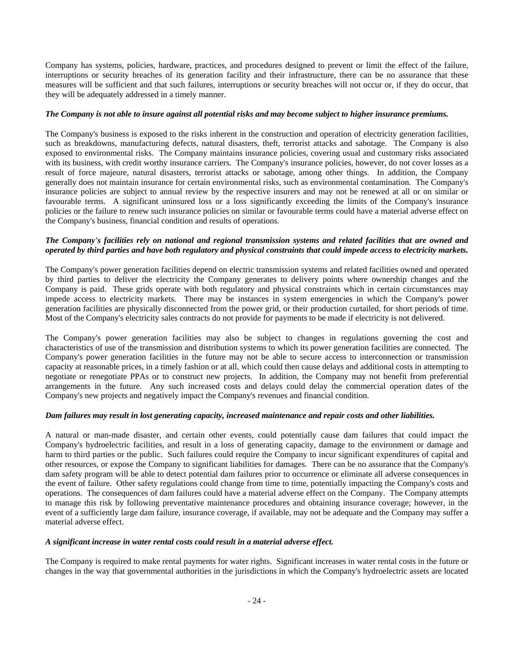Company has systems, policies, hardware, practices, and procedures designed to prevent or limit the effect of the failure, interruptions or security breaches of its generation facility and their infrastructure, there can be no assurance that these measures will be sufficient and that such failures, interruptions or security breaches will not occur or, if they do occur, that they will be adequately addressed in a timely manner.

# *The Company is not able to insure against all potential risks and may become subject to higher insurance premiums.*

The Company's business is exposed to the risks inherent in the construction and operation of electricity generation facilities, such as breakdowns, manufacturing defects, natural disasters, theft, terrorist attacks and sabotage. The Company is also exposed to environmental risks. The Company maintains insurance policies, covering usual and customary risks associated with its business, with credit worthy insurance carriers. The Company's insurance policies, however, do not cover losses as a result of force majeure, natural disasters, terrorist attacks or sabotage, among other things. In addition, the Company generally does not maintain insurance for certain environmental risks, such as environmental contamination. The Company's insurance policies are subject to annual review by the respective insurers and may not be renewed at all or on similar or favourable terms. A significant uninsured loss or a loss significantly exceeding the limits of the Company's insurance policies or the failure to renew such insurance policies on similar or favourable terms could have a material adverse effect on the Company's business, financial condition and results of operations.

# *The Company's facilities rely on national and regional transmission systems and related facilities that are owned and operated by third parties and have both regulatory and physical constraints that could impede access to electricity markets.*

The Company's power generation facilities depend on electric transmission systems and related facilities owned and operated by third parties to deliver the electricity the Company generates to delivery points where ownership changes and the Company is paid. These grids operate with both regulatory and physical constraints which in certain circumstances may impede access to electricity markets. There may be instances in system emergencies in which the Company's power generation facilities are physically disconnected from the power grid, or their production curtailed, for short periods of time. Most of the Company's electricity sales contracts do not provide for payments to be made if electricity is not delivered.

The Company's power generation facilities may also be subject to changes in regulations governing the cost and characteristics of use of the transmission and distribution systems to which its power generation facilities are connected. The Company's power generation facilities in the future may not be able to secure access to interconnection or transmission capacity at reasonable prices, in a timely fashion or at all, which could then cause delays and additional costs in attempting to negotiate or renegotiate PPAs or to construct new projects. In addition, the Company may not benefit from preferential arrangements in the future. Any such increased costs and delays could delay the commercial operation dates of the Company's new projects and negatively impact the Company's revenues and financial condition.

# *Dam failures may result in lost generating capacity, increased maintenance and repair costs and other liabilities.*

A natural or man-made disaster, and certain other events, could potentially cause dam failures that could impact the Company's hydroelectric facilities, and result in a loss of generating capacity, damage to the environment or damage and harm to third parties or the public. Such failures could require the Company to incur significant expenditures of capital and other resources, or expose the Company to significant liabilities for damages. There can be no assurance that the Company's dam safety program will be able to detect potential dam failures prior to occurrence or eliminate all adverse consequences in the event of failure. Other safety regulations could change from time to time, potentially impacting the Company's costs and operations. The consequences of dam failures could have a material adverse effect on the Company. The Company attempts to manage this risk by following preventative maintenance procedures and obtaining insurance coverage; however, in the event of a sufficiently large dam failure, insurance coverage, if available, may not be adequate and the Company may suffer a material adverse effect.

#### *A significant increase in water rental costs could result in a material adverse effect.*

The Company is required to make rental payments for water rights. Significant increases in water rental costs in the future or changes in the way that governmental authorities in the jurisdictions in which the Company's hydroelectric assets are located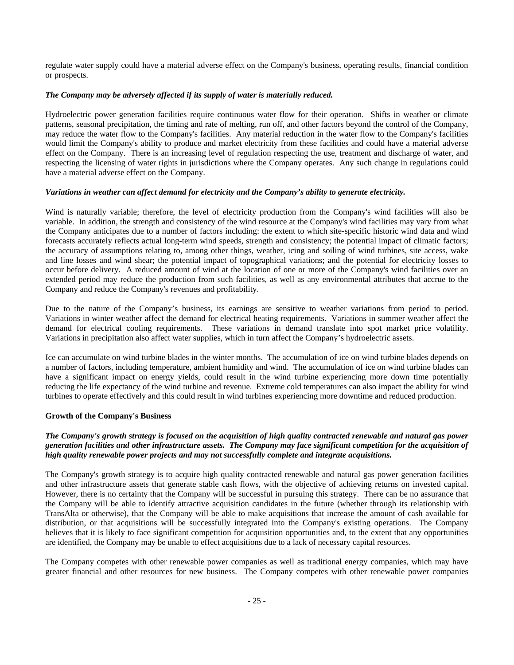regulate water supply could have a material adverse effect on the Company's business, operating results, financial condition or prospects.

# *The Company may be adversely affected if its supply of water is materially reduced.*

Hydroelectric power generation facilities require continuous water flow for their operation. Shifts in weather or climate patterns, seasonal precipitation, the timing and rate of melting, run off, and other factors beyond the control of the Company, may reduce the water flow to the Company's facilities. Any material reduction in the water flow to the Company's facilities would limit the Company's ability to produce and market electricity from these facilities and could have a material adverse effect on the Company. There is an increasing level of regulation respecting the use, treatment and discharge of water, and respecting the licensing of water rights in jurisdictions where the Company operates. Any such change in regulations could have a material adverse effect on the Company.

# *Variations in weather can affect demand for electricity and the Company's ability to generate electricity.*

Wind is naturally variable; therefore, the level of electricity production from the Company's wind facilities will also be variable. In addition, the strength and consistency of the wind resource at the Company's wind facilities may vary from what the Company anticipates due to a number of factors including: the extent to which site-specific historic wind data and wind forecasts accurately reflects actual long-term wind speeds, strength and consistency; the potential impact of climatic factors; the accuracy of assumptions relating to, among other things, weather, icing and soiling of wind turbines, site access, wake and line losses and wind shear; the potential impact of topographical variations; and the potential for electricity losses to occur before delivery. A reduced amount of wind at the location of one or more of the Company's wind facilities over an extended period may reduce the production from such facilities, as well as any environmental attributes that accrue to the Company and reduce the Company's revenues and profitability.

Due to the nature of the Company's business, its earnings are sensitive to weather variations from period to period. Variations in winter weather affect the demand for electrical heating requirements. Variations in summer weather affect the demand for electrical cooling requirements. These variations in demand translate into spot market price volatility. Variations in precipitation also affect water supplies, which in turn affect the Company's hydroelectric assets.

Ice can accumulate on wind turbine blades in the winter months. The accumulation of ice on wind turbine blades depends on a number of factors, including temperature, ambient humidity and wind. The accumulation of ice on wind turbine blades can have a significant impact on energy yields, could result in the wind turbine experiencing more down time potentially reducing the life expectancy of the wind turbine and revenue. Extreme cold temperatures can also impact the ability for wind turbines to operate effectively and this could result in wind turbines experiencing more downtime and reduced production.

# **Growth of the Company's Business**

# *The Company's growth strategy is focused on the acquisition of high quality contracted renewable and natural gas power generation facilities and other infrastructure assets. The Company may face significant competition for the acquisition of high quality renewable power projects and may not successfully complete and integrate acquisitions.*

The Company's growth strategy is to acquire high quality contracted renewable and natural gas power generation facilities and other infrastructure assets that generate stable cash flows, with the objective of achieving returns on invested capital. However, there is no certainty that the Company will be successful in pursuing this strategy. There can be no assurance that the Company will be able to identify attractive acquisition candidates in the future (whether through its relationship with TransAlta or otherwise), that the Company will be able to make acquisitions that increase the amount of cash available for distribution, or that acquisitions will be successfully integrated into the Company's existing operations. The Company believes that it is likely to face significant competition for acquisition opportunities and, to the extent that any opportunities are identified, the Company may be unable to effect acquisitions due to a lack of necessary capital resources.

The Company competes with other renewable power companies as well as traditional energy companies, which may have greater financial and other resources for new business. The Company competes with other renewable power companies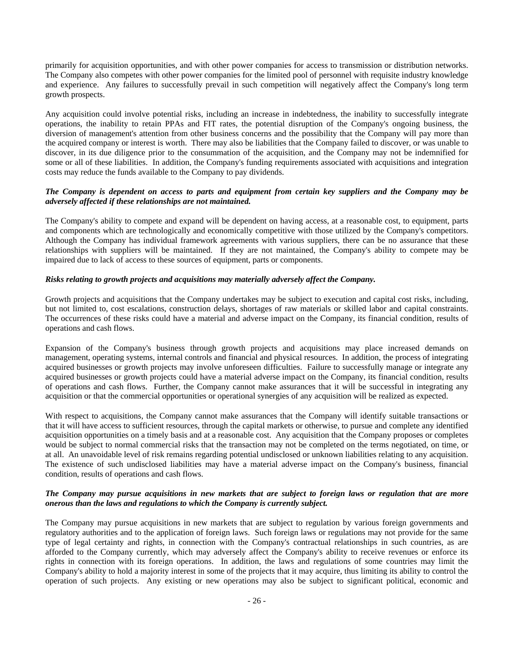primarily for acquisition opportunities, and with other power companies for access to transmission or distribution networks. The Company also competes with other power companies for the limited pool of personnel with requisite industry knowledge and experience. Any failures to successfully prevail in such competition will negatively affect the Company's long term growth prospects.

Any acquisition could involve potential risks, including an increase in indebtedness, the inability to successfully integrate operations, the inability to retain PPAs and FIT rates, the potential disruption of the Company's ongoing business, the diversion of management's attention from other business concerns and the possibility that the Company will pay more than the acquired company or interest is worth. There may also be liabilities that the Company failed to discover, or was unable to discover, in its due diligence prior to the consummation of the acquisition, and the Company may not be indemnified for some or all of these liabilities. In addition, the Company's funding requirements associated with acquisitions and integration costs may reduce the funds available to the Company to pay dividends.

# *The Company is dependent on access to parts and equipment from certain key suppliers and the Company may be adversely affected if these relationships are not maintained.*

The Company's ability to compete and expand will be dependent on having access, at a reasonable cost, to equipment, parts and components which are technologically and economically competitive with those utilized by the Company's competitors. Although the Company has individual framework agreements with various suppliers, there can be no assurance that these relationships with suppliers will be maintained. If they are not maintained, the Company's ability to compete may be impaired due to lack of access to these sources of equipment, parts or components.

# *Risks relating to growth projects and acquisitions may materially adversely affect the Company.*

Growth projects and acquisitions that the Company undertakes may be subject to execution and capital cost risks, including, but not limited to, cost escalations, construction delays, shortages of raw materials or skilled labor and capital constraints. The occurrences of these risks could have a material and adverse impact on the Company, its financial condition, results of operations and cash flows.

Expansion of the Company's business through growth projects and acquisitions may place increased demands on management, operating systems, internal controls and financial and physical resources. In addition, the process of integrating acquired businesses or growth projects may involve unforeseen difficulties. Failure to successfully manage or integrate any acquired businesses or growth projects could have a material adverse impact on the Company, its financial condition, results of operations and cash flows. Further, the Company cannot make assurances that it will be successful in integrating any acquisition or that the commercial opportunities or operational synergies of any acquisition will be realized as expected.

With respect to acquisitions, the Company cannot make assurances that the Company will identify suitable transactions or that it will have access to sufficient resources, through the capital markets or otherwise, to pursue and complete any identified acquisition opportunities on a timely basis and at a reasonable cost. Any acquisition that the Company proposes or completes would be subject to normal commercial risks that the transaction may not be completed on the terms negotiated, on time, or at all. An unavoidable level of risk remains regarding potential undisclosed or unknown liabilities relating to any acquisition. The existence of such undisclosed liabilities may have a material adverse impact on the Company's business, financial condition, results of operations and cash flows.

# *The Company may pursue acquisitions in new markets that are subject to foreign laws or regulation that are more onerous than the laws and regulations to which the Company is currently subject.*

The Company may pursue acquisitions in new markets that are subject to regulation by various foreign governments and regulatory authorities and to the application of foreign laws. Such foreign laws or regulations may not provide for the same type of legal certainty and rights, in connection with the Company's contractual relationships in such countries, as are afforded to the Company currently, which may adversely affect the Company's ability to receive revenues or enforce its rights in connection with its foreign operations. In addition, the laws and regulations of some countries may limit the Company's ability to hold a majority interest in some of the projects that it may acquire, thus limiting its ability to control the operation of such projects. Any existing or new operations may also be subject to significant political, economic and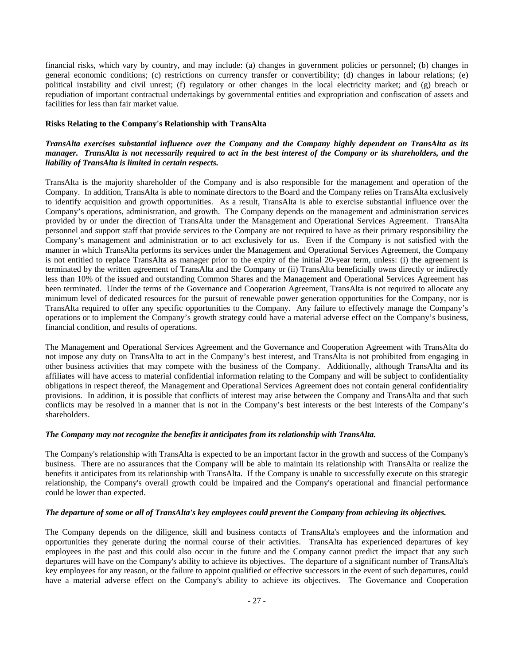financial risks, which vary by country, and may include: (a) changes in government policies or personnel; (b) changes in general economic conditions; (c) restrictions on currency transfer or convertibility; (d) changes in labour relations; (e) political instability and civil unrest; (f) regulatory or other changes in the local electricity market; and (g) breach or repudiation of important contractual undertakings by governmental entities and expropriation and confiscation of assets and facilities for less than fair market value.

# **Risks Relating to the Company's Relationship with TransAlta**

# *TransAlta exercises substantial influence over the Company and the Company highly dependent on TransAlta as its manager. TransAlta is not necessarily required to act in the best interest of the Company or its shareholders, and the liability of TransAlta is limited in certain respects.*

TransAlta is the majority shareholder of the Company and is also responsible for the management and operation of the Company. In addition, TransAlta is able to nominate directors to the Board and the Company relies on TransAlta exclusively to identify acquisition and growth opportunities. As a result, TransAlta is able to exercise substantial influence over the Company's operations, administration, and growth. The Company depends on the management and administration services provided by or under the direction of TransAlta under the Management and Operational Services Agreement. TransAlta personnel and support staff that provide services to the Company are not required to have as their primary responsibility the Company's management and administration or to act exclusively for us. Even if the Company is not satisfied with the manner in which TransAlta performs its services under the Management and Operational Services Agreement, the Company is not entitled to replace TransAlta as manager prior to the expiry of the initial 20-year term, unless: (i) the agreement is terminated by the written agreement of TransAlta and the Company or (ii) TransAlta beneficially owns directly or indirectly less than 10% of the issued and outstanding Common Shares and the Management and Operational Services Agreement has been terminated. Under the terms of the Governance and Cooperation Agreement, TransAlta is not required to allocate any minimum level of dedicated resources for the pursuit of renewable power generation opportunities for the Company, nor is TransAlta required to offer any specific opportunities to the Company. Any failure to effectively manage the Company's operations or to implement the Company's growth strategy could have a material adverse effect on the Company's business, financial condition, and results of operations.

The Management and Operational Services Agreement and the Governance and Cooperation Agreement with TransAlta do not impose any duty on TransAlta to act in the Company's best interest, and TransAlta is not prohibited from engaging in other business activities that may compete with the business of the Company. Additionally, although TransAlta and its affiliates will have access to material confidential information relating to the Company and will be subject to confidentiality obligations in respect thereof, the Management and Operational Services Agreement does not contain general confidentiality provisions. In addition, it is possible that conflicts of interest may arise between the Company and TransAlta and that such conflicts may be resolved in a manner that is not in the Company's best interests or the best interests of the Company's shareholders.

#### *The Company may not recognize the benefits it anticipates from its relationship with TransAlta.*

The Company's relationship with TransAlta is expected to be an important factor in the growth and success of the Company's business. There are no assurances that the Company will be able to maintain its relationship with TransAlta or realize the benefits it anticipates from its relationship with TransAlta. If the Company is unable to successfully execute on this strategic relationship, the Company's overall growth could be impaired and the Company's operational and financial performance could be lower than expected.

# *The departure of some or all of TransAlta's key employees could prevent the Company from achieving its objectives.*

The Company depends on the diligence, skill and business contacts of TransAlta's employees and the information and opportunities they generate during the normal course of their activities. TransAlta has experienced departures of key employees in the past and this could also occur in the future and the Company cannot predict the impact that any such departures will have on the Company's ability to achieve its objectives. The departure of a significant number of TransAlta's key employees for any reason, or the failure to appoint qualified or effective successors in the event of such departures, could have a material adverse effect on the Company's ability to achieve its objectives. The Governance and Cooperation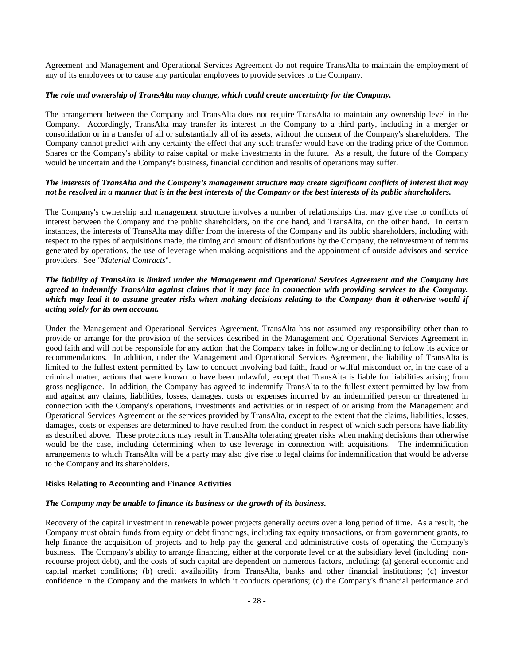Agreement and Management and Operational Services Agreement do not require TransAlta to maintain the employment of any of its employees or to cause any particular employees to provide services to the Company.

# *The role and ownership of TransAlta may change, which could create uncertainty for the Company.*

The arrangement between the Company and TransAlta does not require TransAlta to maintain any ownership level in the Company. Accordingly, TransAlta may transfer its interest in the Company to a third party, including in a merger or consolidation or in a transfer of all or substantially all of its assets, without the consent of the Company's shareholders. The Company cannot predict with any certainty the effect that any such transfer would have on the trading price of the Common Shares or the Company's ability to raise capital or make investments in the future. As a result, the future of the Company would be uncertain and the Company's business, financial condition and results of operations may suffer.

# *The interests of TransAlta and the Company's management structure may create significant conflicts of interest that may not be resolved in a manner that is in the best interests of the Company or the best interests of its public shareholders.*

The Company's ownership and management structure involves a number of relationships that may give rise to conflicts of interest between the Company and the public shareholders, on the one hand, and TransAlta, on the other hand. In certain instances, the interests of TransAlta may differ from the interests of the Company and its public shareholders, including with respect to the types of acquisitions made, the timing and amount of distributions by the Company, the reinvestment of returns generated by operations, the use of leverage when making acquisitions and the appointment of outside advisors and service providers. See "*Material Contracts*".

# *The liability of TransAlta is limited under the Management and Operational Services Agreement and the Company has agreed to indemnify TransAlta against claims that it may face in connection with providing services to the Company, which may lead it to assume greater risks when making decisions relating to the Company than it otherwise would if acting solely for its own account.*

Under the Management and Operational Services Agreement, TransAlta has not assumed any responsibility other than to provide or arrange for the provision of the services described in the Management and Operational Services Agreement in good faith and will not be responsible for any action that the Company takes in following or declining to follow its advice or recommendations. In addition, under the Management and Operational Services Agreement, the liability of TransAlta is limited to the fullest extent permitted by law to conduct involving bad faith, fraud or wilful misconduct or, in the case of a criminal matter, actions that were known to have been unlawful, except that TransAlta is liable for liabilities arising from gross negligence. In addition, the Company has agreed to indemnify TransAlta to the fullest extent permitted by law from and against any claims, liabilities, losses, damages, costs or expenses incurred by an indemnified person or threatened in connection with the Company's operations, investments and activities or in respect of or arising from the Management and Operational Services Agreement or the services provided by TransAlta, except to the extent that the claims, liabilities, losses, damages, costs or expenses are determined to have resulted from the conduct in respect of which such persons have liability as described above. These protections may result in TransAlta tolerating greater risks when making decisions than otherwise would be the case, including determining when to use leverage in connection with acquisitions. The indemnification arrangements to which TransAlta will be a party may also give rise to legal claims for indemnification that would be adverse to the Company and its shareholders.

#### **Risks Relating to Accounting and Finance Activities**

# *The Company may be unable to finance its business or the growth of its business.*

Recovery of the capital investment in renewable power projects generally occurs over a long period of time. As a result, the Company must obtain funds from equity or debt financings, including tax equity transactions, or from government grants, to help finance the acquisition of projects and to help pay the general and administrative costs of operating the Company's business. The Company's ability to arrange financing, either at the corporate level or at the subsidiary level (including nonrecourse project debt), and the costs of such capital are dependent on numerous factors, including: (a) general economic and capital market conditions; (b) credit availability from TransAlta, banks and other financial institutions; (c) investor confidence in the Company and the markets in which it conducts operations; (d) the Company's financial performance and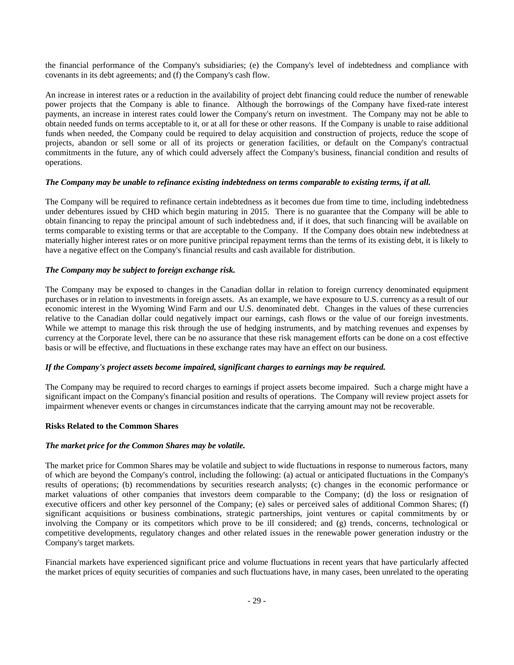the financial performance of the Company's subsidiaries; (e) the Company's level of indebtedness and compliance with covenants in its debt agreements; and (f) the Company's cash flow.

An increase in interest rates or a reduction in the availability of project debt financing could reduce the number of renewable power projects that the Company is able to finance. Although the borrowings of the Company have fixed-rate interest payments, an increase in interest rates could lower the Company's return on investment. The Company may not be able to obtain needed funds on terms acceptable to it, or at all for these or other reasons. If the Company is unable to raise additional funds when needed, the Company could be required to delay acquisition and construction of projects, reduce the scope of projects, abandon or sell some or all of its projects or generation facilities, or default on the Company's contractual commitments in the future, any of which could adversely affect the Company's business, financial condition and results of operations.

# *The Company may be unable to refinance existing indebtedness on terms comparable to existing terms, if at all.*

The Company will be required to refinance certain indebtedness as it becomes due from time to time, including indebtedness under debentures issued by CHD which begin maturing in 2015. There is no guarantee that the Company will be able to obtain financing to repay the principal amount of such indebtedness and, if it does, that such financing will be available on terms comparable to existing terms or that are acceptable to the Company. If the Company does obtain new indebtedness at materially higher interest rates or on more punitive principal repayment terms than the terms of its existing debt, it is likely to have a negative effect on the Company's financial results and cash available for distribution.

#### *The Company may be subject to foreign exchange risk.*

The Company may be exposed to changes in the Canadian dollar in relation to foreign currency denominated equipment purchases or in relation to investments in foreign assets. As an example, we have exposure to U.S. currency as a result of our economic interest in the Wyoming Wind Farm and our U.S. denominated debt. Changes in the values of these currencies relative to the Canadian dollar could negatively impact our earnings, cash flows or the value of our foreign investments. While we attempt to manage this risk through the use of hedging instruments, and by matching revenues and expenses by currency at the Corporate level, there can be no assurance that these risk management efforts can be done on a cost effective basis or will be effective, and fluctuations in these exchange rates may have an effect on our business.

#### *If the Company's project assets become impaired, significant charges to earnings may be required.*

The Company may be required to record charges to earnings if project assets become impaired. Such a charge might have a significant impact on the Company's financial position and results of operations. The Company will review project assets for impairment whenever events or changes in circumstances indicate that the carrying amount may not be recoverable.

# **Risks Related to the Common Shares**

#### *The market price for the Common Shares may be volatile.*

The market price for Common Shares may be volatile and subject to wide fluctuations in response to numerous factors, many of which are beyond the Company's control, including the following: (a) actual or anticipated fluctuations in the Company's results of operations; (b) recommendations by securities research analysts; (c) changes in the economic performance or market valuations of other companies that investors deem comparable to the Company; (d) the loss or resignation of executive officers and other key personnel of the Company; (e) sales or perceived sales of additional Common Shares; (f) significant acquisitions or business combinations, strategic partnerships, joint ventures or capital commitments by or involving the Company or its competitors which prove to be ill considered; and (g) trends, concerns, technological or competitive developments, regulatory changes and other related issues in the renewable power generation industry or the Company's target markets.

Financial markets have experienced significant price and volume fluctuations in recent years that have particularly affected the market prices of equity securities of companies and such fluctuations have, in many cases, been unrelated to the operating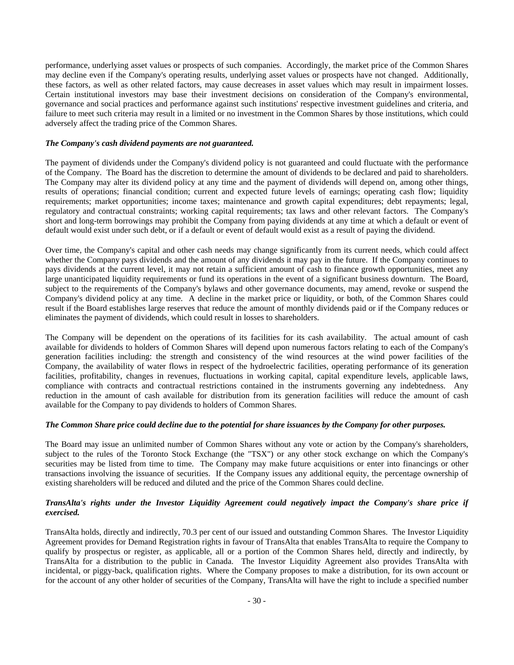performance, underlying asset values or prospects of such companies. Accordingly, the market price of the Common Shares may decline even if the Company's operating results, underlying asset values or prospects have not changed. Additionally, these factors, as well as other related factors, may cause decreases in asset values which may result in impairment losses. Certain institutional investors may base their investment decisions on consideration of the Company's environmental, governance and social practices and performance against such institutions' respective investment guidelines and criteria, and failure to meet such criteria may result in a limited or no investment in the Common Shares by those institutions, which could adversely affect the trading price of the Common Shares.

# *The Company's cash dividend payments are not guaranteed.*

The payment of dividends under the Company's dividend policy is not guaranteed and could fluctuate with the performance of the Company. The Board has the discretion to determine the amount of dividends to be declared and paid to shareholders. The Company may alter its dividend policy at any time and the payment of dividends will depend on, among other things, results of operations; financial condition; current and expected future levels of earnings; operating cash flow; liquidity requirements; market opportunities; income taxes; maintenance and growth capital expenditures; debt repayments; legal, regulatory and contractual constraints; working capital requirements; tax laws and other relevant factors. The Company's short and long-term borrowings may prohibit the Company from paying dividends at any time at which a default or event of default would exist under such debt, or if a default or event of default would exist as a result of paying the dividend.

Over time, the Company's capital and other cash needs may change significantly from its current needs, which could affect whether the Company pays dividends and the amount of any dividends it may pay in the future. If the Company continues to pays dividends at the current level, it may not retain a sufficient amount of cash to finance growth opportunities, meet any large unanticipated liquidity requirements or fund its operations in the event of a significant business downturn. The Board, subject to the requirements of the Company's bylaws and other governance documents, may amend, revoke or suspend the Company's dividend policy at any time. A decline in the market price or liquidity, or both, of the Common Shares could result if the Board establishes large reserves that reduce the amount of monthly dividends paid or if the Company reduces or eliminates the payment of dividends, which could result in losses to shareholders.

The Company will be dependent on the operations of its facilities for its cash availability. The actual amount of cash available for dividends to holders of Common Shares will depend upon numerous factors relating to each of the Company's generation facilities including: the strength and consistency of the wind resources at the wind power facilities of the Company, the availability of water flows in respect of the hydroelectric facilities, operating performance of its generation facilities, profitability, changes in revenues, fluctuations in working capital, capital expenditure levels, applicable laws, compliance with contracts and contractual restrictions contained in the instruments governing any indebtedness. Any reduction in the amount of cash available for distribution from its generation facilities will reduce the amount of cash available for the Company to pay dividends to holders of Common Shares.

# *The Common Share price could decline due to the potential for share issuances by the Company for other purposes.*

The Board may issue an unlimited number of Common Shares without any vote or action by the Company's shareholders, subject to the rules of the Toronto Stock Exchange (the "TSX") or any other stock exchange on which the Company's securities may be listed from time to time. The Company may make future acquisitions or enter into financings or other transactions involving the issuance of securities. If the Company issues any additional equity, the percentage ownership of existing shareholders will be reduced and diluted and the price of the Common Shares could decline.

# *TransAlta's rights under the Investor Liquidity Agreement could negatively impact the Company's share price if exercised.*

TransAlta holds, directly and indirectly, 70.3 per cent of our issued and outstanding Common Shares. The Investor Liquidity Agreement provides for Demand Registration rights in favour of TransAlta that enables TransAlta to require the Company to qualify by prospectus or register, as applicable, all or a portion of the Common Shares held, directly and indirectly, by TransAlta for a distribution to the public in Canada. The Investor Liquidity Agreement also provides TransAlta with incidental, or piggy-back, qualification rights. Where the Company proposes to make a distribution, for its own account or for the account of any other holder of securities of the Company, TransAlta will have the right to include a specified number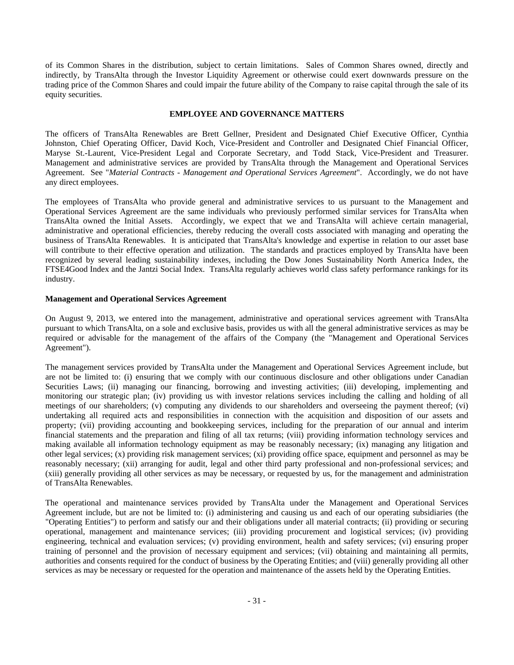of its Common Shares in the distribution, subject to certain limitations. Sales of Common Shares owned, directly and indirectly, by TransAlta through the Investor Liquidity Agreement or otherwise could exert downwards pressure on the trading price of the Common Shares and could impair the future ability of the Company to raise capital through the sale of its equity securities.

#### **EMPLOYEE AND GOVERNANCE MATTERS**

The officers of TransAlta Renewables are Brett Gellner, President and Designated Chief Executive Officer, Cynthia Johnston, Chief Operating Officer, David Koch, Vice-President and Controller and Designated Chief Financial Officer, Maryse St.-Laurent, Vice-President Legal and Corporate Secretary, and Todd Stack, Vice-President and Treasurer. Management and administrative services are provided by TransAlta through the Management and Operational Services Agreement. See "*Material Contracts - Management and Operational Services Agreement*". Accordingly, we do not have any direct employees.

The employees of TransAlta who provide general and administrative services to us pursuant to the Management and Operational Services Agreement are the same individuals who previously performed similar services for TransAlta when TransAlta owned the Initial Assets. Accordingly, we expect that we and TransAlta will achieve certain managerial, administrative and operational efficiencies, thereby reducing the overall costs associated with managing and operating the business of TransAlta Renewables. It is anticipated that TransAlta's knowledge and expertise in relation to our asset base will contribute to their effective operation and utilization. The standards and practices employed by TransAlta have been recognized by several leading sustainability indexes, including the Dow Jones Sustainability North America Index, the FTSE4Good Index and the Jantzi Social Index. TransAlta regularly achieves world class safety performance rankings for its industry.

#### **Management and Operational Services Agreement**

On August 9, 2013, we entered into the management, administrative and operational services agreement with TransAlta pursuant to which TransAlta, on a sole and exclusive basis, provides us with all the general administrative services as may be required or advisable for the management of the affairs of the Company (the "Management and Operational Services Agreement").

The management services provided by TransAlta under the Management and Operational Services Agreement include, but are not be limited to: (i) ensuring that we comply with our continuous disclosure and other obligations under Canadian Securities Laws; (ii) managing our financing, borrowing and investing activities; (iii) developing, implementing and monitoring our strategic plan; (iv) providing us with investor relations services including the calling and holding of all meetings of our shareholders; (v) computing any dividends to our shareholders and overseeing the payment thereof; (vi) undertaking all required acts and responsibilities in connection with the acquisition and disposition of our assets and property; (vii) providing accounting and bookkeeping services, including for the preparation of our annual and interim financial statements and the preparation and filing of all tax returns; (viii) providing information technology services and making available all information technology equipment as may be reasonably necessary; (ix) managing any litigation and other legal services; (x) providing risk management services; (xi) providing office space, equipment and personnel as may be reasonably necessary; (xii) arranging for audit, legal and other third party professional and non-professional services; and (xiii) generally providing all other services as may be necessary, or requested by us, for the management and administration of TransAlta Renewables.

The operational and maintenance services provided by TransAlta under the Management and Operational Services Agreement include, but are not be limited to: (i) administering and causing us and each of our operating subsidiaries (the "Operating Entities") to perform and satisfy our and their obligations under all material contracts; (ii) providing or securing operational, management and maintenance services; (iii) providing procurement and logistical services; (iv) providing engineering, technical and evaluation services; (v) providing environment, health and safety services; (vi) ensuring proper training of personnel and the provision of necessary equipment and services; (vii) obtaining and maintaining all permits, authorities and consents required for the conduct of business by the Operating Entities; and (viii) generally providing all other services as may be necessary or requested for the operation and maintenance of the assets held by the Operating Entities.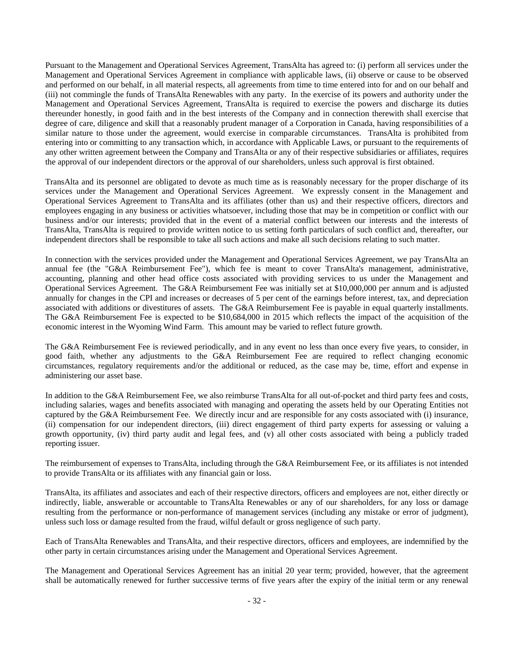Pursuant to the Management and Operational Services Agreement, TransAlta has agreed to: (i) perform all services under the Management and Operational Services Agreement in compliance with applicable laws, (ii) observe or cause to be observed and performed on our behalf, in all material respects, all agreements from time to time entered into for and on our behalf and (iii) not commingle the funds of TransAlta Renewables with any party. In the exercise of its powers and authority under the Management and Operational Services Agreement, TransAlta is required to exercise the powers and discharge its duties thereunder honestly, in good faith and in the best interests of the Company and in connection therewith shall exercise that degree of care, diligence and skill that a reasonably prudent manager of a Corporation in Canada, having responsibilities of a similar nature to those under the agreement, would exercise in comparable circumstances. TransAlta is prohibited from entering into or committing to any transaction which, in accordance with Applicable Laws, or pursuant to the requirements of any other written agreement between the Company and TransAlta or any of their respective subsidiaries or affiliates, requires the approval of our independent directors or the approval of our shareholders, unless such approval is first obtained.

TransAlta and its personnel are obligated to devote as much time as is reasonably necessary for the proper discharge of its services under the Management and Operational Services Agreement. We expressly consent in the Management and Operational Services Agreement to TransAlta and its affiliates (other than us) and their respective officers, directors and employees engaging in any business or activities whatsoever, including those that may be in competition or conflict with our business and/or our interests; provided that in the event of a material conflict between our interests and the interests of TransAlta, TransAlta is required to provide written notice to us setting forth particulars of such conflict and, thereafter, our independent directors shall be responsible to take all such actions and make all such decisions relating to such matter.

In connection with the services provided under the Management and Operational Services Agreement, we pay TransAlta an annual fee (the "G&A Reimbursement Fee"), which fee is meant to cover TransAlta's management, administrative, accounting, planning and other head office costs associated with providing services to us under the Management and Operational Services Agreement. The G&A Reimbursement Fee was initially set at \$10,000,000 per annum and is adjusted annually for changes in the CPI and increases or decreases of 5 per cent of the earnings before interest, tax, and depreciation associated with additions or divestitures of assets. The G&A Reimbursement Fee is payable in equal quarterly installments. The G&A Reimbursement Fee is expected to be \$10,684,000 in 2015 which reflects the impact of the acquisition of the economic interest in the Wyoming Wind Farm. This amount may be varied to reflect future growth.

The G&A Reimbursement Fee is reviewed periodically, and in any event no less than once every five years, to consider, in good faith, whether any adjustments to the G&A Reimbursement Fee are required to reflect changing economic circumstances, regulatory requirements and/or the additional or reduced, as the case may be, time, effort and expense in administering our asset base.

In addition to the G&A Reimbursement Fee, we also reimburse TransAlta for all out-of-pocket and third party fees and costs, including salaries, wages and benefits associated with managing and operating the assets held by our Operating Entities not captured by the G&A Reimbursement Fee. We directly incur and are responsible for any costs associated with (i) insurance, (ii) compensation for our independent directors, (iii) direct engagement of third party experts for assessing or valuing a growth opportunity, (iv) third party audit and legal fees, and (v) all other costs associated with being a publicly traded reporting issuer.

The reimbursement of expenses to TransAlta, including through the G&A Reimbursement Fee, or its affiliates is not intended to provide TransAlta or its affiliates with any financial gain or loss.

TransAlta, its affiliates and associates and each of their respective directors, officers and employees are not, either directly or indirectly, liable, answerable or accountable to TransAlta Renewables or any of our shareholders, for any loss or damage resulting from the performance or non-performance of management services (including any mistake or error of judgment), unless such loss or damage resulted from the fraud, wilful default or gross negligence of such party.

Each of TransAlta Renewables and TransAlta, and their respective directors, officers and employees, are indemnified by the other party in certain circumstances arising under the Management and Operational Services Agreement.

The Management and Operational Services Agreement has an initial 20 year term; provided, however, that the agreement shall be automatically renewed for further successive terms of five years after the expiry of the initial term or any renewal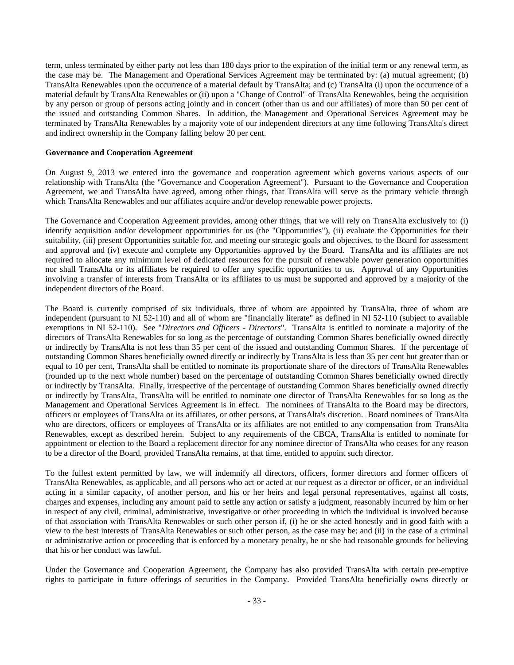term, unless terminated by either party not less than 180 days prior to the expiration of the initial term or any renewal term, as the case may be. The Management and Operational Services Agreement may be terminated by: (a) mutual agreement; (b) TransAlta Renewables upon the occurrence of a material default by TransAlta; and (c) TransAlta (i) upon the occurrence of a material default by TransAlta Renewables or (ii) upon a "Change of Control" of TransAlta Renewables, being the acquisition by any person or group of persons acting jointly and in concert (other than us and our affiliates) of more than 50 per cent of the issued and outstanding Common Shares. In addition, the Management and Operational Services Agreement may be terminated by TransAlta Renewables by a majority vote of our independent directors at any time following TransAlta's direct and indirect ownership in the Company falling below 20 per cent.

#### **Governance and Cooperation Agreement**

On August 9, 2013 we entered into the governance and cooperation agreement which governs various aspects of our relationship with TransAlta (the "Governance and Cooperation Agreement"). Pursuant to the Governance and Cooperation Agreement, we and TransAlta have agreed, among other things, that TransAlta will serve as the primary vehicle through which TransAlta Renewables and our affiliates acquire and/or develop renewable power projects.

The Governance and Cooperation Agreement provides, among other things, that we will rely on TransAlta exclusively to: (i) identify acquisition and/or development opportunities for us (the "Opportunities"), (ii) evaluate the Opportunities for their suitability, (iii) present Opportunities suitable for, and meeting our strategic goals and objectives, to the Board for assessment and approval and (iv) execute and complete any Opportunities approved by the Board. TransAlta and its affiliates are not required to allocate any minimum level of dedicated resources for the pursuit of renewable power generation opportunities nor shall TransAlta or its affiliates be required to offer any specific opportunities to us. Approval of any Opportunities involving a transfer of interests from TransAlta or its affiliates to us must be supported and approved by a majority of the independent directors of the Board.

The Board is currently comprised of six individuals, three of whom are appointed by TransAlta, three of whom are independent (pursuant to NI 52-110) and all of whom are "financially literate" as defined in NI 52-110 (subject to available exemptions in NI 52-110). See "*Directors and Officers - Directors*". TransAlta is entitled to nominate a majority of the directors of TransAlta Renewables for so long as the percentage of outstanding Common Shares beneficially owned directly or indirectly by TransAlta is not less than 35 per cent of the issued and outstanding Common Shares. If the percentage of outstanding Common Shares beneficially owned directly or indirectly by TransAlta is less than 35 per cent but greater than or equal to 10 per cent, TransAlta shall be entitled to nominate its proportionate share of the directors of TransAlta Renewables (rounded up to the next whole number) based on the percentage of outstanding Common Shares beneficially owned directly or indirectly by TransAlta. Finally, irrespective of the percentage of outstanding Common Shares beneficially owned directly or indirectly by TransAlta, TransAlta will be entitled to nominate one director of TransAlta Renewables for so long as the Management and Operational Services Agreement is in effect. The nominees of TransAlta to the Board may be directors, officers or employees of TransAlta or its affiliates, or other persons, at TransAlta's discretion. Board nominees of TransAlta who are directors, officers or employees of TransAlta or its affiliates are not entitled to any compensation from TransAlta Renewables, except as described herein. Subject to any requirements of the CBCA, TransAlta is entitled to nominate for appointment or election to the Board a replacement director for any nominee director of TransAlta who ceases for any reason to be a director of the Board, provided TransAlta remains, at that time, entitled to appoint such director.

To the fullest extent permitted by law, we will indemnify all directors, officers, former directors and former officers of TransAlta Renewables, as applicable, and all persons who act or acted at our request as a director or officer, or an individual acting in a similar capacity, of another person, and his or her heirs and legal personal representatives, against all costs, charges and expenses, including any amount paid to settle any action or satisfy a judgment, reasonably incurred by him or her in respect of any civil, criminal, administrative, investigative or other proceeding in which the individual is involved because of that association with TransAlta Renewables or such other person if, (i) he or she acted honestly and in good faith with a view to the best interests of TransAlta Renewables or such other person, as the case may be; and (ii) in the case of a criminal or administrative action or proceeding that is enforced by a monetary penalty, he or she had reasonable grounds for believing that his or her conduct was lawful.

Under the Governance and Cooperation Agreement, the Company has also provided TransAlta with certain pre-emptive rights to participate in future offerings of securities in the Company. Provided TransAlta beneficially owns directly or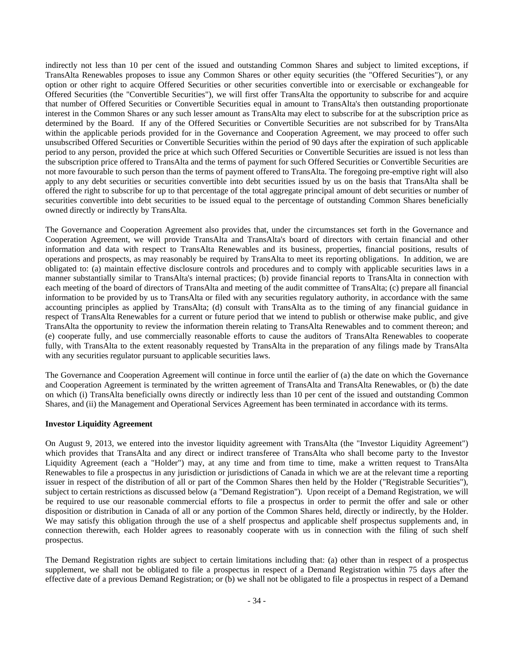indirectly not less than 10 per cent of the issued and outstanding Common Shares and subject to limited exceptions, if TransAlta Renewables proposes to issue any Common Shares or other equity securities (the "Offered Securities"), or any option or other right to acquire Offered Securities or other securities convertible into or exercisable or exchangeable for Offered Securities (the "Convertible Securities"), we will first offer TransAlta the opportunity to subscribe for and acquire that number of Offered Securities or Convertible Securities equal in amount to TransAlta's then outstanding proportionate interest in the Common Shares or any such lesser amount as TransAlta may elect to subscribe for at the subscription price as determined by the Board. If any of the Offered Securities or Convertible Securities are not subscribed for by TransAlta within the applicable periods provided for in the Governance and Cooperation Agreement, we may proceed to offer such unsubscribed Offered Securities or Convertible Securities within the period of 90 days after the expiration of such applicable period to any person, provided the price at which such Offered Securities or Convertible Securities are issued is not less than the subscription price offered to TransAlta and the terms of payment for such Offered Securities or Convertible Securities are not more favourable to such person than the terms of payment offered to TransAlta. The foregoing pre-emptive right will also apply to any debt securities or securities convertible into debt securities issued by us on the basis that TransAlta shall be offered the right to subscribe for up to that percentage of the total aggregate principal amount of debt securities or number of securities convertible into debt securities to be issued equal to the percentage of outstanding Common Shares beneficially owned directly or indirectly by TransAlta.

The Governance and Cooperation Agreement also provides that, under the circumstances set forth in the Governance and Cooperation Agreement, we will provide TransAlta and TransAlta's board of directors with certain financial and other information and data with respect to TransAlta Renewables and its business, properties, financial positions, results of operations and prospects, as may reasonably be required by TransAlta to meet its reporting obligations. In addition, we are obligated to: (a) maintain effective disclosure controls and procedures and to comply with applicable securities laws in a manner substantially similar to TransAlta's internal practices; (b) provide financial reports to TransAlta in connection with each meeting of the board of directors of TransAlta and meeting of the audit committee of TransAlta; (c) prepare all financial information to be provided by us to TransAlta or filed with any securities regulatory authority, in accordance with the same accounting principles as applied by TransAlta; (d) consult with TransAlta as to the timing of any financial guidance in respect of TransAlta Renewables for a current or future period that we intend to publish or otherwise make public, and give TransAlta the opportunity to review the information therein relating to TransAlta Renewables and to comment thereon; and (e) cooperate fully, and use commercially reasonable efforts to cause the auditors of TransAlta Renewables to cooperate fully, with TransAlta to the extent reasonably requested by TransAlta in the preparation of any filings made by TransAlta with any securities regulator pursuant to applicable securities laws.

The Governance and Cooperation Agreement will continue in force until the earlier of (a) the date on which the Governance and Cooperation Agreement is terminated by the written agreement of TransAlta and TransAlta Renewables, or (b) the date on which (i) TransAlta beneficially owns directly or indirectly less than 10 per cent of the issued and outstanding Common Shares, and (ii) the Management and Operational Services Agreement has been terminated in accordance with its terms.

# **Investor Liquidity Agreement**

On August 9, 2013, we entered into the investor liquidity agreement with TransAlta (the "Investor Liquidity Agreement") which provides that TransAlta and any direct or indirect transferee of TransAlta who shall become party to the Investor Liquidity Agreement (each a "Holder") may, at any time and from time to time, make a written request to TransAlta Renewables to file a prospectus in any jurisdiction or jurisdictions of Canada in which we are at the relevant time a reporting issuer in respect of the distribution of all or part of the Common Shares then held by the Holder ("Registrable Securities"), subject to certain restrictions as discussed below (a "Demand Registration"). Upon receipt of a Demand Registration, we will be required to use our reasonable commercial efforts to file a prospectus in order to permit the offer and sale or other disposition or distribution in Canada of all or any portion of the Common Shares held, directly or indirectly, by the Holder. We may satisfy this obligation through the use of a shelf prospectus and applicable shelf prospectus supplements and, in connection therewith, each Holder agrees to reasonably cooperate with us in connection with the filing of such shelf prospectus.

The Demand Registration rights are subject to certain limitations including that: (a) other than in respect of a prospectus supplement, we shall not be obligated to file a prospectus in respect of a Demand Registration within 75 days after the effective date of a previous Demand Registration; or (b) we shall not be obligated to file a prospectus in respect of a Demand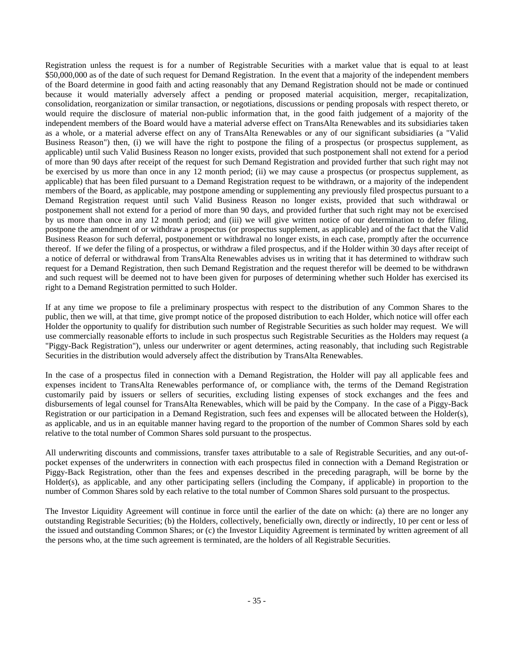Registration unless the request is for a number of Registrable Securities with a market value that is equal to at least \$50,000,000 as of the date of such request for Demand Registration. In the event that a majority of the independent members of the Board determine in good faith and acting reasonably that any Demand Registration should not be made or continued because it would materially adversely affect a pending or proposed material acquisition, merger, recapitalization, consolidation, reorganization or similar transaction, or negotiations, discussions or pending proposals with respect thereto, or would require the disclosure of material non-public information that, in the good faith judgement of a majority of the independent members of the Board would have a material adverse effect on TransAlta Renewables and its subsidiaries taken as a whole, or a material adverse effect on any of TransAlta Renewables or any of our significant subsidiaries (a "Valid Business Reason") then, (i) we will have the right to postpone the filing of a prospectus (or prospectus supplement, as applicable) until such Valid Business Reason no longer exists, provided that such postponement shall not extend for a period of more than 90 days after receipt of the request for such Demand Registration and provided further that such right may not be exercised by us more than once in any 12 month period; (ii) we may cause a prospectus (or prospectus supplement, as applicable) that has been filed pursuant to a Demand Registration request to be withdrawn, or a majority of the independent members of the Board, as applicable, may postpone amending or supplementing any previously filed prospectus pursuant to a Demand Registration request until such Valid Business Reason no longer exists, provided that such withdrawal or postponement shall not extend for a period of more than 90 days, and provided further that such right may not be exercised by us more than once in any 12 month period; and (iii) we will give written notice of our determination to defer filing, postpone the amendment of or withdraw a prospectus (or prospectus supplement, as applicable) and of the fact that the Valid Business Reason for such deferral, postponement or withdrawal no longer exists, in each case, promptly after the occurrence thereof. If we defer the filing of a prospectus, or withdraw a filed prospectus, and if the Holder within 30 days after receipt of a notice of deferral or withdrawal from TransAlta Renewables advises us in writing that it has determined to withdraw such request for a Demand Registration, then such Demand Registration and the request therefor will be deemed to be withdrawn and such request will be deemed not to have been given for purposes of determining whether such Holder has exercised its right to a Demand Registration permitted to such Holder.

If at any time we propose to file a preliminary prospectus with respect to the distribution of any Common Shares to the public, then we will, at that time, give prompt notice of the proposed distribution to each Holder, which notice will offer each Holder the opportunity to qualify for distribution such number of Registrable Securities as such holder may request. We will use commercially reasonable efforts to include in such prospectus such Registrable Securities as the Holders may request (a "Piggy-Back Registration"), unless our underwriter or agent determines, acting reasonably, that including such Registrable Securities in the distribution would adversely affect the distribution by TransAlta Renewables.

In the case of a prospectus filed in connection with a Demand Registration, the Holder will pay all applicable fees and expenses incident to TransAlta Renewables performance of, or compliance with, the terms of the Demand Registration customarily paid by issuers or sellers of securities, excluding listing expenses of stock exchanges and the fees and disbursements of legal counsel for TransAlta Renewables, which will be paid by the Company. In the case of a Piggy-Back Registration or our participation in a Demand Registration, such fees and expenses will be allocated between the Holder(s), as applicable, and us in an equitable manner having regard to the proportion of the number of Common Shares sold by each relative to the total number of Common Shares sold pursuant to the prospectus.

All underwriting discounts and commissions, transfer taxes attributable to a sale of Registrable Securities, and any out-ofpocket expenses of the underwriters in connection with each prospectus filed in connection with a Demand Registration or Piggy-Back Registration, other than the fees and expenses described in the preceding paragraph, will be borne by the Holder(s), as applicable, and any other participating sellers (including the Company, if applicable) in proportion to the number of Common Shares sold by each relative to the total number of Common Shares sold pursuant to the prospectus.

The Investor Liquidity Agreement will continue in force until the earlier of the date on which: (a) there are no longer any outstanding Registrable Securities; (b) the Holders, collectively, beneficially own, directly or indirectly, 10 per cent or less of the issued and outstanding Common Shares; or (c) the Investor Liquidity Agreement is terminated by written agreement of all the persons who, at the time such agreement is terminated, are the holders of all Registrable Securities.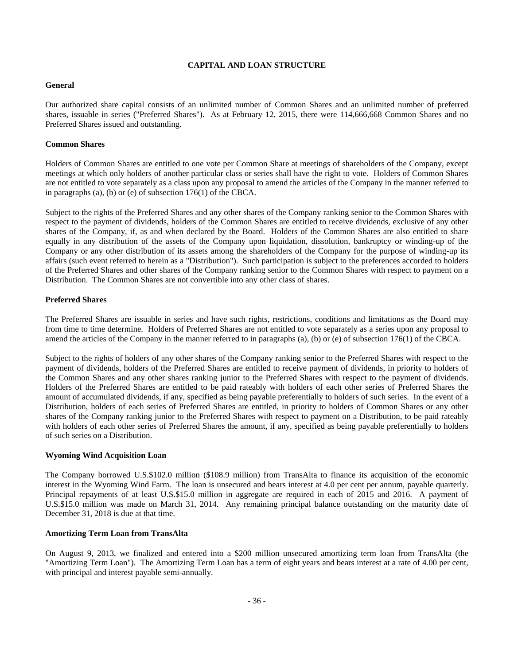# **CAPITAL AND LOAN STRUCTURE**

# **General**

Our authorized share capital consists of an unlimited number of Common Shares and an unlimited number of preferred shares, issuable in series ("Preferred Shares"). As at February 12, 2015, there were 114,666,668 Common Shares and no Preferred Shares issued and outstanding.

# **Common Shares**

Holders of Common Shares are entitled to one vote per Common Share at meetings of shareholders of the Company, except meetings at which only holders of another particular class or series shall have the right to vote. Holders of Common Shares are not entitled to vote separately as a class upon any proposal to amend the articles of the Company in the manner referred to in paragraphs (a), (b) or (e) of subsection 176(1) of the CBCA.

Subject to the rights of the Preferred Shares and any other shares of the Company ranking senior to the Common Shares with respect to the payment of dividends, holders of the Common Shares are entitled to receive dividends, exclusive of any other shares of the Company, if, as and when declared by the Board. Holders of the Common Shares are also entitled to share equally in any distribution of the assets of the Company upon liquidation, dissolution, bankruptcy or winding-up of the Company or any other distribution of its assets among the shareholders of the Company for the purpose of winding-up its affairs (such event referred to herein as a "Distribution"). Such participation is subject to the preferences accorded to holders of the Preferred Shares and other shares of the Company ranking senior to the Common Shares with respect to payment on a Distribution. The Common Shares are not convertible into any other class of shares.

# **Preferred Shares**

The Preferred Shares are issuable in series and have such rights, restrictions, conditions and limitations as the Board may from time to time determine. Holders of Preferred Shares are not entitled to vote separately as a series upon any proposal to amend the articles of the Company in the manner referred to in paragraphs (a), (b) or (e) of subsection 176(1) of the CBCA.

Subject to the rights of holders of any other shares of the Company ranking senior to the Preferred Shares with respect to the payment of dividends, holders of the Preferred Shares are entitled to receive payment of dividends, in priority to holders of the Common Shares and any other shares ranking junior to the Preferred Shares with respect to the payment of dividends. Holders of the Preferred Shares are entitled to be paid rateably with holders of each other series of Preferred Shares the amount of accumulated dividends, if any, specified as being payable preferentially to holders of such series. In the event of a Distribution, holders of each series of Preferred Shares are entitled, in priority to holders of Common Shares or any other shares of the Company ranking junior to the Preferred Shares with respect to payment on a Distribution, to be paid rateably with holders of each other series of Preferred Shares the amount, if any, specified as being payable preferentially to holders of such series on a Distribution.

#### **Wyoming Wind Acquisition Loan**

The Company borrowed U.S.\$102.0 million (\$108.9 million) from TransAlta to finance its acquisition of the economic interest in the Wyoming Wind Farm. The loan is unsecured and bears interest at 4.0 per cent per annum, payable quarterly. Principal repayments of at least U.S.\$15.0 million in aggregate are required in each of 2015 and 2016. A payment of U.S.\$15.0 million was made on March 31, 2014. Any remaining principal balance outstanding on the maturity date of December 31, 2018 is due at that time.

# **Amortizing Term Loan from TransAlta**

On August 9, 2013, we finalized and entered into a \$200 million unsecured amortizing term loan from TransAlta (the "Amortizing Term Loan"). The Amortizing Term Loan has a term of eight years and bears interest at a rate of 4.00 per cent, with principal and interest payable semi-annually.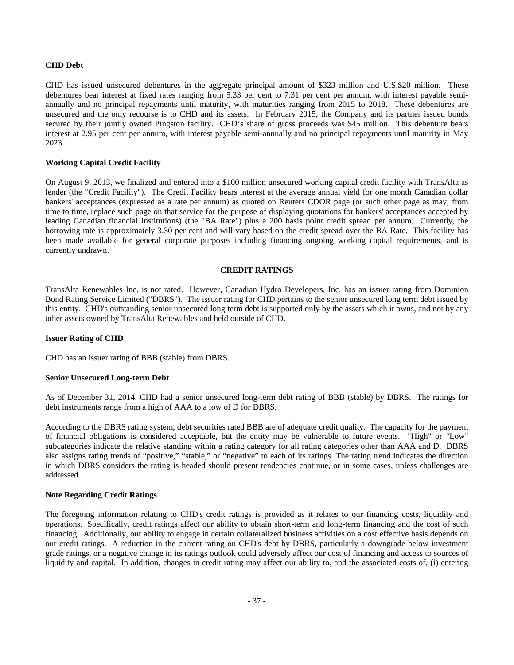#### **CHD Debt**

CHD has issued unsecured debentures in the aggregate principal amount of \$323 million and U.S.\$20 million. These debentures bear interest at fixed rates ranging from 5.33 per cent to 7.31 per cent per annum, with interest payable semiannually and no principal repayments until maturity, with maturities ranging from 2015 to 2018. These debentures are unsecured and the only recourse is to CHD and its assets. In February 2015, the Company and its partner issued bonds secured by their jointly owned Pingston facility. CHD's share of gross proceeds was \$45 million. This debenture bears interest at 2.95 per cent per annum, with interest payable semi-annually and no principal repayments until maturity in May 2023.

#### **Working Capital Credit Facility**

On August 9, 2013, we finalized and entered into a \$100 million unsecured working capital credit facility with TransAlta as lender (the "Credit Facility"). The Credit Facility bears interest at the average annual yield for one month Canadian dollar bankers' acceptances (expressed as a rate per annum) as quoted on Reuters CDOR page (or such other page as may, from time to time, replace such page on that service for the purpose of displaying quotations for bankers' acceptances accepted by leading Canadian financial institutions) (the "BA Rate") plus a 200 basis point credit spread per annum. Currently, the borrowing rate is approximately 3.30 per cent and will vary based on the credit spread over the BA Rate. This facility has been made available for general corporate purposes including financing ongoing working capital requirements, and is currently undrawn.

#### **CREDIT RATINGS**

TransAlta Renewables Inc. is not rated. However, Canadian Hydro Developers, Inc. has an issuer rating from Dominion Bond Rating Service Limited ("DBRS"). The issuer rating for CHD pertains to the senior unsecured long term debt issued by this entity. CHD's outstanding senior unsecured long term debt is supported only by the assets which it owns, and not by any other assets owned by TransAlta Renewables and held outside of CHD.

#### **Issuer Rating of CHD**

CHD has an issuer rating of BBB (stable) from DBRS.

#### **Senior Unsecured Long-term Debt**

As of December 31, 2014, CHD had a senior unsecured long-term debt rating of BBB (stable) by DBRS. The ratings for debt instruments range from a high of AAA to a low of D for DBRS.

According to the DBRS rating system, debt securities rated BBB are of adequate credit quality. The capacity for the payment of financial obligations is considered acceptable, but the entity may be vulnerable to future events. "High" or "Low" subcategories indicate the relative standing within a rating category for all rating categories other than AAA and D. DBRS also assigns rating trends of "positive," "stable," or "negative" to each of its ratings. The rating trend indicates the direction in which DBRS considers the rating is headed should present tendencies continue, or in some cases, unless challenges are addressed.

#### **Note Regarding Credit Ratings**

The foregoing information relating to CHD's credit ratings is provided as it relates to our financing costs, liquidity and operations. Specifically, credit ratings affect our ability to obtain short-term and long-term financing and the cost of such financing. Additionally, our ability to engage in certain collateralized business activities on a cost effective basis depends on our credit ratings. A reduction in the current rating on CHD's debt by DBRS, particularly a downgrade below investment grade ratings, or a negative change in its ratings outlook could adversely affect our cost of financing and access to sources of liquidity and capital. In addition, changes in credit rating may affect our ability to, and the associated costs of, (i) entering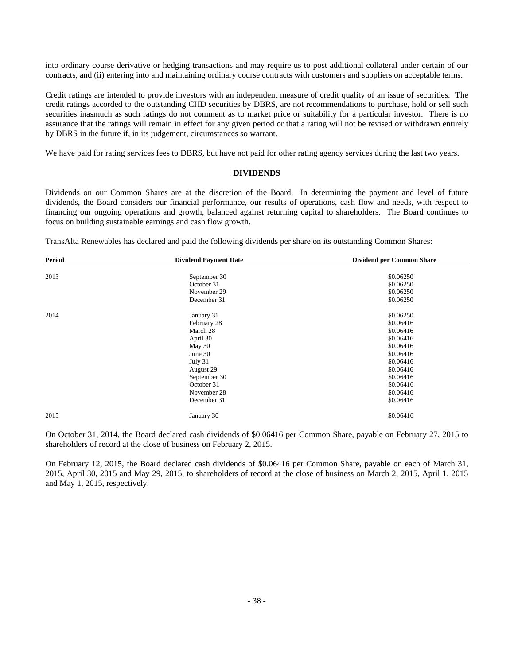into ordinary course derivative or hedging transactions and may require us to post additional collateral under certain of our contracts, and (ii) entering into and maintaining ordinary course contracts with customers and suppliers on acceptable terms.

Credit ratings are intended to provide investors with an independent measure of credit quality of an issue of securities. The credit ratings accorded to the outstanding CHD securities by DBRS, are not recommendations to purchase, hold or sell such securities inasmuch as such ratings do not comment as to market price or suitability for a particular investor. There is no assurance that the ratings will remain in effect for any given period or that a rating will not be revised or withdrawn entirely by DBRS in the future if, in its judgement, circumstances so warrant.

We have paid for rating services fees to DBRS, but have not paid for other rating agency services during the last two years.

#### **DIVIDENDS**

Dividends on our Common Shares are at the discretion of the Board. In determining the payment and level of future dividends, the Board considers our financial performance, our results of operations, cash flow and needs, with respect to financing our ongoing operations and growth, balanced against returning capital to shareholders. The Board continues to focus on building sustainable earnings and cash flow growth.

TransAlta Renewables has declared and paid the following dividends per share on its outstanding Common Shares:

| <b>Period</b> | <b>Dividend Payment Date</b> | Dividend per Common Share |
|---------------|------------------------------|---------------------------|
|               |                              |                           |
| 2013          | September 30                 | \$0.06250                 |
|               | October 31                   | \$0.06250                 |
|               | November 29                  | \$0.06250                 |
|               | December 31                  | \$0.06250                 |
| 2014          | January 31                   | \$0.06250                 |
|               | February 28                  | \$0.06416                 |
|               | March 28                     | \$0.06416                 |
|               | April 30                     | \$0.06416                 |
|               | May 30                       | \$0.06416                 |
|               | June 30                      | \$0.06416                 |
|               | July 31                      | \$0.06416                 |
|               | August 29                    | \$0.06416                 |
|               | September 30                 | \$0.06416                 |
|               | October 31                   | \$0.06416                 |
|               | November 28                  | \$0.06416                 |
|               | December 31                  | \$0.06416                 |
| 2015          | January 30                   | \$0.06416                 |

On October 31, 2014, the Board declared cash dividends of \$0.06416 per Common Share, payable on February 27, 2015 to shareholders of record at the close of business on February 2, 2015.

On February 12, 2015, the Board declared cash dividends of \$0.06416 per Common Share, payable on each of March 31, 2015, April 30, 2015 and May 29, 2015, to shareholders of record at the close of business on March 2, 2015, April 1, 2015 and May 1, 2015, respectively.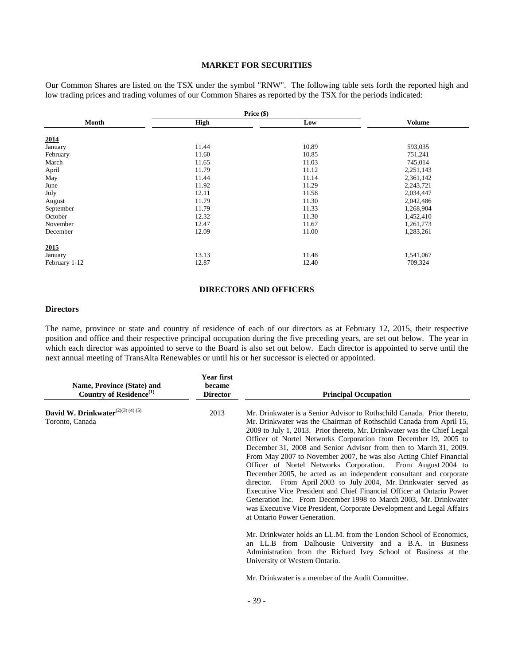# **MARKET FOR SECURITIES**

Our Common Shares are listed on the TSX under the symbol "RNW". The following table sets forth the reported high and low trading prices and trading volumes of our Common Shares as reported by the TSX for the periods indicated:

|               |             | Price $(\$)$ |               |
|---------------|-------------|--------------|---------------|
| Month         | <b>High</b> | Low          | <b>Volume</b> |
| 2014          |             |              |               |
| January       | 11.44       | 10.89        | 593,035       |
| February      | 11.60       | 10.85        | 751,241       |
| March         | 11.65       | 11.03        | 745,014       |
| April         | 11.79       | 11.12        | 2,251,143     |
| May           | 11.44       | 11.14        | 2,361,142     |
| June          | 11.92       | 11.29        | 2,243,721     |
| July          | 12.11       | 11.58        | 2,034,447     |
| August        | 11.79       | 11.30        | 2,042,486     |
| September     | 11.79       | 11.33        | 1,268,904     |
| October       | 12.32       | 11.30        | 1,452,410     |
| November      | 12.47       | 11.67        | 1,261,773     |
| December      | 12.09       | 11.00        | 1,283,261     |
| 2015          |             |              |               |
| January       | 13.13       | 11.48        | 1,541,067     |
| February 1-12 | 12.87       | 12.40        | 709,324       |

# **DIRECTORS AND OFFICERS**

# **Directors**

The name, province or state and country of residence of each of our directors as at February 12, 2015, their respective position and office and their respective principal occupation during the five preceding years, are set out below. The year in which each director was appointed to serve to the Board is also set out below. Each director is appointed to serve until the next annual meeting of TransAlta Renewables or until his or her successor is elected or appointed.

| Name, Province (State) and<br>Country of Residence <sup>(1)</sup> | <b>Year first</b><br>became<br><b>Director</b> | <b>Principal Occupation</b>                                                                                                                                                                                                                                                                                                                                                                                                                                                                                                                                                                                                                                                                                                                                                                                                                                                                             |
|-------------------------------------------------------------------|------------------------------------------------|---------------------------------------------------------------------------------------------------------------------------------------------------------------------------------------------------------------------------------------------------------------------------------------------------------------------------------------------------------------------------------------------------------------------------------------------------------------------------------------------------------------------------------------------------------------------------------------------------------------------------------------------------------------------------------------------------------------------------------------------------------------------------------------------------------------------------------------------------------------------------------------------------------|
| David W. Drinkwater <sup>(2)(3)(4)(5)</sup><br>Toronto, Canada    | 2013                                           | Mr. Drinkwater is a Senior Advisor to Rothschild Canada. Prior thereto,<br>Mr. Drinkwater was the Chairman of Rothschild Canada from April 15,<br>2009 to July 1, 2013. Prior thereto, Mr. Drinkwater was the Chief Legal<br>Officer of Nortel Networks Corporation from December 19, 2005 to<br>December 31, 2008 and Senior Advisor from then to March 31, 2009.<br>From May 2007 to November 2007, he was also Acting Chief Financial<br>Officer of Nortel Networks Corporation. From August 2004 to<br>December 2005, he acted as an independent consultant and corporate<br>director. From April 2003 to July 2004, Mr. Drinkwater served as<br>Executive Vice President and Chief Financial Officer at Ontario Power<br>Generation Inc. From December 1998 to March 2003, Mr. Drinkwater<br>was Executive Vice President, Corporate Development and Legal Affairs<br>at Ontario Power Generation. |
|                                                                   |                                                | Mr. Drinkwater holds an LL.M. from the London School of Economics,<br>an LL.B from Dalhousie University and a B.A. in Business<br>Administration from the Richard Ivey School of Business at the<br>University of Western Ontario.<br>Mr. Drinkwater is a member of the Audit Committee.                                                                                                                                                                                                                                                                                                                                                                                                                                                                                                                                                                                                                |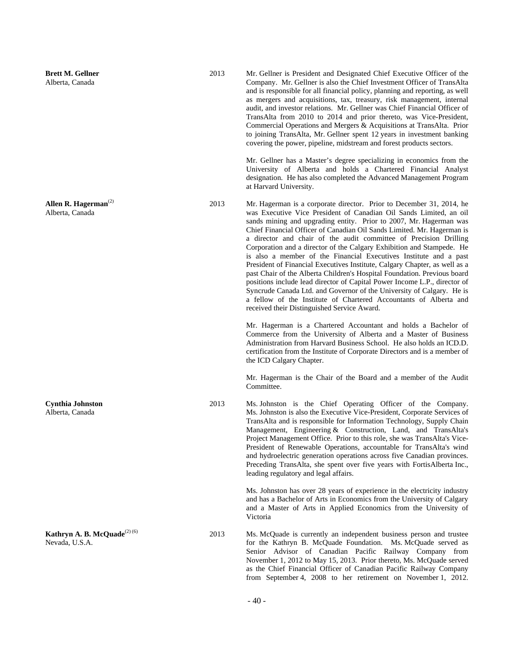**Brett M. Gellner** Alberta, Canada

**Allen R. Hagerman**(2) Alberta, Canada

**Cynthia Johnston** Alberta, Canada

**Kathryn A. B. McQuade**<sup>(2) (6)</sup> Nevada, U.S.A.

2013 Mr. Gellner is President and Designated Chief Executive Officer of the Company. Mr. Gellner is also the Chief Investment Officer of TransAlta and is responsible for all financial policy, planning and reporting, as well as mergers and acquisitions, tax, treasury, risk management, internal audit, and investor relations. Mr. Gellner was Chief Financial Officer of TransAlta from 2010 to 2014 and prior thereto, was Vice-President, Commercial Operations and Mergers & Acquisitions at TransAlta. Prior to joining TransAlta, Mr. Gellner spent 12 years in investment banking covering the power, pipeline, midstream and forest products sectors.

> Mr. Gellner has a Master's degree specializing in economics from the University of Alberta and holds a Chartered Financial Analyst designation. He has also completed the Advanced Management Program at Harvard University.

2013 Mr. Hagerman is a corporate director. Prior to December 31, 2014, he was Executive Vice President of Canadian Oil Sands Limited, an oil sands mining and upgrading entity. Prior to 2007, Mr. Hagerman was Chief Financial Officer of Canadian Oil Sands Limited. Mr. Hagerman is a director and chair of the audit committee of Precision Drilling Corporation and a director of the Calgary Exhibition and Stampede. He is also a member of the Financial Executives Institute and a past President of Financial Executives Institute, Calgary Chapter, as well as a past Chair of the Alberta Children's Hospital Foundation. Previous board positions include lead director of Capital Power Income L.P., director of Syncrude Canada Ltd. and Governor of the University of Calgary. He is a fellow of the Institute of Chartered Accountants of Alberta and received their Distinguished Service Award.

> Mr. Hagerman is a Chartered Accountant and holds a Bachelor of Commerce from the University of Alberta and a Master of Business Administration from Harvard Business School. He also holds an ICD.D. certification from the Institute of Corporate Directors and is a member of the ICD Calgary Chapter.

> Mr. Hagerman is the Chair of the Board and a member of the Audit Committee.

2013 Ms. Johnston is the Chief Operating Officer of the Company. Ms. Johnston is also the Executive Vice-President, Corporate Services of TransAlta and is responsible for Information Technology, Supply Chain Management, Engineering & Construction, Land, and TransAlta's Project Management Office. Prior to this role, she was TransAlta's Vice-President of Renewable Operations, accountable for TransAlta's wind and hydroelectric generation operations across five Canadian provinces. Preceding TransAlta, she spent over five years with FortisAlberta Inc., leading regulatory and legal affairs.

> Ms. Johnston has over 28 years of experience in the electricity industry and has a Bachelor of Arts in Economics from the University of Calgary and a Master of Arts in Applied Economics from the University of Victoria

2013 Ms. McQuade is currently an independent business person and trustee for the Kathryn B. McQuade Foundation. Ms. McQuade served as Senior Advisor of Canadian Pacific Railway Company from November 1, 2012 to May 15, 2013. Prior thereto, Ms. McQuade served as the Chief Financial Officer of Canadian Pacific Railway Company from September 4, 2008 to her retirement on November 1, 2012.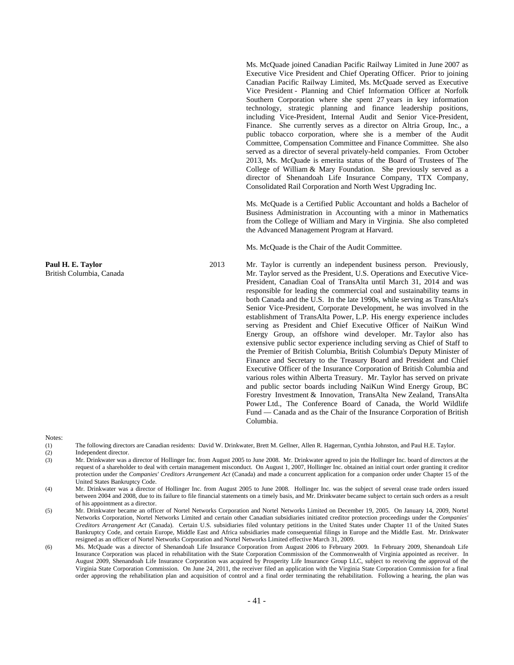Ms. McQuade joined Canadian Pacific Railway Limited in June 2007 as Executive Vice President and Chief Operating Officer. Prior to joining Canadian Pacific Railway Limited, Ms. McQuade served as Executive Vice President - Planning and Chief Information Officer at Norfolk Southern Corporation where she spent 27 years in key information technology, strategic planning and finance leadership positions, including Vice-President, Internal Audit and Senior Vice-President, Finance. She currently serves as a director on Altria Group, Inc., a public tobacco corporation, where she is a member of the Audit Committee, Compensation Committee and Finance Committee. She also served as a director of several privately-held companies. From October 2013, Ms. McQuade is emerita status of the Board of Trustees of The College of William & Mary Foundation. She previously served as a director of Shenandoah Life Insurance Company, TTX Company, Consolidated Rail Corporation and North West Upgrading Inc.

Ms. McQuade is a Certified Public Accountant and holds a Bachelor of Business Administration in Accounting with a minor in Mathematics from the College of William and Mary in Virginia. She also completed the Advanced Management Program at Harvard.

Ms. McQuade is the Chair of the Audit Committee.

2013 Mr. Taylor is currently an independent business person. Previously, Mr. Taylor served as the President, U.S. Operations and Executive Vice-President, Canadian Coal of TransAlta until March 31, 2014 and was responsible for leading the commercial coal and sustainability teams in both Canada and the U.S. In the late 1990s, while serving as TransAlta's Senior Vice-President, Corporate Development, he was involved in the establishment of TransAlta Power, L.P. His energy experience includes serving as President and Chief Executive Officer of NaiKun Wind Energy Group, an offshore wind developer. Mr. Taylor also has extensive public sector experience including serving as Chief of Staff to the Premier of British Columbia, British Columbia's Deputy Minister of Finance and Secretary to the Treasury Board and President and Chief Executive Officer of the Insurance Corporation of British Columbia and various roles within Alberta Treasury. Mr. Taylor has served on private and public sector boards including NaiKun Wind Energy Group, BC Forestry Investment & Innovation, TransAlta New Zealand, TransAlta Power Ltd., The Conference Board of Canada, the World Wildlife Fund — Canada and as the Chair of the Insurance Corporation of British Columbia.

Notes:

- (1) The following directors are Canadian residents: David W. Drinkwater, Brett M. Gellner, Allen R. Hagerman, Cynthia Johnston, and Paul H.E. Taylor.
- (2) Independent director.
- (3) Mr. Drinkwater was a director of Hollinger Inc. from August 2005 to June 2008. Mr. Drinkwater agreed to join the Hollinger Inc. board of directors at the request of a shareholder to deal with certain management misconduct. On August 1, 2007, Hollinger Inc. obtained an initial court order granting it creditor protection under the *Companies' Creditors Arrangement Act* (Canada) and made a concurrent application for a companion order under Chapter 15 of the United States Bankruptcy Code.
- (4) Mr. Drinkwater was a director of Hollinger Inc. from August 2005 to June 2008. Hollinger Inc. was the subject of several cease trade orders issued between 2004 and 2008, due to its failure to file financial statements on a timely basis, and Mr. Drinkwater became subject to certain such orders as a result of his appointment as a director.
- (5) Mr. Drinkwater became an officer of Nortel Networks Corporation and Nortel Networks Limited on December 19, 2005. On January 14, 2009, Nortel Networks Corporation, Nortel Networks Limited and certain other Canadian subsidiaries initiated creditor protection proceedings under the *Companies' Creditors Arrangement Act* (Canada). Certain U.S. subsidiaries filed voluntary petitions in the United States under Chapter 11 of the United States Bankruptcy Code, and certain Europe, Middle East and Africa subsidiaries made consequential filings in Europe and the Middle East. Mr. Drinkwater resigned as an officer of Nortel Networks Corporation and Nortel Networks Limited effective March 31, 2009.
- (6) Ms. McQuade was a director of Shenandoah Life Insurance Corporation from August 2006 to February 2009. In February 2009, Shenandoah Life Insurance Corporation was placed in rehabilitation with the State Corporation Commission of the Commonwealth of Virginia appointed as receiver. In August 2009, Shenandoah Life Insurance Corporation was acquired by Prosperity Life Insurance Group LLC, subject to receiving the approval of the Virginia State Corporation Commission. On June 24, 2011, the receiver filed an application with the Virginia State Corporation Commission for a final order approving the rehabilitation plan and acquisition of control and a final order terminating the rehabilitation. Following a hearing, the plan was

**Paul H. E. Taylor** British Columbia, Canada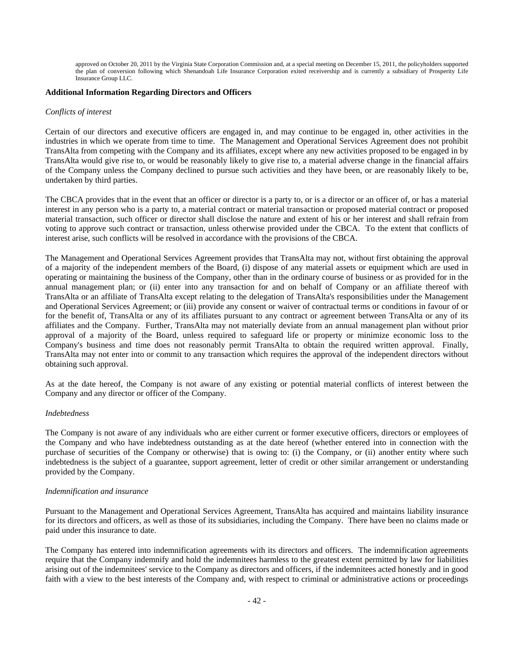approved on October 20, 2011 by the Virginia State Corporation Commission and, at a special meeting on December 15, 2011, the policyholders supported the plan of conversion following which Shenandoah Life Insurance Corporation exited receivership and is currently a subsidiary of Prosperity Life Insurance Group LLC.

#### **Additional Information Regarding Directors and Officers**

#### *Conflicts of interest*

Certain of our directors and executive officers are engaged in, and may continue to be engaged in, other activities in the industries in which we operate from time to time. The Management and Operational Services Agreement does not prohibit TransAlta from competing with the Company and its affiliates, except where any new activities proposed to be engaged in by TransAlta would give rise to, or would be reasonably likely to give rise to, a material adverse change in the financial affairs of the Company unless the Company declined to pursue such activities and they have been, or are reasonably likely to be, undertaken by third parties.

The CBCA provides that in the event that an officer or director is a party to, or is a director or an officer of, or has a material interest in any person who is a party to, a material contract or material transaction or proposed material contract or proposed material transaction, such officer or director shall disclose the nature and extent of his or her interest and shall refrain from voting to approve such contract or transaction, unless otherwise provided under the CBCA. To the extent that conflicts of interest arise, such conflicts will be resolved in accordance with the provisions of the CBCA.

The Management and Operational Services Agreement provides that TransAlta may not, without first obtaining the approval of a majority of the independent members of the Board, (i) dispose of any material assets or equipment which are used in operating or maintaining the business of the Company, other than in the ordinary course of business or as provided for in the annual management plan; or (ii) enter into any transaction for and on behalf of Company or an affiliate thereof with TransAlta or an affiliate of TransAlta except relating to the delegation of TransAlta's responsibilities under the Management and Operational Services Agreement; or (iii) provide any consent or waiver of contractual terms or conditions in favour of or for the benefit of, TransAlta or any of its affiliates pursuant to any contract or agreement between TransAlta or any of its affiliates and the Company. Further, TransAlta may not materially deviate from an annual management plan without prior approval of a majority of the Board, unless required to safeguard life or property or minimize economic loss to the Company's business and time does not reasonably permit TransAlta to obtain the required written approval. Finally, TransAlta may not enter into or commit to any transaction which requires the approval of the independent directors without obtaining such approval.

As at the date hereof, the Company is not aware of any existing or potential material conflicts of interest between the Company and any director or officer of the Company.

#### *Indebtedness*

The Company is not aware of any individuals who are either current or former executive officers, directors or employees of the Company and who have indebtedness outstanding as at the date hereof (whether entered into in connection with the purchase of securities of the Company or otherwise) that is owing to: (i) the Company, or (ii) another entity where such indebtedness is the subject of a guarantee, support agreement, letter of credit or other similar arrangement or understanding provided by the Company.

#### *Indemnification and insurance*

Pursuant to the Management and Operational Services Agreement, TransAlta has acquired and maintains liability insurance for its directors and officers, as well as those of its subsidiaries, including the Company. There have been no claims made or paid under this insurance to date.

The Company has entered into indemnification agreements with its directors and officers. The indemnification agreements require that the Company indemnify and hold the indemnitees harmless to the greatest extent permitted by law for liabilities arising out of the indemnitees' service to the Company as directors and officers, if the indemnitees acted honestly and in good faith with a view to the best interests of the Company and, with respect to criminal or administrative actions or proceedings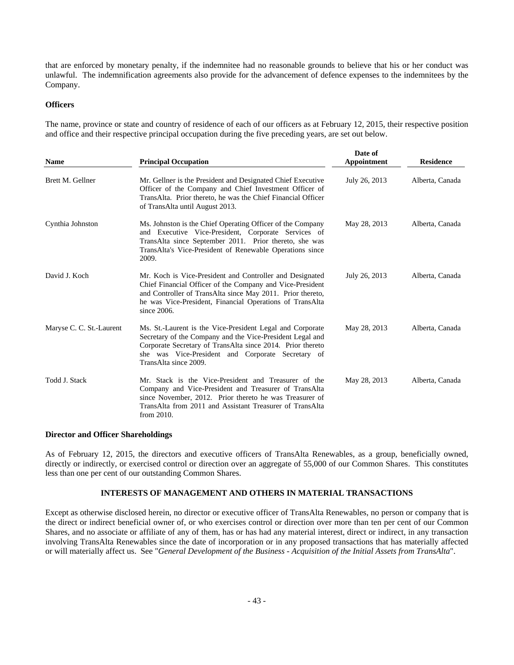that are enforced by monetary penalty, if the indemnitee had no reasonable grounds to believe that his or her conduct was unlawful. The indemnification agreements also provide for the advancement of defence expenses to the indemnitees by the Company.

# **Officers**

The name, province or state and country of residence of each of our officers as at February 12, 2015, their respective position and office and their respective principal occupation during the five preceding years, are set out below.

| <b>Name</b>              | <b>Principal Occupation</b>                                                                                                                                                                                                                                        | Date of<br>Appointment | <b>Residence</b> |
|--------------------------|--------------------------------------------------------------------------------------------------------------------------------------------------------------------------------------------------------------------------------------------------------------------|------------------------|------------------|
| Brett M. Gellner         | Mr. Gellner is the President and Designated Chief Executive<br>Officer of the Company and Chief Investment Officer of<br>TransAlta. Prior thereto, he was the Chief Financial Officer<br>of TransAlta until August 2013.                                           | July 26, 2013          | Alberta, Canada  |
| Cynthia Johnston         | Ms. Johnston is the Chief Operating Officer of the Company<br>and Executive Vice-President, Corporate Services of<br>TransAlta since September 2011. Prior thereto, she was<br>TransAlta's Vice-President of Renewable Operations since<br>2009.                   | May 28, 2013           | Alberta, Canada  |
| David J. Koch            | Mr. Koch is Vice-President and Controller and Designated<br>Chief Financial Officer of the Company and Vice-President<br>and Controller of TransAlta since May 2011. Prior thereto,<br>he was Vice-President, Financial Operations of TransAlta<br>since 2006.     | July 26, 2013          | Alberta, Canada  |
| Maryse C. C. St.-Laurent | Ms. St.-Laurent is the Vice-President Legal and Corporate<br>Secretary of the Company and the Vice-President Legal and<br>Corporate Secretary of TransAlta since 2014. Prior thereto<br>she was Vice-President and Corporate Secretary of<br>TransAlta since 2009. | May 28, 2013           | Alberta, Canada  |
| Todd J. Stack            | Mr. Stack is the Vice-President and Treasurer of the<br>Company and Vice-President and Treasurer of TransAlta<br>since November, 2012. Prior thereto he was Treasurer of<br>TransAlta from 2011 and Assistant Treasurer of TransAlta<br>from 2010.                 | May 28, 2013           | Alberta, Canada  |

#### **Director and Officer Shareholdings**

As of February 12, 2015, the directors and executive officers of TransAlta Renewables, as a group, beneficially owned, directly or indirectly, or exercised control or direction over an aggregate of 55,000 of our Common Shares. This constitutes less than one per cent of our outstanding Common Shares.

#### **INTERESTS OF MANAGEMENT AND OTHERS IN MATERIAL TRANSACTIONS**

Except as otherwise disclosed herein, no director or executive officer of TransAlta Renewables, no person or company that is the direct or indirect beneficial owner of, or who exercises control or direction over more than ten per cent of our Common Shares, and no associate or affiliate of any of them, has or has had any material interest, direct or indirect, in any transaction involving TransAlta Renewables since the date of incorporation or in any proposed transactions that has materially affected or will materially affect us. See "*General Development of the Business - Acquisition of the Initial Assets from TransAlta*".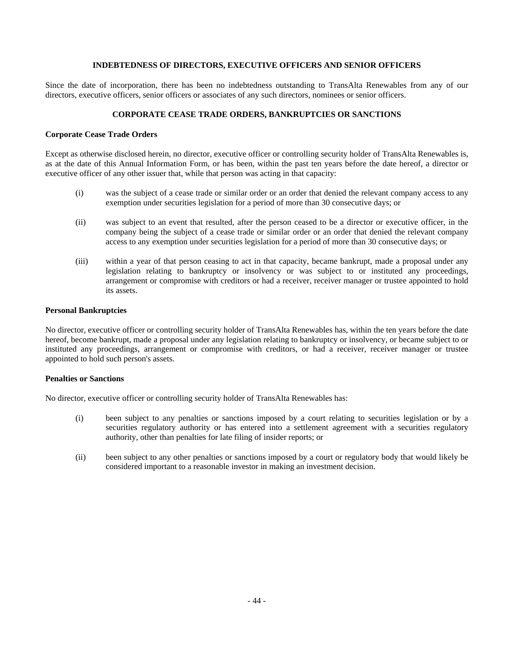# **INDEBTEDNESS OF DIRECTORS, EXECUTIVE OFFICERS AND SENIOR OFFICERS**

Since the date of incorporation, there has been no indebtedness outstanding to TransAlta Renewables from any of our directors, executive officers, senior officers or associates of any such directors, nominees or senior officers.

# **CORPORATE CEASE TRADE ORDERS, BANKRUPTCIES OR SANCTIONS**

# **Corporate Cease Trade Orders**

Except as otherwise disclosed herein, no director, executive officer or controlling security holder of TransAlta Renewables is, as at the date of this Annual Information Form, or has been, within the past ten years before the date hereof, a director or executive officer of any other issuer that, while that person was acting in that capacity:

- (i) was the subject of a cease trade or similar order or an order that denied the relevant company access to any exemption under securities legislation for a period of more than 30 consecutive days; or
- (ii) was subject to an event that resulted, after the person ceased to be a director or executive officer, in the company being the subject of a cease trade or similar order or an order that denied the relevant company access to any exemption under securities legislation for a period of more than 30 consecutive days; or
- (iii) within a year of that person ceasing to act in that capacity, became bankrupt, made a proposal under any legislation relating to bankruptcy or insolvency or was subject to or instituted any proceedings, arrangement or compromise with creditors or had a receiver, receiver manager or trustee appointed to hold its assets.

#### **Personal Bankruptcies**

No director, executive officer or controlling security holder of TransAlta Renewables has, within the ten years before the date hereof, become bankrupt, made a proposal under any legislation relating to bankruptcy or insolvency, or became subject to or instituted any proceedings, arrangement or compromise with creditors, or had a receiver, receiver manager or trustee appointed to hold such person's assets.

#### **Penalties or Sanctions**

No director, executive officer or controlling security holder of TransAlta Renewables has:

- (i) been subject to any penalties or sanctions imposed by a court relating to securities legislation or by a securities regulatory authority or has entered into a settlement agreement with a securities regulatory authority, other than penalties for late filing of insider reports; or
- (ii) been subject to any other penalties or sanctions imposed by a court or regulatory body that would likely be considered important to a reasonable investor in making an investment decision.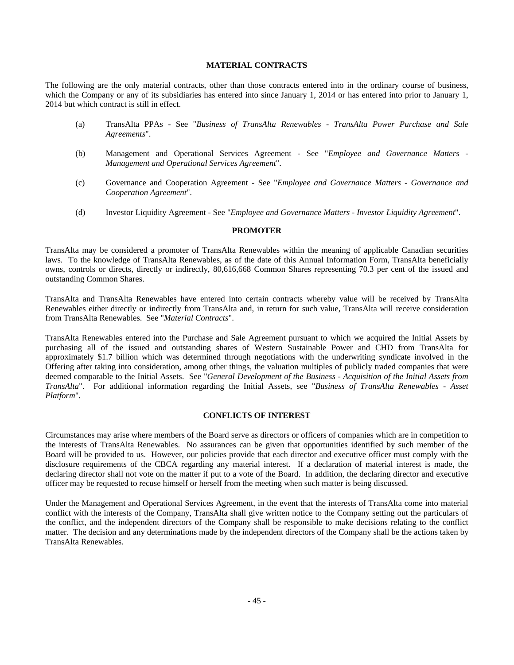# **MATERIAL CONTRACTS**

The following are the only material contracts, other than those contracts entered into in the ordinary course of business, which the Company or any of its subsidiaries has entered into since January 1, 2014 or has entered into prior to January 1, 2014 but which contract is still in effect.

- (a) TransAlta PPAs See "*Business of TransAlta Renewables TransAlta Power Purchase and Sale Agreements*".
- (b) Management and Operational Services Agreement See "*Employee and Governance Matters Management and Operational Services Agreement*".
- (c) Governance and Cooperation Agreement See "*Employee and Governance Matters Governance and Cooperation Agreement*"*.*
- (d) Investor Liquidity Agreement See "*Employee and Governance Matters Investor Liquidity Agreement*".

#### **PROMOTER**

TransAlta may be considered a promoter of TransAlta Renewables within the meaning of applicable Canadian securities laws. To the knowledge of TransAlta Renewables, as of the date of this Annual Information Form, TransAlta beneficially owns, controls or directs, directly or indirectly, 80,616,668 Common Shares representing 70.3 per cent of the issued and outstanding Common Shares.

TransAlta and TransAlta Renewables have entered into certain contracts whereby value will be received by TransAlta Renewables either directly or indirectly from TransAlta and, in return for such value, TransAlta will receive consideration from TransAlta Renewables. See "*Material Contracts*".

TransAlta Renewables entered into the Purchase and Sale Agreement pursuant to which we acquired the Initial Assets by purchasing all of the issued and outstanding shares of Western Sustainable Power and CHD from TransAlta for approximately \$1.7 billion which was determined through negotiations with the underwriting syndicate involved in the Offering after taking into consideration, among other things, the valuation multiples of publicly traded companies that were deemed comparable to the Initial Assets. See "*General Development of the Business - Acquisition of the Initial Assets from TransAlta*". For additional information regarding the Initial Assets, see "*Business of TransAlta Renewables - Asset Platform*".

# **CONFLICTS OF INTEREST**

Circumstances may arise where members of the Board serve as directors or officers of companies which are in competition to the interests of TransAlta Renewables. No assurances can be given that opportunities identified by such member of the Board will be provided to us. However, our policies provide that each director and executive officer must comply with the disclosure requirements of the CBCA regarding any material interest. If a declaration of material interest is made, the declaring director shall not vote on the matter if put to a vote of the Board. In addition, the declaring director and executive officer may be requested to recuse himself or herself from the meeting when such matter is being discussed.

Under the Management and Operational Services Agreement, in the event that the interests of TransAlta come into material conflict with the interests of the Company, TransAlta shall give written notice to the Company setting out the particulars of the conflict, and the independent directors of the Company shall be responsible to make decisions relating to the conflict matter. The decision and any determinations made by the independent directors of the Company shall be the actions taken by TransAlta Renewables.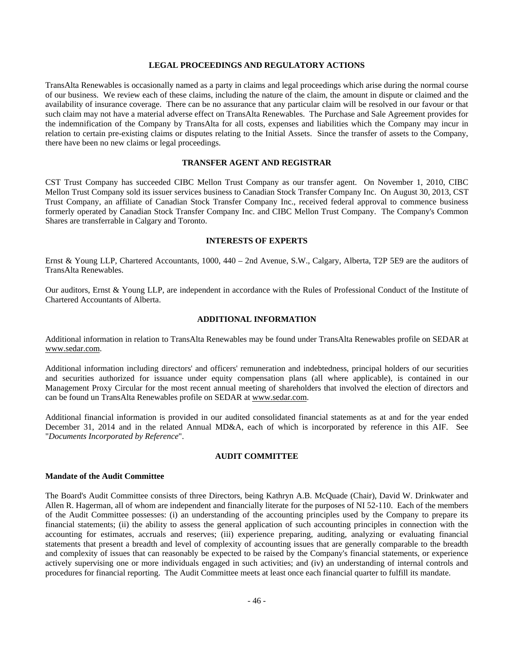# **LEGAL PROCEEDINGS AND REGULATORY ACTIONS**

TransAlta Renewables is occasionally named as a party in claims and legal proceedings which arise during the normal course of our business. We review each of these claims, including the nature of the claim, the amount in dispute or claimed and the availability of insurance coverage. There can be no assurance that any particular claim will be resolved in our favour or that such claim may not have a material adverse effect on TransAlta Renewables. The Purchase and Sale Agreement provides for the indemnification of the Company by TransAlta for all costs, expenses and liabilities which the Company may incur in relation to certain pre-existing claims or disputes relating to the Initial Assets. Since the transfer of assets to the Company, there have been no new claims or legal proceedings.

#### **TRANSFER AGENT AND REGISTRAR**

CST Trust Company has succeeded CIBC Mellon Trust Company as our transfer agent. On November 1, 2010, CIBC Mellon Trust Company sold its issuer services business to Canadian Stock Transfer Company Inc. On August 30, 2013, CST Trust Company, an affiliate of Canadian Stock Transfer Company Inc., received federal approval to commence business formerly operated by Canadian Stock Transfer Company Inc. and CIBC Mellon Trust Company. The Company's Common Shares are transferrable in Calgary and Toronto.

#### **INTERESTS OF EXPERTS**

Ernst & Young LLP, Chartered Accountants, 1000, 440 – 2nd Avenue, S.W., Calgary, Alberta, T2P 5E9 are the auditors of TransAlta Renewables.

Our auditors, Ernst & Young LLP, are independent in accordance with the Rules of Professional Conduct of the Institute of Chartered Accountants of Alberta.

# **ADDITIONAL INFORMATION**

Additional information in relation to TransAlta Renewables may be found under TransAlta Renewables profile on SEDAR at www.sedar.com.

Additional information including directors' and officers' remuneration and indebtedness, principal holders of our securities and securities authorized for issuance under equity compensation plans (all where applicable), is contained in our Management Proxy Circular for the most recent annual meeting of shareholders that involved the election of directors and can be found un TransAlta Renewables profile on SEDAR at www.sedar.com.

Additional financial information is provided in our audited consolidated financial statements as at and for the year ended December 31, 2014 and in the related Annual MD&A, each of which is incorporated by reference in this AIF. See "*Documents Incorporated by Reference*".

#### **AUDIT COMMITTEE**

# **Mandate of the Audit Committee**

The Board's Audit Committee consists of three Directors, being Kathryn A.B. McQuade (Chair), David W. Drinkwater and Allen R. Hagerman, all of whom are independent and financially literate for the purposes of NI 52-110. Each of the members of the Audit Committee possesses: (i) an understanding of the accounting principles used by the Company to prepare its financial statements; (ii) the ability to assess the general application of such accounting principles in connection with the accounting for estimates, accruals and reserves; (iii) experience preparing, auditing, analyzing or evaluating financial statements that present a breadth and level of complexity of accounting issues that are generally comparable to the breadth and complexity of issues that can reasonably be expected to be raised by the Company's financial statements, or experience actively supervising one or more individuals engaged in such activities; and (iv) an understanding of internal controls and procedures for financial reporting. The Audit Committee meets at least once each financial quarter to fulfill its mandate.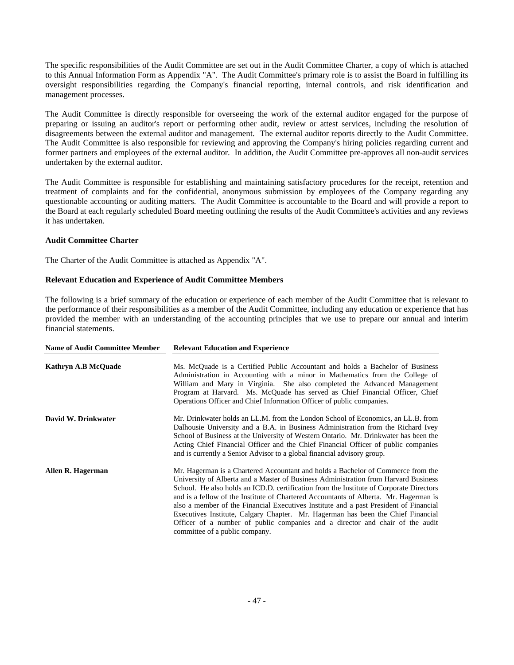The specific responsibilities of the Audit Committee are set out in the Audit Committee Charter, a copy of which is attached to this Annual Information Form as Appendix "A". The Audit Committee's primary role is to assist the Board in fulfilling its oversight responsibilities regarding the Company's financial reporting, internal controls, and risk identification and management processes.

The Audit Committee is directly responsible for overseeing the work of the external auditor engaged for the purpose of preparing or issuing an auditor's report or performing other audit, review or attest services, including the resolution of disagreements between the external auditor and management. The external auditor reports directly to the Audit Committee. The Audit Committee is also responsible for reviewing and approving the Company's hiring policies regarding current and former partners and employees of the external auditor. In addition, the Audit Committee pre-approves all non-audit services undertaken by the external auditor.

The Audit Committee is responsible for establishing and maintaining satisfactory procedures for the receipt, retention and treatment of complaints and for the confidential, anonymous submission by employees of the Company regarding any questionable accounting or auditing matters. The Audit Committee is accountable to the Board and will provide a report to the Board at each regularly scheduled Board meeting outlining the results of the Audit Committee's activities and any reviews it has undertaken.

# **Audit Committee Charter**

The Charter of the Audit Committee is attached as Appendix "A".

# **Relevant Education and Experience of Audit Committee Members**

The following is a brief summary of the education or experience of each member of the Audit Committee that is relevant to the performance of their responsibilities as a member of the Audit Committee, including any education or experience that has provided the member with an understanding of the accounting principles that we use to prepare our annual and interim financial statements.

| <b>Name of Audit Committee Member</b> | <b>Relevant Education and Experience</b>                                                                                                                                                                                                                                                                                                                                                                                                                                                                                                                                                                                                                    |
|---------------------------------------|-------------------------------------------------------------------------------------------------------------------------------------------------------------------------------------------------------------------------------------------------------------------------------------------------------------------------------------------------------------------------------------------------------------------------------------------------------------------------------------------------------------------------------------------------------------------------------------------------------------------------------------------------------------|
| <b>Kathryn A.B McQuade</b>            | Ms. McQuade is a Certified Public Accountant and holds a Bachelor of Business<br>Administration in Accounting with a minor in Mathematics from the College of<br>William and Mary in Virginia. She also completed the Advanced Management<br>Program at Harvard. Ms. McQuade has served as Chief Financial Officer, Chief<br>Operations Officer and Chief Information Officer of public companies.                                                                                                                                                                                                                                                          |
| David W. Drinkwater                   | Mr. Drinkwater holds an LL.M. from the London School of Economics, an LL.B. from<br>Dalhousie University and a B.A. in Business Administration from the Richard Ivey<br>School of Business at the University of Western Ontario. Mr. Drinkwater has been the<br>Acting Chief Financial Officer and the Chief Financial Officer of public companies<br>and is currently a Senior Advisor to a global financial advisory group.                                                                                                                                                                                                                               |
| Allen R. Hagerman                     | Mr. Hagerman is a Chartered Accountant and holds a Bachelor of Commerce from the<br>University of Alberta and a Master of Business Administration from Harvard Business<br>School. He also holds an ICD.D. certification from the Institute of Corporate Directors<br>and is a fellow of the Institute of Chartered Accountants of Alberta. Mr. Hagerman is<br>also a member of the Financial Executives Institute and a past President of Financial<br>Executives Institute, Calgary Chapter. Mr. Hagerman has been the Chief Financial<br>Officer of a number of public companies and a director and chair of the audit<br>committee of a public company. |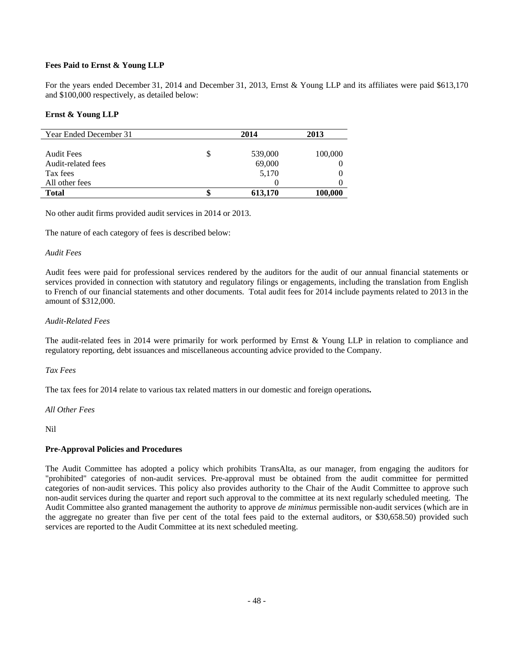# **Fees Paid to Ernst & Young LLP**

For the years ended December 31, 2014 and December 31, 2013, Ernst & Young LLP and its affiliates were paid \$613,170 and \$100,000 respectively, as detailed below:

#### **Ernst & Young LLP**

| Year Ended December 31 | 2014    | 2013    |
|------------------------|---------|---------|
|                        |         |         |
| <b>Audit Fees</b>      | 539,000 | 100,000 |
| Audit-related fees     | 69,000  |         |
| Tax fees               | 5,170   |         |
| All other fees         |         |         |
| <b>Total</b>           | 613,170 | 100,000 |

No other audit firms provided audit services in 2014 or 2013.

The nature of each category of fees is described below:

#### *Audit Fees*

Audit fees were paid for professional services rendered by the auditors for the audit of our annual financial statements or services provided in connection with statutory and regulatory filings or engagements, including the translation from English to French of our financial statements and other documents. Total audit fees for 2014 include payments related to 2013 in the amount of \$312,000.

#### *Audit-Related Fees*

The audit-related fees in 2014 were primarily for work performed by Ernst & Young LLP in relation to compliance and regulatory reporting, debt issuances and miscellaneous accounting advice provided to the Company.

#### *Tax Fees*

The tax fees for 2014 relate to various tax related matters in our domestic and foreign operations**.** 

#### *All Other Fees*

Nil

#### **Pre-Approval Policies and Procedures**

The Audit Committee has adopted a policy which prohibits TransAlta, as our manager, from engaging the auditors for "prohibited" categories of non-audit services. Pre-approval must be obtained from the audit committee for permitted categories of non-audit services. This policy also provides authority to the Chair of the Audit Committee to approve such non-audit services during the quarter and report such approval to the committee at its next regularly scheduled meeting. The Audit Committee also granted management the authority to approve *de minimus* permissible non-audit services (which are in the aggregate no greater than five per cent of the total fees paid to the external auditors, or \$30,658.50) provided such services are reported to the Audit Committee at its next scheduled meeting.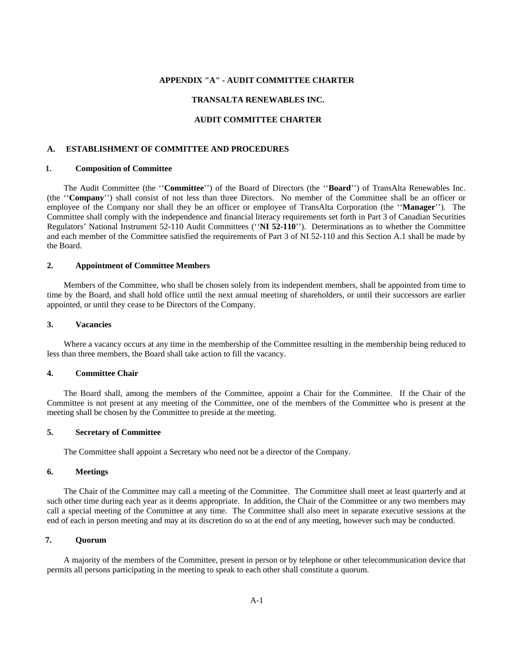# **APPENDIX "A" - AUDIT COMMITTEE CHARTER**

#### **TRANSALTA RENEWABLES INC.**

#### **AUDIT COMMITTEE CHARTER**

#### **A. ESTABLISHMENT OF COMMITTEE AND PROCEDURES**

#### **1. Composition of Committee**

The Audit Committee (the ''**Committee**'') of the Board of Directors (the ''**Board**'') of TransAlta Renewables Inc. (the ''**Company**'') shall consist of not less than three Directors. No member of the Committee shall be an officer or employee of the Company nor shall they be an officer or employee of TransAlta Corporation (the ''**Manager**''). The Committee shall comply with the independence and financial literacy requirements set forth in Part 3 of Canadian Securities Regulators' National Instrument 52-110 Audit Committees (''**NI 52-110**''). Determinations as to whether the Committee and each member of the Committee satisfied the requirements of Part 3 of NI 52-110 and this Section A.1 shall be made by the Board.

#### **2. Appointment of Committee Members**

Members of the Committee, who shall be chosen solely from its independent members, shall be appointed from time to time by the Board, and shall hold office until the next annual meeting of shareholders, or until their successors are earlier appointed, or until they cease to be Directors of the Company.

#### **3. Vacancies**

Where a vacancy occurs at any time in the membership of the Committee resulting in the membership being reduced to less than three members, the Board shall take action to fill the vacancy.

#### **4. Committee Chair**

The Board shall, among the members of the Committee, appoint a Chair for the Committee. If the Chair of the Committee is not present at any meeting of the Committee, one of the members of the Committee who is present at the meeting shall be chosen by the Committee to preside at the meeting.

#### **5. Secretary of Committee**

The Committee shall appoint a Secretary who need not be a director of the Company.

#### **6. Meetings**

The Chair of the Committee may call a meeting of the Committee. The Committee shall meet at least quarterly and at such other time during each year as it deems appropriate. In addition, the Chair of the Committee or any two members may call a special meeting of the Committee at any time. The Committee shall also meet in separate executive sessions at the end of each in person meeting and may at its discretion do so at the end of any meeting, however such may be conducted.

#### **7. Quorum**

A majority of the members of the Committee, present in person or by telephone or other telecommunication device that permits all persons participating in the meeting to speak to each other shall constitute a quorum.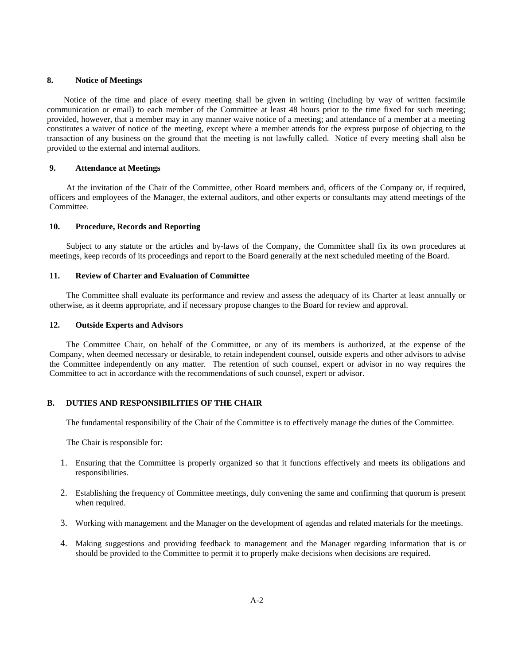#### **8. Notice of Meetings**

Notice of the time and place of every meeting shall be given in writing (including by way of written facsimile communication or email) to each member of the Committee at least 48 hours prior to the time fixed for such meeting; provided, however, that a member may in any manner waive notice of a meeting; and attendance of a member at a meeting constitutes a waiver of notice of the meeting, except where a member attends for the express purpose of objecting to the transaction of any business on the ground that the meeting is not lawfully called. Notice of every meeting shall also be provided to the external and internal auditors.

# **9. Attendance at Meetings**

At the invitation of the Chair of the Committee, other Board members and, officers of the Company or, if required, officers and employees of the Manager, the external auditors, and other experts or consultants may attend meetings of the Committee.

# **10. Procedure, Records and Reporting**

Subject to any statute or the articles and by-laws of the Company, the Committee shall fix its own procedures at meetings, keep records of its proceedings and report to the Board generally at the next scheduled meeting of the Board.

#### **11. Review of Charter and Evaluation of Committee**

The Committee shall evaluate its performance and review and assess the adequacy of its Charter at least annually or otherwise, as it deems appropriate, and if necessary propose changes to the Board for review and approval.

#### **12. Outside Experts and Advisors**

The Committee Chair, on behalf of the Committee, or any of its members is authorized, at the expense of the Company, when deemed necessary or desirable, to retain independent counsel, outside experts and other advisors to advise the Committee independently on any matter. The retention of such counsel, expert or advisor in no way requires the Committee to act in accordance with the recommendations of such counsel, expert or advisor.

# **B. DUTIES AND RESPONSIBILITIES OF THE CHAIR**

The fundamental responsibility of the Chair of the Committee is to effectively manage the duties of the Committee.

The Chair is responsible for:

- 1. Ensuring that the Committee is properly organized so that it functions effectively and meets its obligations and responsibilities.
- 2. Establishing the frequency of Committee meetings, duly convening the same and confirming that quorum is present when required.
- 3. Working with management and the Manager on the development of agendas and related materials for the meetings.
- 4. Making suggestions and providing feedback to management and the Manager regarding information that is or should be provided to the Committee to permit it to properly make decisions when decisions are required.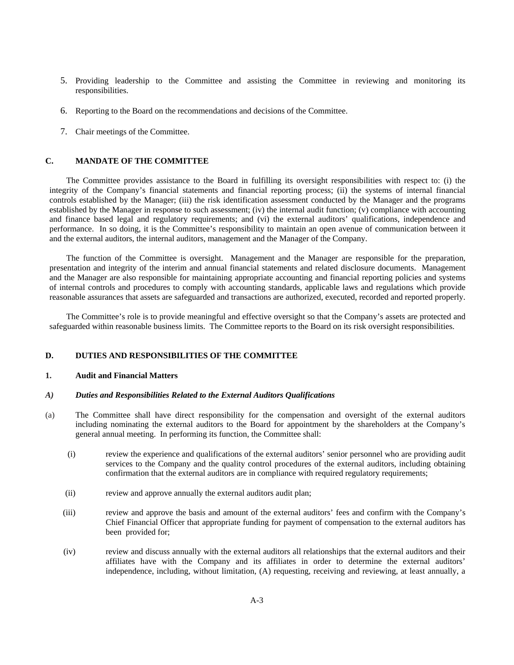- 5. Providing leadership to the Committee and assisting the Committee in reviewing and monitoring its responsibilities.
- 6. Reporting to the Board on the recommendations and decisions of the Committee.
- 7. Chair meetings of the Committee.

# **C. MANDATE OF THE COMMITTEE**

The Committee provides assistance to the Board in fulfilling its oversight responsibilities with respect to: (i) the integrity of the Company's financial statements and financial reporting process; (ii) the systems of internal financial controls established by the Manager; (iii) the risk identification assessment conducted by the Manager and the programs established by the Manager in response to such assessment; (iv) the internal audit function; (v) compliance with accounting and finance based legal and regulatory requirements; and (vi) the external auditors' qualifications, independence and performance. In so doing, it is the Committee's responsibility to maintain an open avenue of communication between it and the external auditors, the internal auditors, management and the Manager of the Company.

The function of the Committee is oversight. Management and the Manager are responsible for the preparation, presentation and integrity of the interim and annual financial statements and related disclosure documents. Management and the Manager are also responsible for maintaining appropriate accounting and financial reporting policies and systems of internal controls and procedures to comply with accounting standards, applicable laws and regulations which provide reasonable assurances that assets are safeguarded and transactions are authorized, executed, recorded and reported properly.

The Committee's role is to provide meaningful and effective oversight so that the Company's assets are protected and safeguarded within reasonable business limits. The Committee reports to the Board on its risk oversight responsibilities.

# **D. DUTIES AND RESPONSIBILITIES OF THE COMMITTEE**

#### **1. Audit and Financial Matters**

#### *A) Duties and Responsibilities Related to the External Auditors Qualifications*

- (a) The Committee shall have direct responsibility for the compensation and oversight of the external auditors including nominating the external auditors to the Board for appointment by the shareholders at the Company's general annual meeting. In performing its function, the Committee shall:
	- (i) review the experience and qualifications of the external auditors' senior personnel who are providing audit services to the Company and the quality control procedures of the external auditors, including obtaining confirmation that the external auditors are in compliance with required regulatory requirements;
	- (ii) review and approve annually the external auditors audit plan;
	- (iii) review and approve the basis and amount of the external auditors' fees and confirm with the Company's Chief Financial Officer that appropriate funding for payment of compensation to the external auditors has been provided for;
	- (iv) review and discuss annually with the external auditors all relationships that the external auditors and their affiliates have with the Company and its affiliates in order to determine the external auditors' independence, including, without limitation, (A) requesting, receiving and reviewing, at least annually, a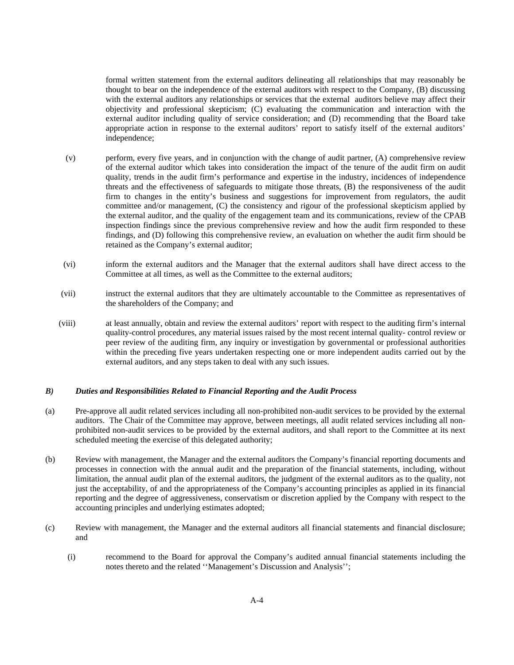formal written statement from the external auditors delineating all relationships that may reasonably be thought to bear on the independence of the external auditors with respect to the Company, (B) discussing with the external auditors any relationships or services that the external auditors believe may affect their objectivity and professional skepticism; (C) evaluating the communication and interaction with the external auditor including quality of service consideration; and (D) recommending that the Board take appropriate action in response to the external auditors' report to satisfy itself of the external auditors' independence;

- (v) perform, every five years, and in conjunction with the change of audit partner, (A) comprehensive review of the external auditor which takes into consideration the impact of the tenure of the audit firm on audit quality, trends in the audit firm's performance and expertise in the industry, incidences of independence threats and the effectiveness of safeguards to mitigate those threats, (B) the responsiveness of the audit firm to changes in the entity's business and suggestions for improvement from regulators, the audit committee and/or management, (C) the consistency and rigour of the professional skepticism applied by the external auditor, and the quality of the engagement team and its communications, review of the CPAB inspection findings since the previous comprehensive review and how the audit firm responded to these findings, and (D) following this comprehensive review, an evaluation on whether the audit firm should be retained as the Company's external auditor;
- (vi) inform the external auditors and the Manager that the external auditors shall have direct access to the Committee at all times, as well as the Committee to the external auditors;
- (vii) instruct the external auditors that they are ultimately accountable to the Committee as representatives of the shareholders of the Company; and
- (viii) at least annually, obtain and review the external auditors' report with respect to the auditing firm's internal quality-control procedures, any material issues raised by the most recent internal quality- control review or peer review of the auditing firm, any inquiry or investigation by governmental or professional authorities within the preceding five years undertaken respecting one or more independent audits carried out by the external auditors, and any steps taken to deal with any such issues.

#### *B) Duties and Responsibilities Related to Financial Reporting and the Audit Process*

- (a) Pre-approve all audit related services including all non-prohibited non-audit services to be provided by the external auditors. The Chair of the Committee may approve, between meetings, all audit related services including all nonprohibited non-audit services to be provided by the external auditors, and shall report to the Committee at its next scheduled meeting the exercise of this delegated authority;
- (b) Review with management, the Manager and the external auditors the Company's financial reporting documents and processes in connection with the annual audit and the preparation of the financial statements, including, without limitation, the annual audit plan of the external auditors, the judgment of the external auditors as to the quality, not just the acceptability, of and the appropriateness of the Company's accounting principles as applied in its financial reporting and the degree of aggressiveness, conservatism or discretion applied by the Company with respect to the accounting principles and underlying estimates adopted;
- (c) Review with management, the Manager and the external auditors all financial statements and financial disclosure; and
	- (i) recommend to the Board for approval the Company's audited annual financial statements including the notes thereto and the related ''Management's Discussion and Analysis'';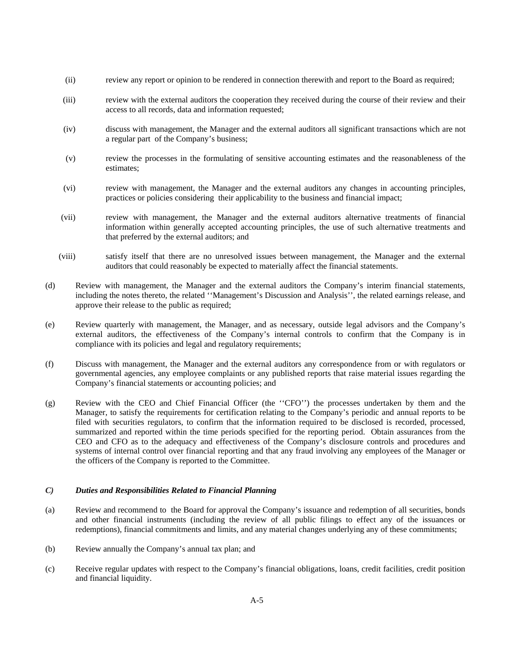- (ii) review any report or opinion to be rendered in connection therewith and report to the Board as required;
- (iii) review with the external auditors the cooperation they received during the course of their review and their access to all records, data and information requested;
- (iv) discuss with management, the Manager and the external auditors all significant transactions which are not a regular part of the Company's business;
- (v) review the processes in the formulating of sensitive accounting estimates and the reasonableness of the estimates;
- (vi) review with management, the Manager and the external auditors any changes in accounting principles, practices or policies considering their applicability to the business and financial impact;
- (vii) review with management, the Manager and the external auditors alternative treatments of financial information within generally accepted accounting principles, the use of such alternative treatments and that preferred by the external auditors; and
- (viii) satisfy itself that there are no unresolved issues between management, the Manager and the external auditors that could reasonably be expected to materially affect the financial statements.
- (d) Review with management, the Manager and the external auditors the Company's interim financial statements, including the notes thereto, the related ''Management's Discussion and Analysis'', the related earnings release, and approve their release to the public as required;
- (e) Review quarterly with management, the Manager, and as necessary, outside legal advisors and the Company's external auditors, the effectiveness of the Company's internal controls to confirm that the Company is in compliance with its policies and legal and regulatory requirements;
- (f) Discuss with management, the Manager and the external auditors any correspondence from or with regulators or governmental agencies, any employee complaints or any published reports that raise material issues regarding the Company's financial statements or accounting policies; and
- (g) Review with the CEO and Chief Financial Officer (the ''CFO'') the processes undertaken by them and the Manager, to satisfy the requirements for certification relating to the Company's periodic and annual reports to be filed with securities regulators, to confirm that the information required to be disclosed is recorded, processed, summarized and reported within the time periods specified for the reporting period. Obtain assurances from the CEO and CFO as to the adequacy and effectiveness of the Company's disclosure controls and procedures and systems of internal control over financial reporting and that any fraud involving any employees of the Manager or the officers of the Company is reported to the Committee.

# *C) Duties and Responsibilities Related to Financial Planning*

- (a) Review and recommend to the Board for approval the Company's issuance and redemption of all securities, bonds and other financial instruments (including the review of all public filings to effect any of the issuances or redemptions), financial commitments and limits, and any material changes underlying any of these commitments;
- (b) Review annually the Company's annual tax plan; and
- (c) Receive regular updates with respect to the Company's financial obligations, loans, credit facilities, credit position and financial liquidity.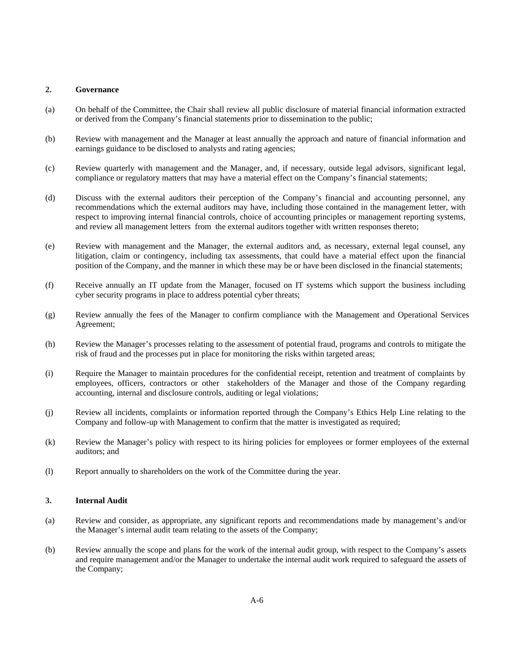#### **2. Governance**

- (a) On behalf of the Committee, the Chair shall review all public disclosure of material financial information extracted or derived from the Company's financial statements prior to dissemination to the public;
- (b) Review with management and the Manager at least annually the approach and nature of financial information and earnings guidance to be disclosed to analysts and rating agencies;
- (c) Review quarterly with management and the Manager, and, if necessary, outside legal advisors, significant legal, compliance or regulatory matters that may have a material effect on the Company's financial statements;
- (d) Discuss with the external auditors their perception of the Company's financial and accounting personnel, any recommendations which the external auditors may have, including those contained in the management letter, with respect to improving internal financial controls, choice of accounting principles or management reporting systems, and review all management letters from the external auditors together with written responses thereto;
- (e) Review with management and the Manager, the external auditors and, as necessary, external legal counsel, any litigation, claim or contingency, including tax assessments, that could have a material effect upon the financial position of the Company, and the manner in which these may be or have been disclosed in the financial statements;
- (f) Receive annually an IT update from the Manager, focused on IT systems which support the business including cyber security programs in place to address potential cyber threats;
- (g) Review annually the fees of the Manager to confirm compliance with the Management and Operational Services Agreement;
- (h) Review the Manager's processes relating to the assessment of potential fraud, programs and controls to mitigate the risk of fraud and the processes put in place for monitoring the risks within targeted areas;
- (i) Require the Manager to maintain procedures for the confidential receipt, retention and treatment of complaints by employees, officers, contractors or other stakeholders of the Manager and those of the Company regarding accounting, internal and disclosure controls, auditing or legal violations;
- (j) Review all incidents, complaints or information reported through the Company's Ethics Help Line relating to the Company and follow-up with Management to confirm that the matter is investigated as required;
- (k) Review the Manager's policy with respect to its hiring policies for employees or former employees of the external auditors; and
- (l) Report annually to shareholders on the work of the Committee during the year.

#### **3. Internal Audit**

- (a) Review and consider, as appropriate, any significant reports and recommendations made by management's and/or the Manager's internal audit team relating to the assets of the Company;
- (b) Review annually the scope and plans for the work of the internal audit group, with respect to the Company's assets and require management and/or the Manager to undertake the internal audit work required to safeguard the assets of the Company;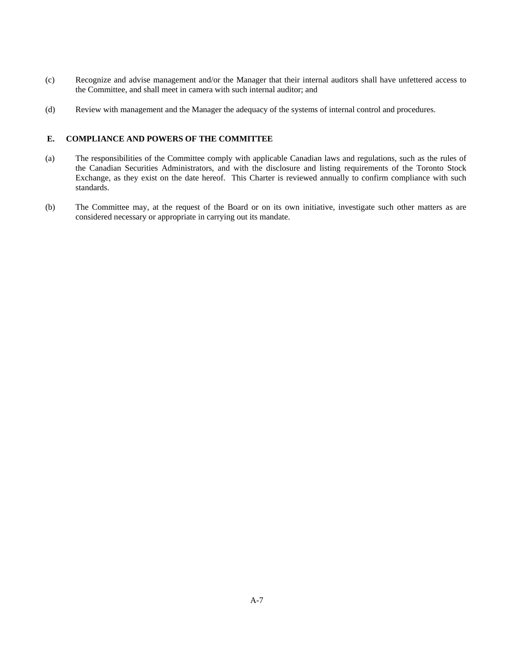- (c) Recognize and advise management and/or the Manager that their internal auditors shall have unfettered access to the Committee, and shall meet in camera with such internal auditor; and
- (d) Review with management and the Manager the adequacy of the systems of internal control and procedures.

# **E. COMPLIANCE AND POWERS OF THE COMMITTEE**

- (a) The responsibilities of the Committee comply with applicable Canadian laws and regulations, such as the rules of the Canadian Securities Administrators, and with the disclosure and listing requirements of the Toronto Stock Exchange, as they exist on the date hereof. This Charter is reviewed annually to confirm compliance with such standards.
- (b) The Committee may, at the request of the Board or on its own initiative, investigate such other matters as are considered necessary or appropriate in carrying out its mandate.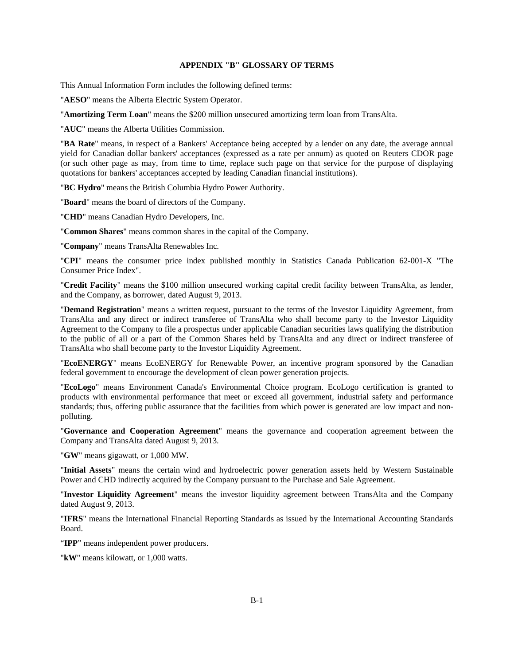#### **APPENDIX "B" GLOSSARY OF TERMS**

This Annual Information Form includes the following defined terms:

"**AESO**" means the Alberta Electric System Operator.

"**Amortizing Term Loan**" means the \$200 million unsecured amortizing term loan from TransAlta.

"**AUC**" means the Alberta Utilities Commission.

"**BA Rate**" means, in respect of a Bankers' Acceptance being accepted by a lender on any date, the average annual yield for Canadian dollar bankers' acceptances (expressed as a rate per annum) as quoted on Reuters CDOR page (or such other page as may, from time to time, replace such page on that service for the purpose of displaying quotations for bankers' acceptances accepted by leading Canadian financial institutions).

"**BC Hydro**" means the British Columbia Hydro Power Authority.

"**Board**" means the board of directors of the Company.

"**CHD**" means Canadian Hydro Developers, Inc.

"**Common Shares**" means common shares in the capital of the Company.

"**Company**" means TransAlta Renewables Inc.

"**CPI**" means the consumer price index published monthly in Statistics Canada Publication 62-001-X "The Consumer Price Index".

"**Credit Facility**" means the \$100 million unsecured working capital credit facility between TransAlta, as lender, and the Company, as borrower, dated August 9, 2013.

"**Demand Registration**" means a written request, pursuant to the terms of the Investor Liquidity Agreement, from TransAlta and any direct or indirect transferee of TransAlta who shall become party to the Investor Liquidity Agreement to the Company to file a prospectus under applicable Canadian securities laws qualifying the distribution to the public of all or a part of the Common Shares held by TransAlta and any direct or indirect transferee of TransAlta who shall become party to the Investor Liquidity Agreement.

"**EcoENERGY**" means EcoENERGY for Renewable Power, an incentive program sponsored by the Canadian federal government to encourage the development of clean power generation projects.

"**EcoLogo**" means Environment Canada's Environmental Choice program. EcoLogo certification is granted to products with environmental performance that meet or exceed all government, industrial safety and performance standards; thus, offering public assurance that the facilities from which power is generated are low impact and nonpolluting.

"**Governance and Cooperation Agreement**" means the governance and cooperation agreement between the Company and TransAlta dated August 9, 2013.

"**GW**" means gigawatt, or 1,000 MW.

"**Initial Assets**" means the certain wind and hydroelectric power generation assets held by Western Sustainable Power and CHD indirectly acquired by the Company pursuant to the Purchase and Sale Agreement.

"**Investor Liquidity Agreement**" means the investor liquidity agreement between TransAlta and the Company dated August 9, 2013.

"**IFRS**" means the International Financial Reporting Standards as issued by the International Accounting Standards Board.

"**IPP**" means independent power producers.

"**kW**" means kilowatt, or 1,000 watts.